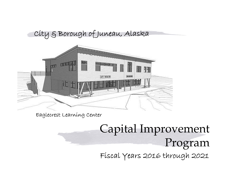## City & Borough of Juneau, Alaska



Eaglecrest Learning Center

# Capital Improvement Program Fiscal Years 2016 through 2021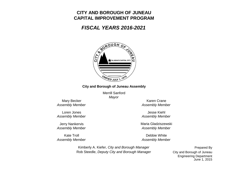## **CITY AND BOROUGH OF JUNEAUCAPITAL IMPROVEMENT PROGRAM**

## *FISCAL YEARS 2016-2021*



## **City and Borough of Juneau Assembly**

Merrill Sanford*Mayor*

Mary Becker

Loren Jones*Assembly Member*

Jerry Nankervis

Kate Troll*Assembly Member*

*Assembly Member Assembly Member* Karen Crane

> *Assembly Member* Jesse Kiehl

*Assembly Member Assembly Member* Maria Gladziszewski

> Debbie White*Assembly Member*

Kimberly A. Kiefer, *City and Borough Manager* Rob Steedle, *Deputy City and Borough Manager*

Prepared By June 1, 2015 City and Borough of Juneau Engineering Department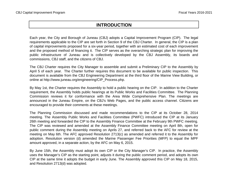## **INTRODUCTION**

Each year, the City and Borough of Juneau (CBJ) adopts <sup>a</sup> Capital Improvement Program (CIP). The legal requirements applicable to the CIP are set forth in Section 9 of the CBJ Charter. In general, the CIP is <sup>a</sup> plan of capital improvements proposed for <sup>a</sup> six-year period, together with an estimated cost of each improvement and the proposed method of financing it. The CIP serves as the overarching strategic plan for improving the public infrastructure of Juneau and is collectively developed by the CBJ Assembly, its boards and commissions, CBJ staff, and the citizens of CBJ.

The CBJ Charter requires the City Manager to assemble and submit <sup>a</sup> Preliminary CIP to the Assembly by April 5 of each year. The Charter further requires this document to be available for public inspection. This document is available from the CBJ Engineering Department at the third floor of the Marine View Building, or online at http://www.juneau.org/engineering/CIP\_Process.php.

By May 1st, the Charter requires the Assembly to hold <sup>a</sup> public hearing on the CIP. In addition to the Charter requirement, the Assembly holds public hearings at its Public Works and Facilities Committee. The Planning Commission reviews it for conformance with the Area Wide Comprehensive Plan. The meetings are announced in the Juneau Empire, on the CBJ's Web Pages, and the public access channel. Citizens are encouraged to provide their comments at these meetings.

The Planning Commission discussed and made recommendations to the CIP at its October 28, 2014 meeting. The Assembly Public Works and Facilities Committee (PWFC) introduced the CIP at its January 26th meeting and forwarded the CIP to the Assembly Finance Committee at the February 9th PWFC meeting. The CIP was reviewed and amended at the Assembly Finance Committee meeting on April 8th, open for public comment during the Assembly meeting on Aprils 27, and referred back to the AFC for review at the meeting on May 6th. The AFC approved Resolution 2713(c) as amended and referred it to the Assembly for adoption. Resolution version (d) amended the Marine Passenger Fee Priorities (MFP) to equal the MPF amount approved, in a separate action, by the AFC on May 6, 2015.

By June 15th, the Assembly must adopt its own CIP or the City Manager's CIP. In practice, the Assembly uses the Manager's CIP as the starting point, adjusts it during the public comment period, and adopts its own CIP at the same time it adopts the budget in early June. The Assembly approved this CIP on May 18, 2015, and Resolution 2713(d) was adopted.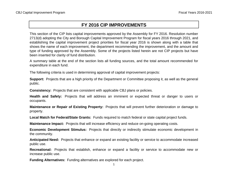## **FY 2016 CIP IMPROVEMENTS**

This section of the CIP lists capital improvements approved by the Assembly for FY 2016. Resolution number 2713(d) adopting the City and Borough Capital Improvement Program for fiscal years 2016 through 2021, and establishing the capital improvement project priorities for fiscal year 2016 is shown along with <sup>a</sup> table that shows the name of each improvement, the department recommending the improvement, and the amount and type of funding approved by the Assembly. Some of the projects listed herein are not CIP projects but have been inserted for clarity of fund distribution.

A summary table at the end of the section lists all funding sources, and the total amount recommended for expenditure in each fund.

The following criteria is used in determining approval of capital improvement projects:

**Support:** Projects that are <sup>a</sup> high priority of the Department or Committee proposing it, as well as the general public.

**Consistency:** Projects that are consistent with applicable CBJ plans or policies.

**Health and Safety:** Projects that will address an imminent or expected threat or danger to users or occupants.

**Maintenance or Repair of Existing Property:** Projects that will prevent further deterioration or damage to property.

**Local Match for Federal/State Grants:** Funds required to match federal or state capital project funds.

**Maintenance Impact:** Projects that will increase efficiency and reduce on-going operating costs.

**Economic Development Stimulus:** Projects that directly or indirectly stimulate economic development in the community.

**Anticipated Need:** Projects that enhance or expand an existing facility or service to accommodate increased public use.

**Recreational:** Projects that establish, enhance or expand <sup>a</sup> facility or service to accommodate new or increase public use.

**Funding Alternatives:** Funding alternatives are explored for each project.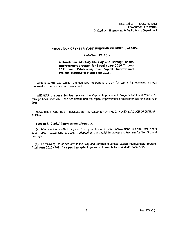#### RESOLUTION OF THE CITY AND BOROUGH OF JUNEAU, ALASKA

#### Serial No. 2713(d)

#### A Resolution Adopting the City and Borough Capital Improvement Program for Fiscal Years 2016 Through 2021, and Establishing the Capital Improvement Project Priorities for Fiscal Year 2016.

WHEREAS, the CBJ Capital Improvement Program is a plan for capital improvement projects proposed for the next six fiscal years; and

WHEREAS, the Assembly has reviewed the Capital Improvement Program for Fiscal Year 2016 through Fiscal Year 2021, and has determined the capital improvement project priorities for Fiscal Year 2016.

NOW, THEREFORE, BE IT RESOLVED BY THE ASSEMBLY OF THE CITY AND BOROUGH OF JUNEAU, ALASKA:

#### Section 1. Capital Improvement Program.

(a) Attachment A, entitled "City and Borough of Juneau Capital Improvement Program, Fiscal Years 2016 - 2021," dated June 1, 2015, is adopted as the Capital Improvement Program for the City and Borough.

(b) The following list, as set forth in the "City and Borough of Juneau Capital Improvement Program, Fiscal Years 2016 - 2021," are pending capital improvement projects to be undertaken in FY16: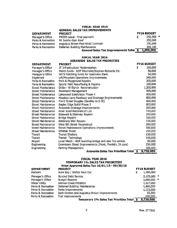#### **FISCAL YEAR 2016**

#### **GENERAL SALES TAX IMPROVEMENTS**

#### **DEPARTMENT**

| <b>DEPARTMENT</b>  | <b>PROJECT</b>                                    | <b>MID BUDGET</b> |  |
|--------------------|---------------------------------------------------|-------------------|--|
| Manager's Office   | <b>PRISM Lease - final payment</b>                | 250,900 *         |  |
| Parks & Recreation | Mt Jumbo Gym Roof                                 | 250.000           |  |
| Parks & Recreation | Augustus Brown Pool HVAC Controls                 | 330,000           |  |
| Parks & Recreation | Deferred Building Maintenance                     | 169,100           |  |
|                    | General Sales Tax Improvements Total \$ 1,000,000 |                   |  |

#### **FISCAL YEAR 2016**

#### AREAWIDE SALES TAX PRIORITIES

#### **FY16 BUDGET DEPARTMENT PROJECT** 150,000 IT Infrastructure Modernization Manager's Office \$. Manager's Office Match funds - DOT Riverside/Stephen Richards Int. 50,000 SRTS Matching funds for Gastineau Elem. 50,000 Manager's Office 240,000 Eaglecrest Lift/Mountain Operations Improvements 200,000 Parks & Recreation Park & Playground Repairs 100,000 Parks & Recreation Sports Field Resurfacing & Repairs Street Maintenance Distin - W Eighth Reconstruction 1,200,000 Pavement Management 955,000 **Street Maintenance** Lakewood Subdivision Phase 4 900,000 Street Maintenance Street Maintenance Meadow Lane Roadway and Drainage Improvements 800,000 Front Street Douglas (Savikko to D St) 600,000 **Street Maintenance** Eagles Edge Sub'd Phase 3 800,000 **Street Maintenance** Areawide Drainage Improvements **Street Maintenance** 200,000 150,000 Street Maintenance River Road Reconstruct LID 200,000 **Street Maintenance** Sidewalk & Stairway Repairs 150,000 Street Maintenance **Bridge Repairs** Street Maintenance Retaining Wall Repairs 150,000 Street Maintenance West 8th Street Reconstruct 200,000 Street Maintenance Street Maintenance Operations Improvements 300,000 Street Maintenance **Whittier Street** 250,000 **Transit Shelters** Transit 150,000 Transit Transit Technology 100,000 Airport Local Match - ADA boarding bridge and new fire vehicle 85,000 Downtown Street Improvements (Front, Franklin, Dt core) Engineering 250,000 Engineering Parking Management 500,000 8,730,000

Areawide Sales Tax Priorities Total \$

#### **FISCAL YEAR 2016** TEMPORARY 1% SALES TAX PRIORITIES Voter Approved Sales Tax 10/01/13 - 09/30/18

| DEPARTMENT         | <b>PROJECT</b>                                          | <b>FY16 BUDGET</b> |  |
|--------------------|---------------------------------------------------------|--------------------|--|
| <b>Harbors</b>     | Auke Bay / Statter Haul Out                             | \$<br>1,300,000    |  |
| Manager's Office   | Bonded Debt Service                                     | 2,125,000 *        |  |
| Manager's Office   | <b>Budget Reserve</b>                                   | $1,000,000$ *      |  |
| Water Utility      | Salmon Creek Filtration                                 | 1,527,000          |  |
| Parks & Recreation | Deferred Building Maintenance                           | 1,400,000          |  |
| Parks & Recreation | Parks Improvements                                      | 1,123,000          |  |
| Parks & Recreation | Zach Gordon and Augustus Brown Improvements             | 55,000             |  |
| Parks & Recreation | Trail improvements                                      | 200,000            |  |
|                    | Temporary 1% Sales Tax Priorities Total $\overline{\$}$ | 8,730,000          |  |

a a minimu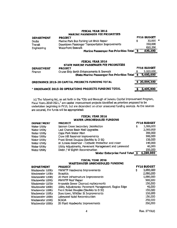#### **FISCAL YEAR 2016 MARINE PASSENGER FEE PRIORITIES**

| <b>DEPARTMENT</b> | <b>PROJECT</b>                                 |      | <b>FY16 BUDGET</b> |  |
|-------------------|------------------------------------------------|------|--------------------|--|
| Docks             | Marine Park Bus Parking Lot Brick Repair       | 55.  | $30.000$ *         |  |
| Transit           | Downtown Passenger Transportation Improvements |      | 150.000            |  |
| Engineering       | <b>Waterfront Seawalk</b>                      |      | 650.200            |  |
|                   | Marine Passenger Fee Priorities Total          | - 15 | 830,200            |  |
|                   |                                                |      |                    |  |

#### **FISCAL YEAR 2016** STATE MARINE PASSENGER FEE PRIORITIES

| <b>DEPARTMENT</b> | <b>PROJECT</b>                                        |     | <b>FY16 BUDGET</b> |
|-------------------|-------------------------------------------------------|-----|--------------------|
| Finance           | Cruise Ship Berth Enhancements & Seawalk              |     | 5,000,000          |
|                   | <b>State Marine Passenger Fee Priorities Total</b>    | - 5 | 5,000,000          |
|                   | ORDINANCE 2015-20 CAPITAL PROJECTS FUNDING TOTAL      |     | 20,884,300         |
|                   | * ORDINANCE 2015-20 OPERATIONS PROJECTS FUNDING TOTAL |     | 3.405.900          |

(c) The following list, as set forth in the "City and Borough of Juneau Capital Improvement Program, Fiscal Years 2016-2021," are capital improvement projects identified as priorities proposed to be undertaken beginning in FY16, but are dependent on other unsecured funding sources. As the sources are secured, the funds will be appropriated:

#### **FISCAL YEAR 2016 WATER UNSCHEDULED FUNDING**

| <b>DEPARTMENT</b> | <b>PROJECT</b>                                        | <b>FY16 BUDGET</b> |
|-------------------|-------------------------------------------------------|--------------------|
| Water Utility     | Salmon Creek Secondary Disinfection                   | \$<br>3,000,000    |
| Water Utility     | Last Chance Basin Well Upgrades                       | 2,000,000          |
| Water Utillty     | Cope Park Water Main                                  | 300,000            |
| Water Utility     | Crow Hill Reservoir improvements                      | 500,000            |
| Water Utility     | Front Street Douglas (Savikko to D St)                | 150,000            |
| Water Utility     | W Juneau Reservoir - Cathodic Protection and mixer    | 140,000            |
| Water Utility     | Utility Adjustments, Pavement Management and Lakewood | 40.000             |
| Water Utility     | Distin / W Eighth Reconstruction                      | 150,000            |
|                   | Wator Enterprise Fund Total C                         | C 390 AGO          |

Water Enterprise Fund Total 5 6,280,000

## FISCAL YEAR 2016

#### **WASTEWATER UNSCHEDULED FUNDING**

| <b>DEPARTMENT</b>  | <b>PROJECT</b>                                        | <b>FY16 BUDGET</b> |
|--------------------|-------------------------------------------------------|--------------------|
| Wastewater Utility | MWWTP Headworks Improvements                          | \$<br>3,000,000    |
| Wastewater Utility | Biosolids                                             | 2,000,000          |
| Wastewater Utility | JD Plant Infrastructure Improvements                  | 1,000,000          |
| Wastewater Utility | MWWTP Roof Repair                                     | 500,000            |
| Wastewater Utility | Areawide Sewer Cleanout replacements                  | 150,000            |
| Wastewater Utility | Utility Adjustments: Pavement Management, Eagles Edge | 40,000             |
| Wastewater Utility | Front Street Douglas (Savikko to D St)                | 150.000            |
| Wastewater Utility | Downtown, Whittier St Improvements                    | 150,000            |
| Wastewater Utility | Lakewood Subd Reconstruction                          | 150,000            |
| Wastewater Utility | <b>SCADA</b>                                          | 250,000            |
| Wastewater Utility | JD Plant Headworks Improvements                       | 250,000            |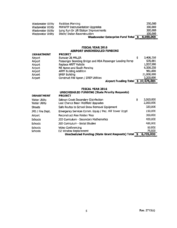| Wastewater Utility | Facilities Planning                   | 250.000   |
|--------------------|---------------------------------------|-----------|
| Wastewater Utility | MWWTP Instrumentation Upgrades        | 300,000   |
| Wastewater Utility | Long Run Dr Lift Station Improvements | 300.000   |
| Wastewater Utility | Distin/ Indian Reconstruction         | 100.000   |
|                    | Wastewater Enterprise Fund Total \$   | 8,590,000 |

### FISCAL YEAR 2016 AIRPORT UNSCHEDULED FUNDING

| <b>DEPARTMENT</b> | <b>PROJECT</b>                                           |                 |
|-------------------|----------------------------------------------------------|-----------------|
| Airport           | Runway 26 MALSR                                          | \$<br>3,406,250 |
| Airport           | Passenger Boarding Bridge and ADA Passenger Loading Ramp | 570,001         |
| Airport           | Replace ARFF Vehicle                                     | 1,937,500       |
| Airport           | NE Apron and South Fencing                               | 6,500,250       |
| Airport           | <b>ARFF Building Addition</b>                            | 961,000         |
| Airport           | <b>SREF Building</b>                                     | 21,000,000      |
| Airport           | Construct NW Apron / SREF Utilities                      | 3,200,000       |
|                   | Airport Funding Total \$ 37,575,001                      |                 |
|                   |                                                          |                 |

#### FISCAL YEAR 2016

| <b>DEPARTMENT</b>                     | <b>UNSCHEDULED FUNDING (State Priority Requests)</b><br><b>PROJECT</b>            |                        |
|---------------------------------------|-----------------------------------------------------------------------------------|------------------------|
| Water Utility<br><b>Water Utility</b> | \$<br>Salmon Creek Secondary Disinfection<br>Last Chance Basin Wellfield Upgrades | 3,000,000<br>2,000,000 |
| <b>Streets</b>                        | Safe Routes to School Snow Removal Equipment                                      | 320,000                |
| JPD / Fire Dept.                      | Emergency Services Comm. Equip / Ped. Hill Tower Upgd                             | 150,000                |
| Airport                               | Reconstruct Alex Holden Way                                                       | 300,000                |
| Schools                               | JSD Curriculum - Secondary Mathematics                                            | 400,000                |
| <b>Schools</b>                        | <b>JSD Curriculum - Social Studies</b>                                            | 400,000                |
| Schools                               | Video Conferencing                                                                | 60,000                 |
| Schools                               | DZ Window Replacement                                                             | 75,000                 |
|                                       | Unscheduled Funding (State Grant Requests) Total \$ 6,705,000                     |                        |

 $\sim$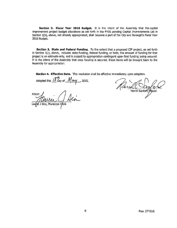Section 2. Fiscal Year 2016 Budget. It is the intent of the Assembly that the capital improvement project budget allocations as set forth in the FY16 pending Capital Improvements List in Section 1(b), above, not already appropriated, shall become a part of the City and Borough's Fiscal Year 2016 Budget.

Section 3. State and Federal Funding. To the extent that a proposed CIP project, as set forth in Section 1(c), above, includes state funding, federal funding, or both, the amount of funding for that project is an estimate only, and is subject to appropriation contingent upon final funding being secured. It is the intent of the Assembly that once funding is secured, these items will be brought back to the Assembly for appropriation.

Section 4. Effective Date. This resolution shall be effective immediately upon adoption.

Adopted this  $\frac{184}{3}$  day of  $\frac{104}{3}$  ay 2015.

Attest Municipal

Merrill Sanford, Mayor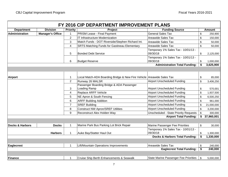|                            |                         |                         | FY 2016 CIP DEPARTMENT IMPROVEMENT PLANS                              |                                                 |                  |
|----------------------------|-------------------------|-------------------------|-----------------------------------------------------------------------|-------------------------------------------------|------------------|
| <b>Department</b>          | <b>Division</b>         | <b>Priority</b>         | Project                                                               | <b>Funding Source</b>                           | <b>Amount</b>    |
| <b>Administration</b>      | <b>Manager's Office</b> | $\mathbf{1}$            | <b>PRISM Lease - Final Payment</b>                                    | <b>General Sales Tax</b>                        | \$<br>250,900    |
|                            |                         | $\overline{2}$          | IT Infrastructure Modernization                                       | Areawide Sales Tax                              | \$<br>150,000    |
|                            |                         | 3                       | Match Funds - DOT Riverside/Stephen Richard Int.                      | <b>Areawide Sales Tax</b>                       | \$<br>50,000     |
|                            |                         | $\overline{\mathbf{4}}$ | <b>SRTS Matching Funds for Gastineau Elementary</b>                   | Areawide Sales Tax                              | \$<br>50,000     |
|                            |                         | 5                       | <b>Bonded Debt Service</b>                                            | Temporary 1% Sales Tax - 10/01/13 -<br>09/30/18 | \$<br>2,125,000  |
|                            |                         | 6                       | <b>Budget Reserve</b>                                                 | Temporary 1% Sales Tax - 10/01/13 -<br>09/30/18 | \$<br>1,000,000  |
|                            |                         |                         |                                                                       | <b>Administration Total Funding:</b>            | \$<br>3,625,900  |
|                            |                         |                         |                                                                       |                                                 |                  |
| <b>Airport</b>             |                         | $\mathbf{1}$            | Local Match-ADA Boarding Bridge & New Fire Vehicle Areawide Sales Tax |                                                 | \$<br>85,000     |
|                            |                         | $\overline{2}$          | Runway 26 MALSR                                                       | <b>Airport Unscheduled Funding</b>              | \$<br>3,406,250  |
|                            |                         |                         | Passenger Boarding Bridge & ADA Passenger                             |                                                 |                  |
|                            |                         | 3                       | Loading Ramp                                                          | <b>Airport Unscheduled Funding</b>              | \$<br>570,001    |
|                            |                         | $\overline{4}$          | Replace ARFF Vehicle                                                  | <b>Airport Unscheduled Funding</b>              | \$<br>1,937,500  |
|                            |                         | 5                       | NE Apron & South Fencing                                              | <b>Airport Unscheduled Funding</b>              | \$<br>6,500,250  |
|                            |                         | 6                       | <b>ARFF Building Addition</b>                                         | <b>Airport Unscheduled Funding</b>              | \$<br>961,000    |
|                            |                         | $\overline{7}$          | <b>SREF Building</b>                                                  | <b>Airport Unscheduled Funding</b>              | \$<br>21,000,000 |
|                            |                         | 8                       | <b>Construct NW Apron/SREF Utilities</b>                              | <b>Airport Unscheduled Funding</b>              | \$<br>3,200,000  |
|                            |                         | 9                       | Reconstruct Alex Holden Way                                           | <b>Unscheduled - State Priority Requests</b>    | \$<br>300,000    |
|                            |                         |                         |                                                                       | <b>Airport Total Funding:</b>                   | \$<br>37,960,001 |
|                            |                         |                         |                                                                       |                                                 |                  |
| <b>Docks &amp; Harbors</b> | <b>Docks</b>            | $\mathbf{1}$            | Marine Park Bus Parking Lot Brick Repair                              | Marine Passenger Fee Priorities                 | \$<br>30,000     |
|                            | <b>Harbors</b>          | $\mathbf{1}$            | Auke Bay/Statter Haul Out                                             | Temporary 1% Sales Tax - 10/01/13 -<br>09/30/18 | \$<br>1,300,000  |
|                            |                         |                         |                                                                       | <b>Docks &amp; Harbors Total Funding:</b>       | \$<br>1,330,000  |
|                            |                         |                         |                                                                       |                                                 |                  |
| <b>Eaglecrest</b>          |                         | $\mathbf 1$             | Lift/Mountain Operations Improvements                                 | <b>Areawide Sales Tax</b>                       | \$<br>240,000    |
|                            |                         |                         |                                                                       | <b>Eaglecrest Total Funding:</b>                | \$<br>240,000    |
|                            |                         |                         |                                                                       |                                                 |                  |
| Finance                    |                         | 1                       | <b>Cruise Ship Berth Enhancements &amp; Seawalk</b>                   | <b>State Marine Passenger Fee Priorities</b>    | \$<br>5,000,000  |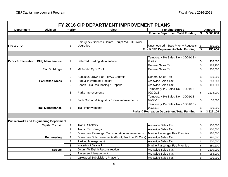|                                                |                          |                         | FY 2016 CIP DEPARTMENT IMPROVEMENT PLANS            |                                                         |                |               |
|------------------------------------------------|--------------------------|-------------------------|-----------------------------------------------------|---------------------------------------------------------|----------------|---------------|
| <b>Department</b>                              | <b>Division</b>          | <b>Priority</b>         | Project                                             | <b>Funding Source</b>                                   |                | <b>Amount</b> |
|                                                |                          |                         |                                                     | <b>Finance Department Total Funding:</b>                | \$             | 5,000,000     |
|                                                |                          |                         |                                                     |                                                         |                |               |
|                                                |                          |                         | Emergency Services Comm. Equip/Ped. Hill Tower      |                                                         |                |               |
| <b>Fire &amp; JPD</b>                          |                          | 1                       | Upgrades                                            | <b>Unscheduled - State Priority Requests</b>            | \$             | 150,000       |
|                                                |                          |                         |                                                     | Fire & JPD Departments Total Funding:                   | \$             | 150,000       |
|                                                |                          |                         |                                                     |                                                         |                |               |
|                                                |                          |                         |                                                     | Temporary 1% Sales Tax - 10/01/13 -                     |                |               |
| <b>Parks &amp; Recreation Bidg Maintenance</b> |                          | $\mathbf 1$             | Deferred Building Maintenance                       | 09/30/18                                                | \$             | 1,400,000     |
|                                                |                          |                         |                                                     | <b>General Sales Tax</b>                                | \$             | 169,100       |
|                                                | <b>Rec Buildings</b>     | $\mathbf 1$             | Mt Jumbo Gym Roof                                   | <b>General Sales Tax</b>                                | \$             | 250,000       |
|                                                |                          |                         |                                                     |                                                         |                |               |
|                                                |                          | $\overline{2}$          | Augustus Brown Pool HVAC Controls                   | <b>General Sales Tax</b>                                | \$             | 330,000       |
|                                                | <b>Parks/Rec Areas</b>   | $\mathbf{1}$            | Park & Playground Repairs                           | Areawide Sales Tax                                      | \$             | 200,000       |
|                                                |                          | $\overline{2}$          | Sports Field Resurfacing & Repairs                  | Areawide Sales Tax                                      | $\mathsf{\$}$  | 100,000       |
|                                                |                          |                         |                                                     | Temporary 1% Sales Tax - 10/01/13 -                     |                |               |
|                                                |                          | 3                       | Parks Improvements                                  | 09/30/18                                                | \$             | 1,123,000     |
|                                                |                          |                         |                                                     | Temporary 1% Sales Tax - 10/01/13 -                     |                |               |
|                                                |                          | $\overline{\mathbf{4}}$ | Zach Gordon & Augustus Brown Improvements           | 09/30/18                                                | \$             | 55,000        |
|                                                |                          |                         |                                                     | Temporary 1% Sales Tax - 10/01/13 -                     |                |               |
|                                                | <b>Trail Maintenance</b> | $\mathbf 1$             | <b>Trail Improvements</b>                           | 09/30/18                                                | \$             | 200,000       |
|                                                |                          |                         |                                                     | <b>Parks &amp; Recreation Department Total Funding:</b> |                | 3,827,100     |
|                                                |                          |                         |                                                     |                                                         |                |               |
| <b>Public Works and Engineering Department</b> |                          |                         |                                                     |                                                         |                |               |
|                                                | <b>Capital Transit</b>   | $\mathbf{1}$            | <b>Transit Shelters</b>                             | Areawide Sales Tax                                      | \$             | 150,000       |
|                                                |                          | $\overline{2}$          | <b>Transit Technology</b>                           | Areawide Sales Tax                                      | $$\mathbb{S}$$ | 100,000       |
|                                                |                          | 3                       | Downtown Passenger Transportation Improvements      | Marine Passenger Fee Priorities                         | \$             | 150,000       |
|                                                | <b>Engineering</b>       | $\mathbf 1$             | Downtown St Improvements (Front, Franklin, Dt Core) | Areawide Sales Tax                                      | \$             | 250,000       |
|                                                |                          | $\overline{2}$          | Parking Management                                  | Areawide Sales Tax                                      | \$             | 500,000       |
|                                                |                          | 3                       | <b>Waterfront Seawalk</b>                           | Marine Passenger Fee Priorities                         | \$             | 650,200       |
|                                                | <b>Streets</b>           | $\mathbf{1}$            | Distin - W Eighth Reconstruction                    | Areawide Sales Tax                                      | \$             | 1,200,000     |
|                                                |                          | $\overline{c}$          | Pavement Management                                 | Areawide Sales Tax                                      | \$             | 955,000       |
|                                                |                          | 3                       | Lakewood Subdivision, Phase IV                      | Areawide Sales Tax                                      | \$             | 900,000       |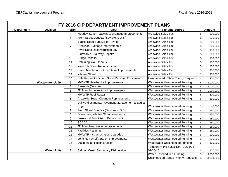|                   |                           |                          | FY 2016 CIP DEPARTMENT IMPROVEMENT PLANS          |                                              |                 |
|-------------------|---------------------------|--------------------------|---------------------------------------------------|----------------------------------------------|-----------------|
| <b>Department</b> | <b>Division</b>           | <b>Priority</b>          | <b>Project</b>                                    | <b>Funding Source</b>                        | <b>Amount</b>   |
|                   |                           | 4                        | Meadow Lane Roadway & Drainage Improvements       | Areawide Sales Tax                           | \$<br>800,000   |
|                   |                           | 5                        | Front Street Douglas (Savikko to D St)            | Areawide Sales Tax                           | \$<br>600,000   |
|                   |                           | 6                        | Eagles Edge Subdivision - Ph III                  | Areawide Sales Tax                           | \$<br>800,000   |
|                   |                           | $\overline{7}$           | Areawide Drainage Improvements                    | Areawide Sales Tax                           | \$<br>200,000   |
|                   |                           | 8                        | <b>River Road Reconstruction LID</b>              | Areawide Sales Tax                           | \$<br>150,000   |
|                   |                           | 9                        | Sidewalk & Stairway Repairs                       | Areawide Sales Tax                           | \$<br>200,000   |
|                   |                           | 10                       | <b>Bridge Repairs</b>                             | Areawide Sales Tax                           | \$<br>150,000   |
|                   |                           | 11                       | <b>Retaining Wall Repairs</b>                     | Areawide Sales Tax                           | \$<br>150,000   |
|                   |                           | 12                       | West 8th Street Reconstruction                    | <b>Areawide Sales Tax</b>                    | \$<br>200,000   |
|                   |                           | 13                       | <b>Street Maintenance Operations Improvements</b> | <b>Areawide Sales Tax</b>                    | \$<br>300,000   |
|                   |                           | 14                       | <b>Whittier Street</b>                            | Areawide Sales Tax                           | \$<br>250,000   |
|                   |                           | 15                       | Safe Routes to School Snow Removal Equipment      | <b>Unscheduled - State Priority Requests</b> | \$<br>320,000   |
|                   | <b>Wastewater Utility</b> | $\mathbf{1}$             | <b>MWWTP Headworks Improvements</b>               | Wastewater Unscheduled Funding               | \$<br>3,000,000 |
|                   |                           | $\overline{2}$           | Biosolids (Design)                                | Wastewater Unscheduled Funding               | \$<br>2,000,000 |
|                   |                           | 3                        | JD Plant Infrastructure Improvements              | Wastewater Unscheduled Funding               | \$<br>1,000,000 |
|                   |                           | $\overline{\mathcal{A}}$ | <b>MWWTP Roof Repair</b>                          | Wastewater Unscheduled Funding               | \$<br>500,000   |
|                   |                           | 5                        | Areawide Sewer Cleanout Replacements              | Wastewater Unscheduled Funding               | \$<br>150,000   |
|                   |                           |                          | Utility Adjustments: Pavement Management & Eagles |                                              |                 |
|                   |                           | 6                        | Edge                                              | <b>Wastewater Unscheduled Funding</b>        | \$<br>40,000    |
|                   |                           | $\overline{7}$           | Front Street Douglas (Savikko to D St)            | Wastewater Unscheduled Funding               | \$<br>150,000   |
|                   |                           | 8                        | Downtown, Whittier St Improvements                | Wastewater Unscheduled Funding               | \$<br>150,000   |
|                   |                           | $\boldsymbol{9}$         | Lakewood Subdivision Reconstruction               | Wastewater Unscheduled Funding               | \$<br>150,000   |
|                   |                           | 10                       | SCADA                                             | Wastewater Unscheduled Funding               | \$<br>250,000   |
|                   |                           | 11                       | JD Plant Headworks Improvements                   | Wastewater Unscheduled Funding               | \$<br>250,000   |
|                   |                           | 12                       | <b>Facilities Planning</b>                        | Wastewater Unscheduled Funding               | \$<br>250,000   |
|                   |                           | 13                       | <b>MWWTP Instrumentation Upgrades</b>             | Wastewater Unscheduled Funding               | \$<br>300,000   |
|                   |                           | 14                       | Long Run Dr Lift Station Improvements             | Wastewater Unscheduled Funding               | \$<br>300,000   |
|                   |                           | 15                       | Distin/Indian Reconstruction                      | Wastewater Unscheduled Funding               | \$<br>100,000   |
|                   |                           |                          |                                                   | Temporary 1% Sales Tax - 10/01/13 -          |                 |
|                   | <b>Water Utility</b>      | $\mathbf{1}$             | Salmon Creek Secondary Disinfection               | 09/30/18                                     | \$<br>1,527,000 |
|                   |                           |                          |                                                   | Water Unscheduled Funding                    | \$<br>3,000,000 |
|                   |                           |                          |                                                   | <b>Unscheduled - State Priority Requests</b> | \$<br>3,000,000 |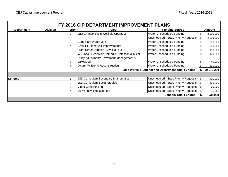|                   |                 |                 | FY 2016 CIP DEPARTMENT IMPROVEMENT PLANS       |                                                                 |     |               |
|-------------------|-----------------|-----------------|------------------------------------------------|-----------------------------------------------------------------|-----|---------------|
| <b>Department</b> | <b>Division</b> | <b>Priority</b> | <b>Project</b>                                 | <b>Funding Source</b>                                           |     | <b>Amount</b> |
|                   |                 | $\overline{2}$  | Last Chance Basin Wellfield Upgrades           | Water Unscheduled Funding                                       | \$  | 2,000,000     |
|                   |                 |                 |                                                | <b>Unscheduled - State Priority Requests</b>                    | \$  | 2,000,000     |
|                   |                 | 3               | Cope Park Water Main                           | Water Unscheduled Funding                                       | \$  | 300,000       |
|                   |                 | 4               | <b>Crow Hill Reservoir Improvements</b>        | Water Unscheduled Funding                                       | \$. | 500,000       |
|                   |                 | 5               | Front Street Douglas (Savikko to D St)         | Water Unscheduled Funding                                       | \$  | 150,000       |
|                   |                 | 6               | W Juneau Reservoir-Cathodic Protection & Mixer | Water Unscheduled Funding                                       | \$  | 140,000       |
|                   |                 |                 | Utility Adjustments, Pavement Management &     |                                                                 |     |               |
|                   |                 |                 | Lakewood                                       | Water Unscheduled Funding                                       | \$  | 40,000        |
|                   |                 | 8               | Distin - W Eighth Reconstruction               | Water Unscheduled Funding                                       |     | 150,000       |
|                   |                 |                 |                                                | <b>Public Works &amp; Engineering Department Total Funding:</b> |     | 30,372,200    |
|                   |                 |                 |                                                |                                                                 |     |               |
| <b>Schools</b>    |                 |                 | JSD Curriculum-Secondary Mathematics           | <b>Unscheduled - State Priority Requests</b>                    | \$  | 400,000       |
|                   |                 | $\overline{2}$  | <b>JSD Curriculum-Social Studies</b>           | <b>Unscheduled - State Priority Requests</b>                    | \$  | 400,000       |
|                   |                 | 3               | Video Conferencing                             | <b>Unscheduled - State Priority Requests</b>                    | \$  | 60,000        |
|                   |                 | 4               | <b>DZ Window Replacement</b>                   | <b>Unscheduled - State Priority Requests</b>                    | \$  | 75,000        |
|                   |                 |                 |                                                | <b>Schools Total Funding:</b>                                   | \$  | 935,000       |
|                   |                 |                 |                                                |                                                                 |     |               |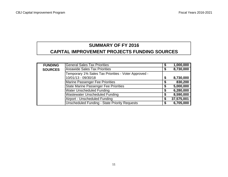## **SUMMARY OF FY 2016 CAPITAL IMPROVEMENT PROJECTS FUNDING SOURCES**

| <b>FUNDING</b> | <b>General Sales Tax Priorities</b>                  | \$<br>1,000,000  |
|----------------|------------------------------------------------------|------------------|
| <b>SOURCES</b> | <b>Areawide Sales Tax Priorities</b>                 | \$<br>8,730,000  |
|                | Temporary 1% Sales Tax Priorities - Voter Approved - |                  |
|                | 10/01/13 - 09/30/18                                  | \$<br>8,730,000  |
|                | Marine Passenger Fee Priorities                      | \$<br>830,200    |
|                | <b>State Marine Passenger Fee Priorities</b>         | \$<br>5,000,000  |
|                | <b>Water Unscheduled Funding</b>                     | \$<br>6,280,000  |
|                | <b>Wastewater Unscheduled Funding</b>                | \$<br>8,590,000  |
|                | Airport - Unscheduled Funding                        | \$<br>37,575,001 |
|                | <b>Unscheduled Funding - State Priority Requests</b> | \$<br>6,705,000  |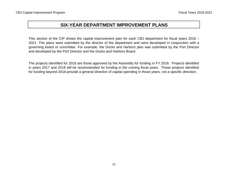This section of the CIP shows the capital improvement plan for each CBJ department for fiscal years 2016 – 2021. The plans were submitted by the director of the department and were developed in conjunction with <sup>a</sup> governing board or committee. For example, the Docks and Harbors plan was submitted by the Port Director and developed by the Port Director and the Docks and Harbors Board.

The projects identified for 2016 are those approved by the Assembly for funding in FY 2016. Projects identified in years 2017 and 2018 will be recommended for funding in the coming fiscal years. Those projects identified for funding beyond 2018 provide a general direction of capital spending in those years, not a specific direction.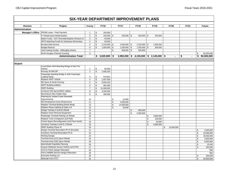#### **Project Priority FY16 FY17 FY18 FY19 FY20 FY21 Future** PRISM Lease - Final Payment  $\begin{array}{ccc} | & 1 & | \ \$ & 250,900 \end{array}$ IT Infrastructure Modernization 2 150,000 \$ 250,000 \$ 250,000 \$ 250,000 \$ Match Funds - DOT Riverside/Stephen Richard Int. 3 \$ 50,000 SRTS Matching Funds for Gastineau Elementary  $\begin{vmatrix} 4 & 1 \\ 4 & 5 \end{vmatrix}$  50,000 Bonded Debt Service **5 3 2,125,000 \$ 2,000,000 \$ 2,130,000 \$ 1,695,000** Budget Reserve **6 1,000,000** \$ 1,000,000 \$ 1,200,000 \$ 1,250,000 \$ 200,000 Joint Parking Facility - Willoughby District  $\begin{vmatrix} 7 & | & 5 \\ 1 & 7 & | & 500,000 \\ 3 & 500,000 & | & 500,000 \\ 4 & 500,000 & | & 500,000 \\ 5 & 500,000 & | & 500,000 \\ 6 & 500,000 & | & 500,000 \\ 7 & 600,000 & | & 500,000 \\ 8 & 7 & 800,000 & | & 500,000 \\ 10 &$ North Douglas Channel Crossing 8 8 80,000,000 and the control of the control of the control of the control of the control of the control of the control of the control of the control of the control of the control of **\$ 3,950,000 3,625,900 \$ 4,130,000 \$ 2,145,000 \$ - \$ - \$ 90,000,000 \$**  Local Match-ADA Boarding Bridge & New Fire Vehicle 1 85,000 \$ Runway 26 MALSR 2 3,406,250 Passenger Boarding Bridge & ADA Passenger Loading Ramp  $\begin{array}{ccc} 1 & 3 & 5 & 570,001 \end{array}$ Replace ARFF Vehicle  $\begin{array}{ccc} 4 & 3 & 1,937,500 \end{array}$ NE Apron & South Fencing 5 6,500,250 \$ ARFF Building Addition 6 961,000 SREF Building 21,000,000 Construct NW Apron/SREF Utilities 8 3,200,000 Reconstruct Alex Holden Way  $\begin{array}{ccc} | & 9 & | \ \$ & 300,000 \end{array}$ Planning for Jordan Creek Greenbelt Improvements and the set of  $\begin{array}{ccc} 10 & 10 & 10 \\ 10 & 10 & 10 \end{array}$ NE Development Area Infrastructure 11 1 4,000,000 Replace Terminal Building (North Wing) 12 14,000,000 Replace Ramp Lighting at Gates 2-6 13 13 50,000 Design Taxiway A and E1-Rehab 14 850,000 \$60,000 \$60,000 \$60,000 \$60,000 \$60,000 \$60,000 \$60,000 \$60,000 \$60,000 \$60,000 \$60,000 \$60,000 \$60,000 \$60,000 \$60,000 \$60,000 \$60,000 \$60,000 \$60,000 \$60,000 \$60,000 \$60,000 \$60,0 Replace Snow Removal Equipment 15 15 5,000,000 \$ 5,000,000 Passenger Terminal Parking Lot Rehab 16 \$ 3,000,000 Replace Trans Compactors and Pads 17 17 | 17 | 17 | 17 | 17 | 18 | 100,000 Tenant Space Reconfiguration (2nd Floor North) 18 \$ 50,000 \$ 50,000  $\begin{array}{|c|c|c|c|c|}\hline \text{Construct Taxiway A and E-1 Rehab} \hspace{1.8cm} & \text{19} & \text{19} & \text{10} & \text{11} & \text{12} & \text{13} & \text{15} & \text{16} & \text{17} & \text{18} & \text{18} & \text{19} & \text{19} & \text{19} & \text{19} & \text{19} & \text{19} & \text{19} & \text{19} & \text{19} & \text{19} & \text{19} & \text{19} & \text{19} & \text{19} & \$ SREF Building Phase III 20 \$ 10,000,000 Design Terminal Renovation Ph III (Knuckle) 21 | 21 | 21 | 22 | 2000,000 | 21 | 21 | 2000,000 | 2010 | 2010 | 2010 | 2010 | 2010 | 2010 | 2010 | 2010 | 2010 | 2010 | 2010 | 2010 | 2010 | 2010 | 2010 | 2010 | 2010 | 2010 | Construct Terminal Renovation Ph III 22 $2$  | 3,000,000 | 3,000,000 | 3,000,000 | 3,000,000 | 3,000,000 | 3,000,000 | 3,000,000 | 3,000,000 | 3,000,000 | 3,000,000 | 3,000,000 | 3,000,000 | 3,000,000 | 3,000,000 | 3,000,000 | 3,000,000 | 3,000,000 | 3,000,000 | Parking Garage 23 \$ 20,000,000 Terminal Area (121) Apron Rehab 24 \$ 3,500,000 Terminal Area (135) Apron Rehab 25 \$ 6,000,000 Multi-Model Feasibility Planning 26 \$ 10,000 Acquire Wetlands Access Vehicle (w/CCFR) 27 250,000 Civil Air Patrol Hangar Relocation 28 TBD Fish & Wildlife Service Hangar Relocation 29 TBD Executive Parking Lot \$200,000 \$200,000 \$200,000 \$200,000 \$200,000 \$ Relocate FAA ATCT 31. \$ 50,000,000 \$ 50,000,000 \$ 50,000,000 \$ 50,000,000 \$ 50,000,000 \$ 50,000,000 \$ **DivisionAdministration Total: SIX-YEAR DEPARTMENT IMPROVEMENT PLANSAdministration Airport Manager's Office**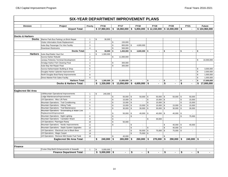| <b>Division</b>            | Project                                                                  | Priority                | <b>FY16</b>          | <b>FY17</b>                  |              | <b>FY18</b>               |                | <b>FY19</b>    |                    | <b>FY20</b>      | <b>FY21</b>          |             | <b>Future</b> |
|----------------------------|--------------------------------------------------------------------------|-------------------------|----------------------|------------------------------|--------------|---------------------------|----------------|----------------|--------------------|------------------|----------------------|-------------|---------------|
|                            | <b>Airport Total:</b>                                                    |                         | \$37,960,001         | \$<br>18,060,000             | \$           | $5,850,000$ \$ 12,150,000 |                |                |                    | $$10,000,000$ \$ |                      |             | \$104,960,000 |
|                            |                                                                          |                         |                      |                              |              |                           |                |                |                    |                  |                      |             |               |
| <b>Docks &amp; Harbors</b> |                                                                          |                         |                      |                              |              |                           |                |                |                    |                  |                      |             |               |
| <b>Docks</b>               | Marine Park Bus Parking Lot Brick Repair                                 | $\mathbf{1}$            | \$<br>30,000         |                              |              |                           |                |                |                    |                  |                      |             |               |
|                            | Visitor Information Kiosk Replacement                                    | $\overline{2}$          |                      | \$<br>150,000                |              |                           |                |                |                    |                  |                      |             |               |
|                            | Auke Bay Passenger For Hire Facility                                     | 3                       |                      | \$<br>800,000 \$             |              | 4,600,000                 |                |                |                    |                  |                      |             |               |
|                            | Downtown Restrooms                                                       | $\overline{4}$          |                      | \$<br>500,000                |              |                           |                |                |                    |                  |                      |             |               |
|                            | <b>Docks Total:</b>                                                      |                         | \$<br>30,000         | \$<br>$1,450,000$ \$         |              | $4,600,000$ \$            |                | $\sim$         | \$                 | $\sim$           | \$<br>$\blacksquare$ | \$          |               |
| <b>Harbors</b>             | Auke Bay/Statter Haul Out                                                | $\mathbf{1}$            | \$<br>1,300,000      |                              |              |                           |                |                |                    |                  |                      |             |               |
|                            | Aurora Harbor Rebuild                                                    | 2                       |                      | \$<br>11,000,000             |              |                           |                |                |                    |                  |                      |             |               |
|                            | Juneau Fisheries Terminal Development                                    | 3                       |                      |                              |              |                           |                |                |                    |                  |                      | \$          | 10,000,000    |
|                            | Amalga Harbor Fish Cleaning Float                                        | $\overline{\mathbf{4}}$ |                      | \$<br>300,000                |              |                           |                |                |                    |                  |                      |             |               |
|                            | Auke Bay Net Repair Float                                                | 5                       |                      | \$<br>300,000                |              |                           |                |                |                    |                  |                      |             |               |
|                            | Aurora Harbormaster Building & Shop                                      | 6                       |                      |                              |              |                           |                |                |                    |                  |                      | \$          | 3,000,000     |
|                            | Douglas Harbor Uplands Improvements                                      | $\overline{7}$          |                      |                              |              |                           |                |                |                    |                  |                      | $\mathbb S$ | 2,000,000     |
|                            | North Douglas Boat Ramp Improvements                                     | 8                       |                      |                              |              |                           |                |                |                    |                  |                      | \$          | 1,000,000     |
|                            | Direct Market Fish Sales Facility                                        | 9                       |                      |                              |              |                           |                |                |                    |                  |                      | \$          | 1,000,000     |
|                            | <b>Harbors Total:</b>                                                    |                         | \$<br>$1,300,000$ \$ | $11,600,000$ \$              |              | $\blacksquare$            | \$             | $\blacksquare$ | \$                 |                  | \$                   | \$          | 17,000,000    |
|                            | <b>Docks &amp; Harbors Total:</b>                                        |                         | $$1,330,000$ \$      | $13,050,000$ \$ 4,600,000 \$ |              |                           |                |                | \$                 |                  | \$                   | \$          | 17,000,000    |
|                            |                                                                          |                         |                      |                              |              |                           |                |                |                    |                  |                      |             |               |
|                            |                                                                          |                         |                      |                              |              |                           |                |                |                    |                  |                      |             |               |
| Eaglecrest Ski Area        |                                                                          |                         |                      |                              |              |                           |                |                |                    |                  |                      |             |               |
|                            | Lift/Mountain Operational Improvements                                   | $\mathbf{1}$            | \$<br>240,000        |                              |              |                           |                |                |                    |                  |                      |             |               |
|                            | Lodge Maintenance/Improvements                                           | $\overline{2}$          |                      | \$<br>$50,000$ \ \$          |              | $50,000$ \$               |                | 50,000         | $\mathbf{\hat{s}}$ | $50,000$ \$      | 50,000               |             |               |
|                            | Lift Operations - Misc Lift Parts                                        | 3                       |                      | \$<br>15,000                 | \$           | $\blacksquare$            | \$             | 15,000         | \$                 |                  | \$<br>15,000         |             |               |
|                            | Mountain Operations - Trail Conditioning                                 | $\overline{4}$          |                      | \$<br>15,000                 | \$           | $\mathbf{r}$              | \$             | $15,000$ \$    |                    |                  | \$<br>15,000         |             |               |
|                            | Mountain Operations - Hiking Trails                                      | $\,$ 5 $\,$             |                      | \$<br>$15,000$ \$            |              | $15,000$ \$               |                | $15,000$ \ \$  |                    | $15,000$ \$      | 15,000               |             |               |
|                            | Mountain Operations - Trail Maintenance                                  | 6                       |                      | \$<br>$30,000$ \$            |              | $30,000$ \$               |                | $30,000$ \$    |                    | $30,000$ \$      | 30,000               |             |               |
|                            | Mountain Operations - Snowmaking & Water Line<br>Replacement/Improvement | $\overline{7}$          |                      | \$<br>50,000                 | \$           | $40,000$ \$               |                | 40,000         | - \$               | 40,000 \$        |                      |             |               |
|                            | Mountain Operations - Night Lighting                                     | 8                       |                      | \$<br>$\mathbf{r}$           | \$           | $\mathbf{r}$              |                |                |                    |                  | \$<br>75,000         |             |               |
|                            | Mountain Operations - Caretaker Shack                                    | 9                       |                      | \$<br>$\sim$                 |              |                           | \$             | 30,000         |                    |                  |                      |             |               |
|                            | Lift Operations- Ptarmigan Ramp                                          | 10                      |                      | \$<br>50,000                 |              |                           |                |                |                    |                  |                      |             |               |
|                            | Mountain Operations - Nordic Improvements                                | 11                      |                      | \$<br>$\mathbf{r}$           | \$           | $\sim$                    |                |                | \$                 | $40,000$ \ \$    | 40,000               |             |               |
|                            | Mountain Operations - Septic System Upgrades                             | 12                      |                      |                              | $\mathbf{s}$ | $\mathbf{r}$              | \$             |                | \$                 | $40,000$ \ \$    | $\sim$               |             |               |
|                            | Lift Operations - Electrical Line to Black Bear                          | 13                      |                      |                              | $\mathbf{s}$ | 50,000                    | $\mathfrak{s}$ | 75,000         | \$                 | $75,000$ \ \$    |                      |             |               |
|                            | Lift Operations - Magic Carpet                                           | 14                      |                      |                              | \$           | 75,000 \$                 |                | $\sim$         |                    |                  |                      |             |               |
|                            | Lift Operations - Remove Mid Hooter Fuel Tank                            | 15                      |                      | \$<br>40,000                 |              |                           |                |                | \$                 |                  |                      |             |               |
|                            | <b>Eaglecrest Ski Area Total:</b>                                        |                         | \$<br>$240,000$ \$   | $265,000$ \$                 |              | $260,000$ \$              |                | 270,000        | - \$               | $290,000$ \$     | $240,000$ \$         |             |               |
|                            |                                                                          |                         |                      |                              |              |                           |                |                |                    |                  |                      |             |               |
|                            |                                                                          |                         |                      |                              |              |                           |                |                |                    |                  |                      |             |               |
| Finance                    |                                                                          |                         |                      |                              |              |                           |                |                |                    |                  |                      |             |               |
|                            | Cruise Ship Berth Enhancements & Seawalk                                 | $\overline{1}$          | \$<br>5,000,000      |                              |              |                           |                |                |                    |                  |                      |             |               |
|                            | <b>Finance Department Total:</b>                                         |                         | \$5,000,000          | \$<br>$\blacksquare$         | \$           |                           | \$             |                | \$                 |                  | \$                   | \$          |               |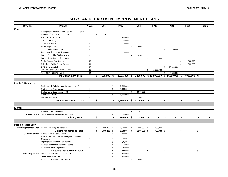#### **Division Project Priority FY16 FY17 FY18 FY19 FY20 FY21 Future SIX-YEAR DEPARTMENT IMPROVEMENT PLANS**Emergency Services Comm. Equip/Ped. Hill Tower Upgrades (For Fire & JPD Depts) <sup>1</sup> \$ 150,000 Platform Ladder Truck 2 2 1,400,000 Station 1 Fencing 20,000 **\$20,000** \$20,000 CCFR Master Plan 4 75,000 \$  $SCBA \, Replacement$  500,000  $\frac{1}{5}$  500,000  $\frac{1}{5}$  500,000  $\frac{1}{5}$  500,000  $\frac{1}{5}$ Station 4 Live-in Quarters 66 80,000 **6** Classroom Technology Upgrades 7 7 20,000 Lemon Creek Fire Station Design 8 8 950,000 \$950,000 Lemon Creek Station Constructionn 9 **9 11,000,000** North Douglas Fire Station **10** \$ 1,500,000 Echo Cove Public Safety Station 11 \$ 1,500,000 EMS Simulation Labb 12 \$ 45,000,000 Training Center Classroom and Fill 13 \$ 1,500,000 Airport Fire Training Facility 14 14 14 15 2.500.000 11 14 15 2.500.000 11 14 15 2.500.000 11 15 16 17 17 17 1 **\$ 1,515,000 150,000 \$ 1,450,000 \$ 12,500,000 \$ 47,580,000 \$ 3,000,000 \$ - \$**  Pederson Hill Subdivision & Infrastructure - Ph I 1 1 1 5 7.500.000 Switzer Land Development 2 5,000,000 \$ Switzer Land Development - 3B 3,000,000 \$ 3,000,000 \$ 3,000,000 \$ 3,000,000 \$ 3,000,000 \$ 3,000,000 \$ 3,000,000 \$ 3,000,000 \$ 3,000,000 \$ 3,000,000 \$ 3,000,000 \$ 3,000,000 \$ 3,000,000 \$ 3,000 \$ 3,000 \$ 3,000 \$ 3,000 \$ 3,00 Willoughby Parking **1988** 5,000,000 **\$** 5,000,000 Future Rock Quarry 5 100,000 \$ **\$ 17,500,000 - \$ 3,100,000 \$ - \$ - \$ - \$ - \$**  Replace Library Windows 1 162,000  $\vert$  5 162,000 JDCM Exhibit/Remodel Display Cases 1 100,000 \$100,000 \$100,000 \$ **\$ 100,000 - \$ 162,000 \$ - \$ - \$ - \$ - \$ Building Maintenance** Deferred Building Maintenance  $\begin{array}{ccc} | & 1 & | \ $ & 1,569,100 & | \ $ & 1,100,000 & | \ $ & 1,000,000 & | \ $ & 700,000 \end{array}$ **\$ 1,100,000 1,569,100 \$ 1,100,000 \$ 700,000 \$ - \$ - \$ - \$**  HVAC/Controls Replacement 1 300,000  $\vert$  300,000  $\vert$  300,000 Replace Exterior Doors including two ADA Door Operators \$ 100,000 ighting for Centennial Hall Interior 1994 175,000 Refinish and Repair Ballroom Flooring **4** 4 \$ 115,000 Ballroom Curtain Replacement 5 5 5 \$ 40,000 **\$ 730,000 - \$ - \$ - \$ - \$ - \$ - \$ Land Acquisition** Montana Creek Greenbelt/Trail Corridors 1 | \$ 400,000 Outer Point Waterfront **2** 200,000 **\$** 200,000 West Juneau Waterfront Application 3 950,000 \$ **Centennial Hall Centennial Hall & Parking Total: Library Total: Lands & Resources Total: Lands & ResourcesFire Parks & RecreationLibrary City Museums Fire Department Total: Building Maintenance Total:**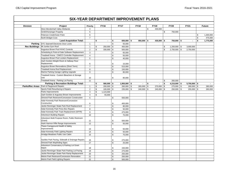| <b>Division</b>      | Project                                          | Priority         |    | <b>FY16</b>    |              | <b>FY17</b>    |      | <b>FY18</b>  | <b>FY19</b>          |              | <b>FY20</b>    | <b>FY21</b>              |                | <b>Future</b> |
|----------------------|--------------------------------------------------|------------------|----|----------------|--------------|----------------|------|--------------|----------------------|--------------|----------------|--------------------------|----------------|---------------|
|                      | West Mendenhall Valley Wetlands                  | $\overline{4}$   |    |                |              |                |      |              | \$<br>430,000        |              |                |                          |                |               |
|                      | Smith/Honsinger Property                         | 5                |    |                |              |                |      |              |                      | \$           | 750,000        |                          |                |               |
|                      | Peterson Creek/Outer Point                       | 6                |    |                |              |                |      |              |                      |              |                |                          | \$             | 1,300,000     |
|                      | North Bridget Cove                               | $\overline{7}$   |    |                |              |                |      |              |                      |              |                |                          | $$\mathbb{S}$$ | 475,000       |
|                      | <b>Land Acquisition Total:</b>                   |                  | \$ | $\blacksquare$ | \$           | 600,000        | l \$ | $950,000$ \$ | $430,000$ \$         |              | 750,000 \$     | $\overline{\phantom{a}}$ | \$             | 1,775,000     |
| Parking              | DTC Stairwell Electronic Door Locks              | $\mathbf{1}$     |    |                | $\mathbb{S}$ | 55,000         |      |              |                      |              |                |                          |                |               |
| <b>Rec Buildings</b> | Mt Jumbo Gym Roof                                | $\mathbf{1}$     | \$ | 250,000        | \$           | 400,000        |      |              |                      | \$           | $1,200,000$ \$ | 3,000,000                |                |               |
|                      | Augustus Brown Pool HVAC Controls                | $\overline{2}$   | \$ | 330,000        | \$           | 500,000        |      |              |                      | \$           | 2,750,000 \$   | 2,750,000                |                |               |
|                      | Scheduling & Point-of-Sale Software Replacement  | 3                |    |                | \$           | 65,000         |      |              |                      |              |                |                          |                |               |
|                      | Treadwell Arena - CIMCO Controller Replacement   | $\overline{4}$   |    |                | \$           | 50,000         |      |              |                      |              |                |                          |                |               |
|                      | Augustus Brown Pool Lockers Replacement          | 5                |    |                | \$           | 40,000         |      |              |                      |              |                |                          |                |               |
|                      | Zach Gordon-Weight Room & Hallway Floor          |                  |    |                |              |                |      |              |                      |              |                |                          |                |               |
|                      | Replacement                                      | 6                |    |                | \$           | 15,000         |      |              |                      |              |                |                          |                |               |
|                      | Augustus Brown Renovations (Short Term)          | $\overline{7}$   |    |                | \$           | 515,000        |      |              |                      |              |                |                          |                |               |
|                      | Treadwell Arena Roof Replacement                 | 8                |    |                | \$           | 150,000        |      |              |                      |              |                |                          |                |               |
|                      | Marine Parking Garage Lighting Upgrade           | 9                |    |                | \$           | 80,000         |      |              |                      |              |                |                          |                |               |
|                      | Treadwell Arena - Custom Bleachers & Storage     |                  |    |                |              |                |      |              |                      |              |                |                          |                |               |
|                      | Unit                                             | 10               |    |                | \$           | 80,000         |      |              |                      |              |                |                          |                |               |
|                      | Treadwell Arena - Parking Lot Paving             | 11               |    |                |              |                |      |              |                      | $\mathbb{S}$ | 260,000        |                          |                |               |
|                      | Parking & Recreation Buildings Total:            |                  | \$ | $580,000$ \$   |              | $1,950,000$ \$ |      | $\sim$       | \$<br>$\blacksquare$ | \$           | $4,210,000$ \$ | $5,750,000$ \$           |                | $\sim$        |
|                      | Parks/Rec Areas   Park & Playground Repairs      | $\mathbf{1}$     | \$ | $200,000$ \$   |              | 260,000 \$     |      | 265,000 \$   | 270,000              | \$           | $275,000$ \$   | 280,000 \$               |                | 280,000       |
|                      | Sports Field Resurfacing & Repairs               | $\overline{2}$   | \$ | $100,000$ \$   |              | 235,000        | \$   | $240,000$ \$ | 245,000              | \$           | 250,000 \$     | 255,000 \$               |                | 260,000       |
|                      | Parks Improvements                               | 3                | \$ | 1,123,000      |              |                |      |              |                      |              |                |                          |                |               |
|                      | Zach Gordon & Augustus Brown Improvements        | $\overline{4}$   | \$ | 55,000         |              |                |      |              |                      |              |                |                          |                |               |
|                      | Dimond Park Restroom/Concession Construction     | $\,$ 5 $\,$      |    |                | \$           | 550,000        |      |              |                      |              |                |                          |                |               |
|                      | Adair-Kennedy Park Restroom/Concession           |                  |    |                |              |                |      |              |                      |              |                |                          |                |               |
|                      | Construction                                     | 6                |    |                | \$           | 400,000        |      |              |                      |              |                |                          |                |               |
|                      | Jackie Renninger Skate Park Roof Replacement     | $\overline{7}$   |    |                | \$           | 80,000         |      |              |                      |              |                |                          |                |               |
|                      | Adair-Kennedy Park Press Box Repairs             | 8                |    |                | \$           | 50,000         |      |              |                      |              |                |                          |                |               |
|                      | Adair-Kennedy Park Track Replacement (SFFR)      | $\boldsymbol{9}$ |    |                | \$           | 475,000        |      |              |                      |              |                |                          |                |               |
|                      | Arboretum Building Repairs                       | 10               |    |                | \$           | 75,000         |      |              |                      |              |                |                          |                |               |
|                      | Arboretum Multi Purpose Room, Public Restroom    |                  |    |                |              |                |      |              |                      |              |                |                          |                |               |
|                      | (Grant)                                          | 11               |    |                | \$           | 500,000        |      |              |                      |              |                |                          |                |               |
|                      | Hank Harmon Rifle Range Improvements             | 12               |    |                | $\mathbb{S}$ | 50.000         |      |              |                      |              |                |                          |                |               |
|                      | Thane Campground Health & Safety                 |                  |    |                |              |                |      |              |                      |              |                |                          |                |               |
|                      | Improvements                                     | 13               |    |                | \$           | 50,000         |      |              |                      |              |                |                          |                |               |
|                      | Adair-Kennedy Field Lighting Repairs             | 14               |    |                | \$           | 50,000         |      |              |                      |              |                |                          |                |               |
|                      | Amalga Meadows Public Use Cabin                  | 15               |    |                | \$           | 75,000         |      |              |                      |              |                |                          |                |               |
|                      |                                                  |                  |    |                |              |                |      |              |                      |              |                |                          |                |               |
|                      | Savikko Park Paving, Sidewalk & Drainage Repairs | 16               |    |                | \$           | 275,000        |      |              |                      |              |                |                          |                |               |
|                      | Dimond Park Wayfinding Signs                     | 17               |    |                | \$           | 25,000         |      |              |                      |              |                |                          |                |               |
|                      | Arboretum Conservatory & Parking Lot Grant       | 18               |    |                |              |                |      |              |                      |              |                |                          |                |               |
|                      | Match                                            |                  |    |                | \$           | 150,000        |      |              |                      |              |                |                          |                |               |
|                      | Jackie Renninger Skate Park Parking Lot Paving   |                  |    |                | \$           | 275,000        |      |              |                      |              |                |                          |                |               |
|                      | Jackie Renninger Skate Park Ramp Replacement     | 20               |    |                | \$           | 250,000        |      |              |                      |              |                |                          |                |               |
|                      | Melvin Park Restroom/Concession Renovation       | 21               |    |                | \$           | 250,000        |      |              |                      |              |                |                          |                |               |
|                      | Melvin Park Field Lighting Repairs               | 22               |    |                | \$           | 500,000        |      |              |                      |              |                |                          |                |               |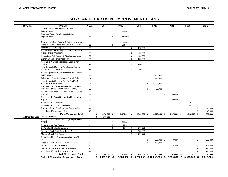| Capital School Park Repairs & Safety<br>Improvements<br>23<br>\$<br>650,000<br>Riverside Rotary Park Repairs & Safety<br>Improvements<br>\$<br>24<br>250,000<br>Chicken Yard Park Repairs & Safety Improvements<br>25<br>\$<br>250,000<br>Treadwell Mine Historic Park Structure Repairs<br>26<br>\$<br>150,000<br>Melvin Park Paving Repairs<br>27<br>\$<br>275,000<br>Savikko Park Lighting Replacement & Treadwell<br>Arena Parking Area Lights<br>28<br>\$<br>400,000<br>Homestead Park Repairs & ADA Improvements<br>29<br>\$<br>450,000<br>Lemon Creek Neighborhood Park<br>30<br>\$<br>250,000<br>Auke Lake Wayside Restrooms, Dock & Picnic<br>Shelter<br>\$<br>31<br>550,000<br>Adair-Kennedy Memorial Park Tennis Court &<br><b>Basketball Court Repairs</b><br>32<br>\$<br>350,000<br>Spaulding Meadows Snow Machine Trail Parking<br>Lot Expansion<br>33<br>\$<br>200,000<br>False Outer Point Campground & Vault Toilet<br>34<br>\$<br>125,000<br>Adair-Kennedy Memorial Park Artificial Turf<br>Baseball & Softball Fields<br>35<br>\$<br>8,200,000<br>Evergreen Cemetery Headstone Restoration for<br>Founding Figures (Juneau, Harris, Kowee)<br>\$<br>36<br>30,000<br>Adair-Kennedy Memorial Park Equipment Storage<br>Expansion<br>37<br>S.<br>350,000<br>Blueberry Hills Snow Machine Trail Parking Lot<br>Expansion<br>\$<br>38<br>200,000<br>Arboretum ADA Walkways<br>39<br>\$<br>75,000<br>Dimond Park Softball Field Lighting<br>40<br>\$<br>600,000<br>Riverside Rotary Park Restroom Construction<br>41<br>\$<br>Auke Cape/X'unaxi Master Plan<br>\$<br>42<br><b>Parks/Rec Areas Total:</b><br>\$<br>$1,478,000$ \$<br>$2,780,000$ \$<br>\$<br>$5,875,000$ \$<br>$9,070,000$ \$<br>$1,075,000$ \$<br>1,210,000<br><b>Trail Maintenance</b><br><b>Trail Improvements</b><br>\$<br>$\mathbf{1}$<br>200,000<br>Kaxdigoowu Heen Dei Trail Bridge Replacement<br>(SFFR)<br>$\overline{2}$<br>\$<br>500,000<br>Perseverance Trail Repairs<br>$\mathfrak s$<br>3<br>100,000<br>$\overline{4}$<br>\$<br>$25,000$ \ \$<br>150,000<br>DuPont Trail Bridge Replacement |                 |                                            |                 |             |             |               |             |             |             |               |
|---------------------------------------------------------------------------------------------------------------------------------------------------------------------------------------------------------------------------------------------------------------------------------------------------------------------------------------------------------------------------------------------------------------------------------------------------------------------------------------------------------------------------------------------------------------------------------------------------------------------------------------------------------------------------------------------------------------------------------------------------------------------------------------------------------------------------------------------------------------------------------------------------------------------------------------------------------------------------------------------------------------------------------------------------------------------------------------------------------------------------------------------------------------------------------------------------------------------------------------------------------------------------------------------------------------------------------------------------------------------------------------------------------------------------------------------------------------------------------------------------------------------------------------------------------------------------------------------------------------------------------------------------------------------------------------------------------------------------------------------------------------------------------------------------------------------------------------------------------------------------------------------------------------------------------------------------------------------------------------------------------------------------------------------------------------------------------------|-----------------|--------------------------------------------|-----------------|-------------|-------------|---------------|-------------|-------------|-------------|---------------|
|                                                                                                                                                                                                                                                                                                                                                                                                                                                                                                                                                                                                                                                                                                                                                                                                                                                                                                                                                                                                                                                                                                                                                                                                                                                                                                                                                                                                                                                                                                                                                                                                                                                                                                                                                                                                                                                                                                                                                                                                                                                                                       | <b>Division</b> | Project                                    | <b>Priority</b> | <b>FY16</b> | <b>FY17</b> | <b>FY18</b>   | <b>FY19</b> | <b>FY20</b> | <b>FY21</b> | <b>Future</b> |
|                                                                                                                                                                                                                                                                                                                                                                                                                                                                                                                                                                                                                                                                                                                                                                                                                                                                                                                                                                                                                                                                                                                                                                                                                                                                                                                                                                                                                                                                                                                                                                                                                                                                                                                                                                                                                                                                                                                                                                                                                                                                                       |                 |                                            |                 |             |             |               |             |             |             |               |
|                                                                                                                                                                                                                                                                                                                                                                                                                                                                                                                                                                                                                                                                                                                                                                                                                                                                                                                                                                                                                                                                                                                                                                                                                                                                                                                                                                                                                                                                                                                                                                                                                                                                                                                                                                                                                                                                                                                                                                                                                                                                                       |                 |                                            |                 |             |             |               |             |             |             |               |
|                                                                                                                                                                                                                                                                                                                                                                                                                                                                                                                                                                                                                                                                                                                                                                                                                                                                                                                                                                                                                                                                                                                                                                                                                                                                                                                                                                                                                                                                                                                                                                                                                                                                                                                                                                                                                                                                                                                                                                                                                                                                                       |                 |                                            |                 |             |             |               |             |             |             |               |
|                                                                                                                                                                                                                                                                                                                                                                                                                                                                                                                                                                                                                                                                                                                                                                                                                                                                                                                                                                                                                                                                                                                                                                                                                                                                                                                                                                                                                                                                                                                                                                                                                                                                                                                                                                                                                                                                                                                                                                                                                                                                                       |                 |                                            |                 |             |             |               |             |             |             |               |
|                                                                                                                                                                                                                                                                                                                                                                                                                                                                                                                                                                                                                                                                                                                                                                                                                                                                                                                                                                                                                                                                                                                                                                                                                                                                                                                                                                                                                                                                                                                                                                                                                                                                                                                                                                                                                                                                                                                                                                                                                                                                                       |                 |                                            |                 |             |             |               |             |             |             |               |
|                                                                                                                                                                                                                                                                                                                                                                                                                                                                                                                                                                                                                                                                                                                                                                                                                                                                                                                                                                                                                                                                                                                                                                                                                                                                                                                                                                                                                                                                                                                                                                                                                                                                                                                                                                                                                                                                                                                                                                                                                                                                                       |                 |                                            |                 |             |             |               |             |             |             |               |
|                                                                                                                                                                                                                                                                                                                                                                                                                                                                                                                                                                                                                                                                                                                                                                                                                                                                                                                                                                                                                                                                                                                                                                                                                                                                                                                                                                                                                                                                                                                                                                                                                                                                                                                                                                                                                                                                                                                                                                                                                                                                                       |                 |                                            |                 |             |             |               |             |             |             |               |
|                                                                                                                                                                                                                                                                                                                                                                                                                                                                                                                                                                                                                                                                                                                                                                                                                                                                                                                                                                                                                                                                                                                                                                                                                                                                                                                                                                                                                                                                                                                                                                                                                                                                                                                                                                                                                                                                                                                                                                                                                                                                                       |                 |                                            |                 |             |             |               |             |             |             |               |
|                                                                                                                                                                                                                                                                                                                                                                                                                                                                                                                                                                                                                                                                                                                                                                                                                                                                                                                                                                                                                                                                                                                                                                                                                                                                                                                                                                                                                                                                                                                                                                                                                                                                                                                                                                                                                                                                                                                                                                                                                                                                                       |                 |                                            |                 |             |             |               |             |             |             |               |
|                                                                                                                                                                                                                                                                                                                                                                                                                                                                                                                                                                                                                                                                                                                                                                                                                                                                                                                                                                                                                                                                                                                                                                                                                                                                                                                                                                                                                                                                                                                                                                                                                                                                                                                                                                                                                                                                                                                                                                                                                                                                                       |                 |                                            |                 |             |             |               |             |             |             |               |
|                                                                                                                                                                                                                                                                                                                                                                                                                                                                                                                                                                                                                                                                                                                                                                                                                                                                                                                                                                                                                                                                                                                                                                                                                                                                                                                                                                                                                                                                                                                                                                                                                                                                                                                                                                                                                                                                                                                                                                                                                                                                                       |                 |                                            |                 |             |             |               |             |             |             |               |
|                                                                                                                                                                                                                                                                                                                                                                                                                                                                                                                                                                                                                                                                                                                                                                                                                                                                                                                                                                                                                                                                                                                                                                                                                                                                                                                                                                                                                                                                                                                                                                                                                                                                                                                                                                                                                                                                                                                                                                                                                                                                                       |                 |                                            |                 |             |             |               |             |             |             |               |
|                                                                                                                                                                                                                                                                                                                                                                                                                                                                                                                                                                                                                                                                                                                                                                                                                                                                                                                                                                                                                                                                                                                                                                                                                                                                                                                                                                                                                                                                                                                                                                                                                                                                                                                                                                                                                                                                                                                                                                                                                                                                                       |                 |                                            |                 |             |             |               |             |             |             |               |
|                                                                                                                                                                                                                                                                                                                                                                                                                                                                                                                                                                                                                                                                                                                                                                                                                                                                                                                                                                                                                                                                                                                                                                                                                                                                                                                                                                                                                                                                                                                                                                                                                                                                                                                                                                                                                                                                                                                                                                                                                                                                                       |                 |                                            |                 |             |             |               |             |             |             |               |
|                                                                                                                                                                                                                                                                                                                                                                                                                                                                                                                                                                                                                                                                                                                                                                                                                                                                                                                                                                                                                                                                                                                                                                                                                                                                                                                                                                                                                                                                                                                                                                                                                                                                                                                                                                                                                                                                                                                                                                                                                                                                                       |                 |                                            |                 |             |             |               |             |             |             |               |
|                                                                                                                                                                                                                                                                                                                                                                                                                                                                                                                                                                                                                                                                                                                                                                                                                                                                                                                                                                                                                                                                                                                                                                                                                                                                                                                                                                                                                                                                                                                                                                                                                                                                                                                                                                                                                                                                                                                                                                                                                                                                                       |                 |                                            |                 |             |             |               |             |             |             |               |
|                                                                                                                                                                                                                                                                                                                                                                                                                                                                                                                                                                                                                                                                                                                                                                                                                                                                                                                                                                                                                                                                                                                                                                                                                                                                                                                                                                                                                                                                                                                                                                                                                                                                                                                                                                                                                                                                                                                                                                                                                                                                                       |                 |                                            |                 |             |             |               |             |             |             |               |
|                                                                                                                                                                                                                                                                                                                                                                                                                                                                                                                                                                                                                                                                                                                                                                                                                                                                                                                                                                                                                                                                                                                                                                                                                                                                                                                                                                                                                                                                                                                                                                                                                                                                                                                                                                                                                                                                                                                                                                                                                                                                                       |                 |                                            |                 |             |             |               |             |             |             |               |
|                                                                                                                                                                                                                                                                                                                                                                                                                                                                                                                                                                                                                                                                                                                                                                                                                                                                                                                                                                                                                                                                                                                                                                                                                                                                                                                                                                                                                                                                                                                                                                                                                                                                                                                                                                                                                                                                                                                                                                                                                                                                                       |                 |                                            |                 |             |             |               |             |             |             |               |
|                                                                                                                                                                                                                                                                                                                                                                                                                                                                                                                                                                                                                                                                                                                                                                                                                                                                                                                                                                                                                                                                                                                                                                                                                                                                                                                                                                                                                                                                                                                                                                                                                                                                                                                                                                                                                                                                                                                                                                                                                                                                                       |                 |                                            |                 |             |             |               |             |             |             |               |
|                                                                                                                                                                                                                                                                                                                                                                                                                                                                                                                                                                                                                                                                                                                                                                                                                                                                                                                                                                                                                                                                                                                                                                                                                                                                                                                                                                                                                                                                                                                                                                                                                                                                                                                                                                                                                                                                                                                                                                                                                                                                                       |                 |                                            |                 |             |             |               |             |             |             |               |
|                                                                                                                                                                                                                                                                                                                                                                                                                                                                                                                                                                                                                                                                                                                                                                                                                                                                                                                                                                                                                                                                                                                                                                                                                                                                                                                                                                                                                                                                                                                                                                                                                                                                                                                                                                                                                                                                                                                                                                                                                                                                                       |                 |                                            |                 |             |             |               |             |             |             |               |
|                                                                                                                                                                                                                                                                                                                                                                                                                                                                                                                                                                                                                                                                                                                                                                                                                                                                                                                                                                                                                                                                                                                                                                                                                                                                                                                                                                                                                                                                                                                                                                                                                                                                                                                                                                                                                                                                                                                                                                                                                                                                                       |                 |                                            |                 |             |             |               |             |             |             |               |
|                                                                                                                                                                                                                                                                                                                                                                                                                                                                                                                                                                                                                                                                                                                                                                                                                                                                                                                                                                                                                                                                                                                                                                                                                                                                                                                                                                                                                                                                                                                                                                                                                                                                                                                                                                                                                                                                                                                                                                                                                                                                                       |                 |                                            |                 |             |             |               |             |             |             |               |
|                                                                                                                                                                                                                                                                                                                                                                                                                                                                                                                                                                                                                                                                                                                                                                                                                                                                                                                                                                                                                                                                                                                                                                                                                                                                                                                                                                                                                                                                                                                                                                                                                                                                                                                                                                                                                                                                                                                                                                                                                                                                                       |                 |                                            |                 |             |             |               |             |             |             |               |
|                                                                                                                                                                                                                                                                                                                                                                                                                                                                                                                                                                                                                                                                                                                                                                                                                                                                                                                                                                                                                                                                                                                                                                                                                                                                                                                                                                                                                                                                                                                                                                                                                                                                                                                                                                                                                                                                                                                                                                                                                                                                                       |                 |                                            |                 |             |             |               |             |             |             |               |
|                                                                                                                                                                                                                                                                                                                                                                                                                                                                                                                                                                                                                                                                                                                                                                                                                                                                                                                                                                                                                                                                                                                                                                                                                                                                                                                                                                                                                                                                                                                                                                                                                                                                                                                                                                                                                                                                                                                                                                                                                                                                                       |                 |                                            |                 |             |             |               |             |             |             |               |
|                                                                                                                                                                                                                                                                                                                                                                                                                                                                                                                                                                                                                                                                                                                                                                                                                                                                                                                                                                                                                                                                                                                                                                                                                                                                                                                                                                                                                                                                                                                                                                                                                                                                                                                                                                                                                                                                                                                                                                                                                                                                                       |                 |                                            |                 |             |             |               |             |             |             | 275,000       |
|                                                                                                                                                                                                                                                                                                                                                                                                                                                                                                                                                                                                                                                                                                                                                                                                                                                                                                                                                                                                                                                                                                                                                                                                                                                                                                                                                                                                                                                                                                                                                                                                                                                                                                                                                                                                                                                                                                                                                                                                                                                                                       |                 |                                            |                 |             |             |               |             |             |             | 45,000        |
|                                                                                                                                                                                                                                                                                                                                                                                                                                                                                                                                                                                                                                                                                                                                                                                                                                                                                                                                                                                                                                                                                                                                                                                                                                                                                                                                                                                                                                                                                                                                                                                                                                                                                                                                                                                                                                                                                                                                                                                                                                                                                       |                 |                                            |                 |             |             |               |             |             |             | 860,000       |
|                                                                                                                                                                                                                                                                                                                                                                                                                                                                                                                                                                                                                                                                                                                                                                                                                                                                                                                                                                                                                                                                                                                                                                                                                                                                                                                                                                                                                                                                                                                                                                                                                                                                                                                                                                                                                                                                                                                                                                                                                                                                                       |                 |                                            |                 |             |             |               |             |             |             |               |
|                                                                                                                                                                                                                                                                                                                                                                                                                                                                                                                                                                                                                                                                                                                                                                                                                                                                                                                                                                                                                                                                                                                                                                                                                                                                                                                                                                                                                                                                                                                                                                                                                                                                                                                                                                                                                                                                                                                                                                                                                                                                                       |                 |                                            |                 |             |             |               |             |             |             |               |
|                                                                                                                                                                                                                                                                                                                                                                                                                                                                                                                                                                                                                                                                                                                                                                                                                                                                                                                                                                                                                                                                                                                                                                                                                                                                                                                                                                                                                                                                                                                                                                                                                                                                                                                                                                                                                                                                                                                                                                                                                                                                                       |                 |                                            |                 |             |             |               |             |             |             |               |
|                                                                                                                                                                                                                                                                                                                                                                                                                                                                                                                                                                                                                                                                                                                                                                                                                                                                                                                                                                                                                                                                                                                                                                                                                                                                                                                                                                                                                                                                                                                                                                                                                                                                                                                                                                                                                                                                                                                                                                                                                                                                                       |                 |                                            |                 |             |             |               |             |             |             |               |
|                                                                                                                                                                                                                                                                                                                                                                                                                                                                                                                                                                                                                                                                                                                                                                                                                                                                                                                                                                                                                                                                                                                                                                                                                                                                                                                                                                                                                                                                                                                                                                                                                                                                                                                                                                                                                                                                                                                                                                                                                                                                                       |                 |                                            |                 |             |             |               |             |             |             |               |
|                                                                                                                                                                                                                                                                                                                                                                                                                                                                                                                                                                                                                                                                                                                                                                                                                                                                                                                                                                                                                                                                                                                                                                                                                                                                                                                                                                                                                                                                                                                                                                                                                                                                                                                                                                                                                                                                                                                                                                                                                                                                                       |                 | Treadwell Ditch Trail - Paris Creek Bridge | 5               |             |             | \$<br>150,000 |             |             |             |               |
| Montana Creek Trail Repairs<br>6<br>\$<br>150,000                                                                                                                                                                                                                                                                                                                                                                                                                                                                                                                                                                                                                                                                                                                                                                                                                                                                                                                                                                                                                                                                                                                                                                                                                                                                                                                                                                                                                                                                                                                                                                                                                                                                                                                                                                                                                                                                                                                                                                                                                                     |                 |                                            |                 |             |             |               |             |             |             |               |
| Brotherhood Park Cross-Country Running/Skiing                                                                                                                                                                                                                                                                                                                                                                                                                                                                                                                                                                                                                                                                                                                                                                                                                                                                                                                                                                                                                                                                                                                                                                                                                                                                                                                                                                                                                                                                                                                                                                                                                                                                                                                                                                                                                                                                                                                                                                                                                                         |                 |                                            |                 |             |             |               |             |             |             |               |
| Trails<br>\$<br>$\overline{7}$<br>\$<br>250,000 \$<br>500,000                                                                                                                                                                                                                                                                                                                                                                                                                                                                                                                                                                                                                                                                                                                                                                                                                                                                                                                                                                                                                                                                                                                                                                                                                                                                                                                                                                                                                                                                                                                                                                                                                                                                                                                                                                                                                                                                                                                                                                                                                         |                 |                                            |                 |             |             |               |             |             |             | 250,000       |
| 8<br>\$<br>150,000<br>Treadwell Ditch Trail - Bonnie Brae Access                                                                                                                                                                                                                                                                                                                                                                                                                                                                                                                                                                                                                                                                                                                                                                                                                                                                                                                                                                                                                                                                                                                                                                                                                                                                                                                                                                                                                                                                                                                                                                                                                                                                                                                                                                                                                                                                                                                                                                                                                      |                 |                                            |                 |             |             |               |             |             |             |               |
| Mt. Jumbo Trail Improvements<br>9<br>\$<br>125,000<br>\$                                                                                                                                                                                                                                                                                                                                                                                                                                                                                                                                                                                                                                                                                                                                                                                                                                                                                                                                                                                                                                                                                                                                                                                                                                                                                                                                                                                                                                                                                                                                                                                                                                                                                                                                                                                                                                                                                                                                                                                                                              |                 |                                            |                 |             |             |               |             |             |             | 125,000       |
| Mendenhall Peninsula Trail Development<br>10<br>$$\mathbb{S}$$                                                                                                                                                                                                                                                                                                                                                                                                                                                                                                                                                                                                                                                                                                                                                                                                                                                                                                                                                                                                                                                                                                                                                                                                                                                                                                                                                                                                                                                                                                                                                                                                                                                                                                                                                                                                                                                                                                                                                                                                                        |                 |                                            |                 |             |             |               |             |             |             | 150,000       |
| Auke Cape/X'unaxi Trail Improvements<br>11<br>\$                                                                                                                                                                                                                                                                                                                                                                                                                                                                                                                                                                                                                                                                                                                                                                                                                                                                                                                                                                                                                                                                                                                                                                                                                                                                                                                                                                                                                                                                                                                                                                                                                                                                                                                                                                                                                                                                                                                                                                                                                                      |                 |                                            |                 |             |             |               |             |             |             | 150,000       |
| <b>Trail Maintenance Total:</b><br>\$<br>s.<br>$200,000$ \$<br>625,000 \$<br>450,000 \$<br>400,000 \$<br>625,000 \$                                                                                                                                                                                                                                                                                                                                                                                                                                                                                                                                                                                                                                                                                                                                                                                                                                                                                                                                                                                                                                                                                                                                                                                                                                                                                                                                                                                                                                                                                                                                                                                                                                                                                                                                                                                                                                                                                                                                                                   |                 |                                            |                 |             |             |               |             |             |             | 675,000       |
| $3,827,100$ \$<br>$10,880,000$ \$ 5,280,000 \$ 10,600,000<br>$\frac{1}{2}$ 6,660,000<br><b>Parks &amp; Recreation Department Total:</b><br>\$6,960,000<br>\$                                                                                                                                                                                                                                                                                                                                                                                                                                                                                                                                                                                                                                                                                                                                                                                                                                                                                                                                                                                                                                                                                                                                                                                                                                                                                                                                                                                                                                                                                                                                                                                                                                                                                                                                                                                                                                                                                                                          |                 |                                            |                 |             |             |               |             |             |             | 3,310,000     |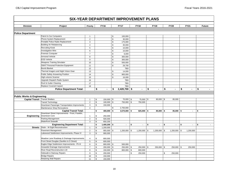|                                           | <b>SIX-YEAR DEPARTMENT IMPROVEMENT PLANS</b>                            |                                |                |                             |              |                |                      |              |            |                |          |                |                      |
|-------------------------------------------|-------------------------------------------------------------------------|--------------------------------|----------------|-----------------------------|--------------|----------------|----------------------|--------------|------------|----------------|----------|----------------|----------------------|
| <b>Division</b>                           | Project                                                                 | Priority                       | <b>FY16</b>    |                             |              | <b>FY17</b>    | <b>FY18</b>          | <b>FY19</b>  |            | <b>FY20</b>    |          | <b>FY21</b>    | <b>Future</b>        |
|                                           |                                                                         |                                |                |                             |              |                |                      |              |            |                |          |                |                      |
| <b>Police Department</b>                  |                                                                         |                                |                |                             |              |                |                      |              |            |                |          |                |                      |
|                                           | Patrol In-Car Computers                                                 | $\mathbf{1}$                   |                |                             | \$           | 100,000        |                      |              |            |                |          |                |                      |
|                                           | Phone System Replacement                                                | $\overline{2}$                 |                |                             | \$           | 30,000         |                      |              |            |                |          |                |                      |
|                                           | Portable Police Radio Replacement                                       | 3                              |                |                             | \$           | 175,000        |                      |              |            |                |          |                |                      |
|                                           | <b>Building Air Rebalancing</b>                                         | $\overline{4}$                 |                |                             | \$           | 30,000         |                      |              |            |                |          |                |                      |
|                                           | <b>Recruiting Kiosk</b>                                                 | 5                              |                |                             | \$           | 10,000         |                      |              |            |                |          |                |                      |
|                                           | <b>Investigative Wire</b>                                               | 6                              |                |                             | $\mathbb S$  | 10,000         |                      |              |            |                |          |                |                      |
|                                           | Forensic Computer                                                       | $\overline{7}$                 |                |                             | \$           | 6,000          |                      |              |            |                |          |                |                      |
|                                           | <b>Armored Vehicle</b>                                                  | 8                              |                |                             | \$           | 300,000        |                      |              |            |                |          |                |                      |
|                                           | <b>EOD Vehicle</b>                                                      | 9                              |                |                             | \$           | 300,000        |                      |              |            |                |          |                |                      |
|                                           | <b>Weapons Training Simulator</b>                                       | 10                             |                |                             | \$           | 500,000        |                      |              |            |                |          |                |                      |
|                                           | SWAT Personal Protective Equipment                                      | 11                             |                |                             | \$           | 29,700         |                      |              |            |                |          |                |                      |
|                                           | <b>Bomb Blanket</b>                                                     | 12                             |                |                             |              | TBD            |                      |              |            |                |          |                |                      |
|                                           | Thermal Imagers and Night Vision Gear                                   | 13                             |                |                             | \$           | 14,000         |                      |              |            |                |          |                |                      |
|                                           | Public Safety Answering Position                                        | 14                             |                |                             | \$           | 900,000        |                      |              |            |                |          |                |                      |
|                                           | High-volume Scanner                                                     | 15                             |                |                             | \$           | 16,000         |                      |              |            |                |          |                |                      |
|                                           | Upgrade Dispatch Radio System                                           | 16                             |                |                             |              | <b>TBD</b>     |                      |              |            |                |          |                |                      |
|                                           | Roof & Gutter Cleaning                                                  | 17                             |                |                             |              | <b>TBD</b>     |                      |              |            |                |          |                |                      |
|                                           | Replace Covered Carport                                                 | 18                             |                |                             |              | <b>TBD</b>     |                      |              |            |                |          |                |                      |
|                                           | <b>Police Department Total:</b>                                         |                                | \$             |                             | \$           | $2,420,700$ \$ |                      | \$           | \$         | $\blacksquare$ | \$       | $\blacksquare$ | \$                   |
|                                           |                                                                         |                                |                |                             |              |                |                      |              |            |                |          |                |                      |
|                                           |                                                                         |                                |                |                             |              |                |                      |              |            |                |          |                |                      |
| <b>Public Works &amp; Engineering</b>     |                                                                         |                                |                |                             |              |                |                      |              |            |                |          |                |                      |
| <b>Capital Transit   Transit Shelters</b> |                                                                         | $\mathbf{1}$                   | \$             | $150,000$ \$                |              | 70,000 \$      | 75,000 \$            | $80,000$ \$  |            | 85,000         |          |                |                      |
|                                           | <b>Transit Technology</b>                                               | $\mathbf 2$                    | \$             | $100,000$ \$                |              | 750,000 \$     | 750,000              |              |            |                |          |                |                      |
|                                           | Downtown Passenger Transportation Improvments                           | 3                              | \$             | 150,000                     |              |                |                      |              |            |                |          |                |                      |
|                                           | Maintenance Shop Renovations                                            | $\overline{4}$                 |                |                             | \$           | 2,750,000      |                      |              |            |                |          |                |                      |
|                                           | <b>Capital Transit Total:</b>                                           |                                | \$             | 400,000                     | \$           | $3,570,000$ \$ | $825,000$ \$         | $80,000$ \$  |            | 85,000 \$      |          | $\blacksquare$ | \$<br>$\blacksquare$ |
|                                           | Downtown Street Improvements - Front, Franklin,                         |                                |                |                             |              |                |                      |              |            |                |          |                |                      |
| Engineering                               | Downtown Core<br>Parking Management                                     | $\mathbf{1}$<br>$\overline{2}$ | \$             | 250,000                     |              |                |                      |              |            |                |          |                |                      |
|                                           | <b>Waterfront Seawalk</b>                                               | 3                              | \$<br>\$       | 500,000<br>650,200          |              |                |                      |              |            |                |          |                |                      |
|                                           |                                                                         |                                | \$             |                             |              | $\blacksquare$ | \$<br>$\blacksquare$ | \$<br>$\sim$ | \$         | $\sim$         | \$       | $\blacksquare$ | \$<br>$\blacksquare$ |
| <b>Streets</b>                            | <b>Engineering Department Total:</b><br>Distin - W Eight Reconstruction |                                | \$             | $1,400,200$ \$<br>1,200,000 |              |                |                      |              |            |                |          |                |                      |
|                                           |                                                                         | $\mathbf{1}$<br>$\overline{2}$ | $\mathbb S$    | $955,000$ \$                |              | $1,200,000$ \$ | $1,200,000$ \$       | 1,200,000    | $\sqrt{3}$ | $1,200,000$ \$ |          | 1,200,000      |                      |
|                                           | Pavement Management<br>Lakewood Subdivision Improvements, Phase IV      |                                | \$             | 900,000                     |              |                |                      |              |            |                |          |                |                      |
|                                           |                                                                         | 3                              |                |                             |              |                |                      |              |            |                |          |                |                      |
|                                           | Meadow Lane Roadway & Drainage Improvements                             |                                | \$             | 800,000                     |              |                |                      |              |            |                |          |                |                      |
|                                           | Front Street Douglas (Savikko to D Street)                              |                                |                | 600,000                     |              |                |                      |              |            |                |          |                |                      |
|                                           | Eagles Edge Subdivision Improvements - Ph III                           |                                |                |                             | $800,000$ \$ | 500,000        |                      |              |            |                |          |                |                      |
|                                           | Areawide Drainage Improvements                                          | 6<br>$\overline{7}$            | \$<br>\$       | 200,000                     | \$           | 250,000 \$     | $250,000$ \$         | 250,000 \$   |            | 250,000        | <b>S</b> | 250,000        |                      |
|                                           | River Road Reconstruction LID                                           | 8                              | $$\mathbb{S}$$ | 150,000                     | \$           | 800,000        | \$<br>800,000        |              |            |                |          |                |                      |
|                                           | Sidewalk & Stairway Repairs                                             | 9                              | \$             | 200,000                     |              |                | \$<br>250,000        |              | \$         | 250,000        |          |                |                      |
|                                           | <b>Bridge Repairs</b>                                                   | 10                             | \$             | 150,000                     |              |                |                      |              |            |                |          |                |                      |
|                                           | <b>Retaining Wall Repairs</b>                                           | 11                             | \$             | 150,000                     |              |                |                      |              |            |                |          |                |                      |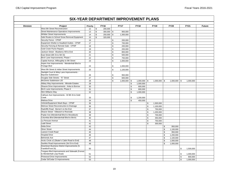| <b>Division</b> | Project                                              | <b>Priority</b> | <b>FY16</b>        |               | <b>FY17</b> |                | <b>FY18</b>    |             | <b>FY19</b>    | <b>FY20</b>    | <b>FY21</b>               | <b>Future</b> |
|-----------------|------------------------------------------------------|-----------------|--------------------|---------------|-------------|----------------|----------------|-------------|----------------|----------------|---------------------------|---------------|
|                 | West 8th Street Reconstruction                       | 12              | \$<br>200,000      |               |             |                |                |             |                |                |                           |               |
|                 | <b>Street Maintenance Operations Improvements</b>    | 13              | \$<br>$300,000$ \$ |               | 900,000     |                |                |             |                |                |                           |               |
|                 | <b>Whittier Street Improvements</b>                  | 14              | \$<br>250,000 \$   |               | 1,300,000   |                |                |             |                |                |                           |               |
|                 | Safe Routes to School Snow Removal Equipment         | 15              | \$<br>320,000      |               |             |                |                |             |                |                |                           |               |
|                 | Security Fence - CPWF                                | 16              |                    | \$            | 200,000     |                |                |             |                |                |                           |               |
|                 | Equipment Shelter & Headbolt Outlets - CPWF          | 17              |                    | $\mathfrak s$ | 700,000     |                |                |             |                |                |                           |               |
|                 | Security Fencing & Remote Gate - CPWF                | 18              |                    | \$            | 200,000     |                |                |             |                |                |                           |               |
|                 | <b>Gold Creek Flume Repairs</b>                      | 19              |                    | \$            | 200,000     |                |                |             |                |                |                           |               |
|                 | Jackson Street - Blueberry Hill to End               | 20              |                    | \$            | 800,000     |                |                |             |                |                |                           |               |
|                 | East Street (6th St to 5th St)                       | 21              |                    | \$            | 500,000     |                |                |             |                |                |                           |               |
|                 | Birch Lane Improvements, Phase I                     | 22              |                    | \$            | 750,000     |                |                |             |                |                |                           |               |
|                 | Capital Avenue, Willoughby to 9th Street             | 23              |                    | \$            | 1,000,000   |                |                |             |                |                |                           |               |
|                 | Aspen Ave Improvements - Mendenhall Blvd to          |                 |                    |               |             |                |                |             |                |                |                           |               |
|                 | Portage Blvd                                         | 24              |                    | \$            | 1,000,000   |                |                |             |                |                |                           |               |
|                 | West 9th Street & Indian Street Improvements         | 25              |                    | \$            | 1,100,000   |                |                |             |                |                |                           |               |
|                 | Starlight Court & Misty Lane Improvements -          |                 |                    |               |             |                |                |             |                |                |                           |               |
|                 | <b>Bayview Subdivision</b>                           | 26              |                    | \$            | 950,000     |                |                |             |                |                |                           |               |
|                 | Douglas Side Streets - "E" Street                    | 27              |                    | \$            | 600,000     |                |                |             |                |                |                           |               |
|                 | McGinnis Subdivision LID                             | 28              |                    | \$            | 1,000,000   | \$             | $1,000,000$ \$ |             | $1,000,000$ \$ | $1,000,000$ \$ | 1,000,000                 |               |
|                 | Abbey Way Improvements - Mtnside Estates             | 29              |                    |               |             | \$             | 1,000,000      |             |                |                |                           |               |
|                 | Shaune Drive Improvements - Anka to Borrow           | 30              |                    |               |             | \$             | 800,000        |             |                |                |                           |               |
|                 | Birch Lane Improvements, Phase II                    | 31              |                    |               |             | \$             | 800,000        |             |                |                |                           |               |
|                 | Slim Williams Way                                    | 32              |                    |               |             | $\mathfrak{s}$ | 1,000,000      |             |                |                |                           |               |
|                 |                                                      |                 |                    |               |             |                |                |             |                |                |                           |               |
|                 | Calhoun Ave Improvements - W 8th St to Gold<br>Creek | 33              |                    |               |             | \$             | 1,200,000      |             |                |                |                           |               |
|                 | Malissa Drive                                        | 34              |                    |               |             | $\mathbb{S}$   | 450,000        |             |                |                |                           |               |
|                 | Vehicle/Equipment Wash Bays - CPWF                   | 35              |                    |               |             |                |                | \$          | 1,500,000      |                |                           |               |
|                 |                                                      |                 |                    |               |             |                |                |             |                |                |                           |               |
|                 | Melrose Street Reconstruction & Drainage             | 36              |                    |               |             |                |                | \$          | 1,100,000      |                |                           |               |
|                 | Radcliffe Road - Berner's to the End                 | 37              |                    |               |             |                |                | \$          | 750,000        |                |                           |               |
|                 | Sharon Street - Killewich to Riverside               | 38              |                    |               |             |                |                | \$          | 1,200,000      |                |                           |               |
|                 | Poplar Ave (Mendenhall Blvd to Woodduck)             | 39              |                    |               |             |                |                | $\mathbb S$ | 700,000        |                |                           |               |
|                 | Columbia Blvd (Mendenhall Blvd to Birch)             | 40              |                    |               |             |                |                | \$          | 350,000        |                |                           |               |
|                 | La Perouse Avenue                                    | 41              |                    |               |             |                |                | \$          | 750,000        |                |                           |               |
|                 | <b>Ladd Street</b>                                   | 42              |                    |               |             |                |                | \$          | 300,000        |                |                           |               |
|                 | Delta Drive                                          | 43              |                    |               |             |                |                |             | \$             | 950,000        |                           |               |
|                 | <b>Silver Street</b>                                 | 44              |                    |               |             |                |                |             | \$             | 1,100,000      |                           |               |
|                 | Lawson Creek Road                                    | 45              |                    |               |             |                |                |             | \$             | 950,000        |                           |               |
|                 | <b>Hospital Drive</b>                                | 46              |                    |               |             |                |                |             | \$             | 1,200,000      |                           |               |
|                 | <b>Behrends Ave</b>                                  | 47              |                    |               |             |                |                |             | \$             | 1,100,000      |                           |               |
|                 | Arctic Circle x2 (Skater's Cabin Road to End)        | 48              |                    |               |             |                |                |             | $$\mathbb{S}$$ | 1,000,000      |                           |               |
|                 | Savikko Road Improvements (3rd St to End)            | 49              |                    |               |             |                |                |             | $\mathbb S$    | 1,000,000      |                           |               |
|                 | Downtown Business District Improvements (S.          |                 |                    |               |             |                |                |             |                |                |                           |               |
|                 | Franklin/Front St)                                   | 50              |                    |               |             |                |                |             |                |                | \$<br>1,500,000           |               |
|                 | Tongass Blvd Improvements and Sidewalk (Forrest      |                 |                    |               |             |                |                |             |                |                |                           |               |
|                 | to Mendenhall Loop Road)                             | 51              |                    |               |             |                |                |             |                |                | \$<br>1,000,000           |               |
|                 | Pinewood Drive Improvements                          | 52              |                    |               |             |                |                |             |                |                | $$\mathbb{S}$$<br>800,000 |               |
|                 | Cedar St/Cedar Ct Improvements                       | 53              |                    |               |             |                |                |             |                |                | $\mathbb S$<br>1,000,000  |               |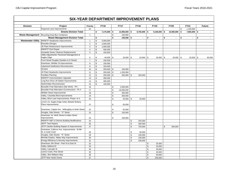| <b>Division</b>           | Project                                            | Priority       |                | <b>FY16</b>  |                    | <b>FY17</b>     | <b>FY18</b>    |             | <b>FY19</b>    | <b>FY20</b>          | <b>FY21</b>       |    | <b>Future</b>  |
|---------------------------|----------------------------------------------------|----------------|----------------|--------------|--------------------|-----------------|----------------|-------------|----------------|----------------------|-------------------|----|----------------|
|                           | Dogwood Lane Improvements                          | 54             |                |              |                    |                 |                |             |                |                      | \$<br>1,100,000   |    |                |
|                           | <b>Streets Division Total:</b>                     |                | \$             | 7,175,000 \$ |                    | $13,950,000$ \$ | $8,750,000$ \$ |             | $9,100,000$ \$ | 10,000,000           | \$<br>7,850,000   | -S | $\blacksquare$ |
|                           | Waste Management Recycling Drop-Box Containers     | $\mathbf{1}$   |                |              | \$                 | 100,000         |                |             |                |                      |                   |    |                |
|                           | <b>Waste Management Division Total:</b>            |                | \$             | $\sim$       | \$                 | $100,000$ \$    | $\sim$         | \$          | $\blacksquare$ | \$<br>$\blacksquare$ | \$                | \$ | $\blacksquare$ |
| <b>Wastewater Utility</b> | MWWTP Headworks Improvements                       | $\mathbf{1}$   | \$             | 3,000,000    |                    |                 |                |             |                |                      |                   |    |                |
|                           | Biosolids (Design)                                 | $\overline{2}$ | $$\mathbb{S}$$ | 2,000,000    |                    |                 |                |             |                |                      |                   |    |                |
|                           | JD Plant Infrastructure Improvements               | 3              | $\mathbb S$    | 1,000,000    |                    |                 |                |             |                |                      |                   |    |                |
|                           | <b>MWWTP Roof Repair</b>                           | $\overline{4}$ | \$             | 500,000      |                    |                 |                |             |                |                      |                   |    |                |
|                           | Areawide Sewer Cleanout Replacements               | 5              | \$             | 150,000      |                    |                 |                |             |                |                      |                   |    |                |
|                           | Utility Adjustments: Pavement Management &         |                |                |              |                    |                 |                |             |                |                      |                   |    |                |
|                           | Eagles Edge                                        | $\,6\,$        | \$             | 40,000 \$    |                    | $20,000$ \$     | $20,000$ \$    |             | $20,000$ \$    | 20,000               | \$<br>$20,000$ \$ |    | 60,000         |
|                           | Front Street Douglas (Savikko to D Street)         | $\overline{7}$ | $\mathfrak s$  | 150,000      |                    |                 |                |             |                |                      |                   |    |                |
|                           | Downtown, Whittier St Improvements                 | 8              | \$             | 150,000      |                    |                 |                |             |                |                      |                   |    |                |
|                           | Lakewood Subdivision Reconstruction                | 9              | \$             | 150,000      |                    |                 |                |             |                |                      |                   |    |                |
|                           | <b>SCADA</b>                                       | 10             | $$\mathbb{S}$$ | $250,000$ \$ |                    | 100,000         |                |             |                |                      |                   |    |                |
|                           | JD Plant Headworks Improvements                    | 11             | \$             | $250,000$ \$ |                    | 1,250,000       |                |             |                |                      |                   |    |                |
|                           | <b>Facilities Planning</b>                         | 12             | \$             | $250,000$ \$ |                    | 350,000 \$      | 250,000        |             |                |                      |                   |    |                |
|                           | <b>MWWTP Instrumentation Upgrades</b>              | 13             | $\mathbb S$    | 300,000      |                    |                 |                |             |                |                      |                   |    |                |
|                           | Long Run Drive Lift Station Improvements           | 14             | \$             | 300,000      |                    |                 |                |             |                |                      |                   |    |                |
|                           | Distin/Indian Reconstruction                       | 15             | \$             | 100,000      |                    |                 |                |             |                |                      |                   |    |                |
|                           | Biosolids Final Alternative (Site Work) - Ph I     | 16             |                |              | \$                 | 2,000,000       |                |             |                |                      |                   |    |                |
|                           | Biosolids Final Alternative (Construction) - Ph II | 17             |                |              | \$                 | 16,000,000      |                |             |                |                      |                   |    |                |
|                           | <b>Whittier Street Improvements</b>                | 18             |                |              | $\mathbf{\hat{s}}$ | 355,000         |                |             |                |                      |                   |    |                |
|                           | Valley, Columbia Blvd Improvements                 | 19             |                |              | \$                 | 300,000         |                |             |                |                      |                   |    |                |
|                           | Valley, Birch Lane Improvements, Phase I & II      | 20             |                |              | \$                 | $25,000$ \$     | 25,000         |             |                |                      |                   |    |                |
|                           | Lemon Ck, Eagles Edge Subd, Belardi/ Brittany      |                |                |              |                    |                 |                |             |                |                      |                   |    |                |
|                           | Place Improvements                                 | 21             |                |              | \$                 | 50,000          |                |             |                |                      |                   |    |                |
|                           |                                                    |                |                |              |                    |                 |                |             |                |                      |                   |    |                |
|                           | Downtown, Capitol Ave - Willoughby to Ninth Street | 22             |                |              | \$                 | 50,000          |                |             |                |                      |                   |    |                |
|                           | Douglas, Side Streets - "D" Street                 | 23             |                |              | ${\mathbb S}$      | 100,000         |                |             |                |                      |                   |    |                |
|                           | Downtown, W. Ninth Street & Indian Street          |                |                |              |                    |                 |                |             |                |                      |                   |    |                |
|                           | Improvements                                       | 24             |                |              | \$                 | 100,000         |                |             |                |                      |                   |    |                |
|                           | MWWTP ABF & Chlorine Building Modifications        | 25             |                |              |                    |                 | \$<br>250,000  |             |                |                      |                   |    |                |
|                           | <b>ABTP Tank Repairs</b>                           | 26             |                |              |                    |                 | \$<br>300,000  |             |                |                      |                   |    |                |
|                           | JDTP Clarifier Building Repairs & Improvements     | 27             |                |              |                    |                 | \$<br>750,000  |             |                | \$<br>500,000        |                   |    |                |
|                           | Downtown, Calhoun Ave. Improvements - W 8th        |                |                |              |                    |                 |                |             |                |                      |                   |    |                |
|                           | St. to Gold Creek                                  | 28             |                |              |                    |                 | \$<br>50,000   |             |                |                      |                   |    |                |
|                           | Douglas, Side Streets - "E" Street                 | 29             |                |              |                    |                 | \$<br>100,000  |             |                |                      |                   |    |                |
|                           | Mtnside Estates, Abbey Way Improvements            | 30             |                |              |                    |                 | \$<br>100,000  |             |                |                      |                   |    |                |
|                           | Energy Efficiency & Security Improvements          | 31             |                |              |                    |                 | \$<br>100,000  |             |                |                      |                   |    |                |
|                           | Downtown, 6th Street - Park St to East St          | 32             |                |              |                    |                 |                | \$          | 25,000         |                      |                   |    |                |
|                           | Valley, Malissa Dr                                 | 33             |                |              |                    |                 |                | \$          | 25,000         |                      |                   |    |                |
|                           | Valley, Cascade St                                 | 34             |                |              |                    |                 |                | \$          | 35,000         |                      |                   |    |                |
|                           | Lemon Creek, Pine Street                           | 35             |                |              |                    |                 |                | \$          | 45,000         |                      |                   |    |                |
|                           | Valley, Slim Williams Way                          | 36             |                |              |                    |                 |                | $\mathbb S$ | 50,000         |                      |                   |    |                |
|                           | <b>JDTP New Vactor Dump</b>                        | 37             |                |              |                    |                 |                | \$          | 250,000        |                      |                   |    |                |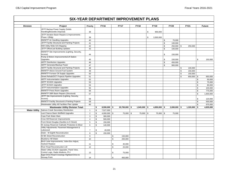| <b>Division</b>      | Project                                                          | Priority       |                | <b>FY16</b>    |              | <b>FY17</b>     | <b>FY18</b>    | <b>FY19</b>     |               | <b>FY20</b>    |                | <b>FY21</b> | <b>Future</b>   |
|----------------------|------------------------------------------------------------------|----------------|----------------|----------------|--------------|-----------------|----------------|-----------------|---------------|----------------|----------------|-------------|-----------------|
|                      | JDTP Backup Power Supply (Solids<br>Handling/Biosolids Disposal) | 38             |                |                |              |                 |                | \$<br>900,000   |               |                |                |             |                 |
|                      | JDTP Aeration Basin Repairs & Improvements -                     |                |                |                |              |                 |                |                 |               |                |                |             |                 |
|                      | Phase I (Bldg)                                                   | 39             |                |                |              |                 |                | \$<br>3,500,000 |               |                |                |             |                 |
|                      | <b>MWWTP Air Handling Upgrades</b>                               | 40             |                |                |              |                 |                |                 | \$            | 70,000         |                |             |                 |
|                      | JDTP Facility Structural and Painting Projects                   | 41             |                |                |              |                 |                |                 | \$            | 100,000        |                |             |                 |
|                      | WW Utility Wide GIS Mapping                                      | 42             |                |                |              |                 |                |                 | $\mathbb S$   | $250,000$ \$   |                | 250,000     |                 |
|                      | JDTP Office/Lab Building Updates                                 | 43             |                |                |              |                 |                |                 | \$            | 100,000        |                |             |                 |
|                      | MWWTP Site Improvements (Lighting, Security,                     |                |                |                |              |                 |                |                 |               |                |                |             |                 |
|                      | Access)                                                          | 44             |                |                |              |                 |                |                 | \$            | 150,000        |                |             |                 |
|                      | Pump & Motors Improvements/Lift Station                          |                |                |                |              |                 |                |                 |               |                |                |             |                 |
|                      | Upgrades                                                         | 45             |                |                |              |                 |                |                 | \$            | 150,000        |                |             | \$<br>150,000   |
|                      | <b>ABTP Disinfection Upgrades</b>                                | 46             |                |                |              |                 |                |                 | $\mathbb S$   | 450,000        |                |             |                 |
|                      | <b>ABTP Generator/Backup Power</b>                               | 47             |                |                |              |                 |                |                 | \$            | 900,000        |                |             |                 |
|                      | <b>ABTP Facility Structural and Painting Projects</b>            | 48             |                |                |              |                 |                |                 |               |                | \$             | 100,000     |                 |
|                      | MWWTP Above Ground Fuel System                                   | 49             |                |                |              |                 |                |                 |               |                | \$             | 150,000     |                 |
|                      | MWWTP Furnace Oil Supply Upgrades                                | 50             |                |                |              |                 |                |                 |               |                | $$\mathbb{S}$$ | 150,000     |                 |
|                      | Street Rehab/DOT Projects Pipeline Upgrades                      | 51             |                |                |              |                 |                |                 |               |                | \$             | 650,000 \$  | 650,000         |
|                      | <b>ABTP Instrumentation Upgrades</b>                             | 52             |                |                |              |                 |                |                 |               |                |                |             | \$<br>50,000    |
|                      | <b>ABTP SCADA Upgrades</b>                                       | 53             |                |                |              |                 |                |                 |               |                |                |             | \$<br>75,000    |
|                      | <b>JDTP SCADA Upgrades</b>                                       | 54             |                |                |              |                 |                |                 |               |                |                |             | \$<br>80,000    |
|                      | <b>JDTP Instrumentation Upgrades</b>                             | 55             |                |                |              |                 |                |                 |               |                |                |             | \$<br>100,000   |
|                      | MWWTP Press Room Upgrades                                        | 56             |                |                |              |                 |                |                 |               |                |                |             | \$<br>775,000   |
|                      | MWWTP SBR Basin Repairs (Structural)                             | 57             |                |                |              |                 |                |                 |               |                |                |             | \$<br>1,600,000 |
|                      | JDTP Site Improvements (Lighting, Security,                      |                |                |                |              |                 |                |                 |               |                |                |             |                 |
|                      | Access)                                                          | 58             |                |                |              |                 |                |                 |               |                |                |             | \$<br>120,000   |
|                      | MWWTP Facility Structural & Painting Projects                    | 59             |                |                |              |                 |                |                 |               |                |                |             | \$<br>500,000   |
|                      | Wastewater Utility All Facilities Plan Update                    | 60             |                |                |              |                 |                |                 |               |                |                |             | \$<br>675,000   |
|                      | <b>Wastewater Utility Division Total:</b>                        |                | \$             | $8,590,000$ \$ |              | $20,700,000$ \$ | $1,945,000$ \$ | $4,850,000$ \$  |               | $2,690,000$ \$ |                | 1,320,000   | \$<br>4,835,000 |
| <b>Water Utility</b> | Salmon Creek Secondary Disinfection                              | $\mathbf{1}$   | \$             | 7,527,000      |              |                 |                |                 |               |                |                |             |                 |
|                      | Last Chance Basin Wellfield Upgrades                             | $\overline{2}$ | $\mathfrak s$  | 4,000,000 \$   |              | 75,000 \$       | 75,000 \$      | 75,000          | $\mathfrak s$ | 75,000         |                |             |                 |
|                      | Cope Park Water Main                                             | 3              | \$             | 300,000        |              |                 |                |                 |               |                |                |             |                 |
|                      | Crow Hill Reservoir Improvements                                 | $\overline{4}$ | $\mathfrak s$  | 500,000        |              |                 |                |                 |               |                |                |             |                 |
|                      | Front Street Douglas (Savikko to D Street)                       | 5              | $$\mathbb{S}$$ | 150,000        |              |                 |                |                 |               |                |                |             |                 |
|                      | W Juneau Reservoir-Cathodic Protection & Mixer                   | 6              | $\mathfrak s$  | 140,000        |              |                 |                |                 |               |                |                |             |                 |
|                      | Utility Adjustments: Pavement Management &                       |                |                |                |              |                 |                |                 |               |                |                |             |                 |
|                      | Lakewood                                                         | $\overline{7}$ | \$             | 40,000         |              |                 |                |                 |               |                |                |             |                 |
|                      | Distin - W Eighth Reconstruction                                 | 8              | \$             | 150,000        |              |                 |                |                 |               |                |                |             |                 |
|                      | W 8th Street Reconstruction                                      | 9              |                |                | $\mathbb{S}$ | 150,000         |                |                 |               |                |                |             |                 |
|                      | <b>Blueberry Hill Water</b>                                      | 10             |                |                | $\mathbb{S}$ | 200,000         |                |                 |               |                |                |             |                 |
|                      | Birch Lane Improvements, Valve Box Adjust,                       |                |                |                |              |                 |                |                 |               |                |                |             |                 |
|                      | <b>Hydrant Replace</b>                                           | 11             |                |                | \$           | 40,000          |                |                 |               |                |                |             |                 |
|                      | River Road Reconstruction LID                                    | 12             |                |                | \$           | 20,000          |                |                 |               |                |                |             |                 |
|                      | Water Utility SCADA Upgrades, Panel View,                        |                |                |                |              |                 |                |                 |               |                |                |             |                 |
|                      | Control Logic, Radio Modems, Ph I                                | 13             |                |                | \$           | 75,000          |                |                 |               |                |                |             |                 |
|                      | Egan Drive Road Crossings Highland Drive to                      |                |                |                |              |                 |                |                 |               |                |                |             |                 |
|                      | Norway Point                                                     | 14             |                |                | \$           | 450,000         |                |                 |               |                |                |             |                 |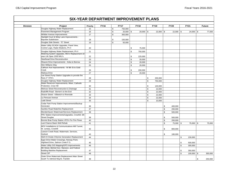|                 |                                                                           |          |             |                    | <b>FY17</b>       |                |               |                |             |             |                |              |               |               |
|-----------------|---------------------------------------------------------------------------|----------|-------------|--------------------|-------------------|----------------|---------------|----------------|-------------|-------------|----------------|--------------|---------------|---------------|
| <b>Division</b> | Project<br>Douglas Highway Water Replacement                              | Priority | <b>FY16</b> |                    |                   |                | <b>FY18</b>   |                | <b>FY19</b> | <b>FY20</b> |                | <b>FY21</b>  |               | <b>Future</b> |
|                 | Pavement Management Program                                               | 15<br>16 |             | \$<br>$\mathbb{S}$ | 750,000<br>20,000 | $\mathfrak{s}$ | $20,000$ \ \$ |                | $22,000$ \$ | $22,000$ \$ |                |              |               |               |
|                 | Whittier Avenue Improvements                                              | 17       |             | \$                 |                   |                |               |                |             |             |                | 24,000       | $\sqrt[6]{3}$ | 77,000        |
|                 | Starlight Court & Misty Lane Improvements -                               |          |             |                    | 350,000           |                |               |                |             |             |                |              |               |               |
|                 | <b>Bayview Subdivision</b>                                                | 18       |             | \$                 | 150,000           |                |               |                |             |             |                |              |               |               |
|                 | Douglas Side Streets - "E" Street                                         | 19       |             | \$                 | 50,000            |                |               |                |             |             |                |              |               |               |
|                 | Water Utility SCADA Upgrades, Panel View,                                 |          |             |                    |                   |                |               |                |             |             |                |              |               |               |
|                 | Control Logic, Radio Modems, Ph II                                        | 20       |             |                    |                   | \$             | 75,000        |                |             |             |                |              |               |               |
|                 | Douglas Highway Water Replacement, Ph II                                  | 21       |             |                    |                   | \$             | 750,000       |                |             |             |                |              |               |               |
|                 | Metering System Upgrades, MIU's Replacement 10                            |          |             |                    |                   |                |               |                |             |             |                |              |               |               |
|                 | year Life Span 1500 MIU's                                                 | 22       |             |                    |                   | \$             | 225,000       |                |             |             |                |              |               |               |
|                 | <b>Steelhead Drive Reconstruction</b>                                     | 23       |             |                    |                   | $$\mathbb{S}$$ | 20,000        |                |             |             |                |              |               |               |
|                 | Shaune Drive Improvements - Anka to Borrow                                | 24       |             |                    |                   | \$             | 20,000        |                |             |             |                |              |               |               |
|                 | Slim Williams Way                                                         | 25       |             |                    |                   | $\mathfrak{s}$ | 20,000        |                |             |             |                |              |               |               |
|                 | Calhoun Ave Improvements - W 8th St to Gold                               |          |             |                    |                   |                |               |                |             |             |                |              |               |               |
|                 | Creek                                                                     | 26       |             |                    |                   | \$             | 200,000       |                |             |             |                |              |               |               |
|                 | Malissa Drive                                                             | 27       |             |                    |                   | $\mathfrak{s}$ | 20,000        |                |             |             |                |              |               |               |
|                 | Lee Street Pump Station Upgrades to provide fire                          |          |             |                    |                   |                |               |                |             |             |                |              |               |               |
|                 | flows 4" VFD's                                                            | 28       |             |                    |                   |                |               | \$             | 200,000     |             |                |              |               |               |
|                 | Douglas Highway Water Replacement                                         | 29       |             |                    |                   |                |               | $$\mathbb{S}$$ | 750,000     |             |                |              |               |               |
|                 | Water Reservoir Improvements, Mixer, Cathodic<br>Protection, Crow Hill    | 30       |             |                    |                   |                |               | \$             | 140,000     |             |                |              |               |               |
|                 | Melrose Street Reconstruction & Drainage                                  | 31       |             |                    |                   |                |               | $$\mathbb{S}$$ | 22,000      |             |                |              |               |               |
|                 | Radcliffe Road - Berner's to the End                                      | 32       |             |                    |                   |                |               | $$\mathbb{S}$$ |             |             |                |              |               |               |
|                 |                                                                           |          |             |                    |                   |                |               |                | 22,000      |             |                |              |               |               |
|                 | Sharon Street - Killewich to Riverside                                    | 33       |             |                    |                   |                |               | \$             | 22,000      |             |                |              |               |               |
|                 | La Perouse Avenue                                                         | 34       |             |                    |                   |                |               | \$             | 22,000      |             |                |              |               |               |
|                 | <b>Ladd Street</b>                                                        | 35       |             |                    |                   |                |               | \$             | 10,000      |             |                |              |               |               |
|                 | Cedar Park Pump Station Improvements/Backup<br>Generator                  |          |             |                    |                   |                |               |                |             |             |                |              |               |               |
|                 |                                                                           | 36       |             |                    |                   |                |               |                | \$          | 400,000     |                |              |               |               |
|                 | Savikko Road Waterline Replacement                                        | 37       |             |                    |                   |                |               |                | $\mathbb S$ | 200,000     |                |              |               |               |
|                 | Mendenhaven Watermain/Services Replacement                                | 38       |             |                    |                   |                |               |                | $\mathbb S$ | 500,000     |                |              |               |               |
|                 | PRV Station Improvements/Upgrades, Crowhill, 5th<br><b>Street Douglas</b> |          |             |                    |                   |                |               |                |             |             |                |              |               |               |
|                 | Bonnie Brae Pump Station VFD's For Fire Flows                             | 39       |             |                    |                   |                |               |                | \$<br>$\,$  | 500,000     |                |              |               |               |
|                 | Last Chance Basin Well Rehab                                              | 40       |             |                    |                   |                |               |                |             | 200,000     |                |              |               |               |
|                 |                                                                           | 41       |             |                    |                   |                |               |                | $\,$        | 75,000 \$   |                | 75,000       | \$            | 75,000        |
|                 | MOV Installations & Communications Mill Tunnel,<br>W. Juneau, Crowhill    | 42       |             |                    |                   |                |               |                | \$          |             |                |              |               |               |
|                 | Lawson Creek Road, Watermain, Services,                                   |          |             |                    |                   |                |               |                |             | 800,000     |                |              |               |               |
|                 | Hydrant                                                                   | 43       |             |                    |                   |                |               |                | \$          | 180,000     |                |              |               |               |
|                 | Well #3 Onsite Chlorine Generation Replacement                            | 44       |             |                    |                   |                |               |                |             |             | \$             | 230,000      |               |               |
|                 | Egan Drive Water Crossings, Norway Point,                                 |          |             |                    |                   |                |               |                |             |             |                |              |               |               |
|                 | Highland Drive, Salmon Creek P.S.                                         | 45       |             |                    |                   |                |               |                |             |             | \$             | 500,000      |               |               |
|                 | Water Utility GIS Mapping/GPS Improvements                                | 46       |             |                    |                   |                |               |                |             |             | \$             | 300,000      |               |               |
|                 | 8th Street, Behind Gov. Mansion, and Federal                              |          |             |                    |                   |                |               |                |             |             |                |              |               |               |
|                 | <b>Building Mainline Replacement</b>                                      | 47       |             |                    |                   |                |               |                |             |             | \$             | 350,000      |               |               |
|                 | <b>Street CIP</b>                                                         | 48       |             |                    |                   |                |               |                |             |             | $$\mathbb{S}$$ | $100,000$ \$ |               | 300,000       |
|                 | Outer Drive Watermain Replacement Main Street                             |          |             |                    |                   |                |               |                |             |             |                |              |               |               |
|                 | South To Admiral Way/S. Franklin                                          | 49       |             |                    |                   |                |               |                |             |             |                |              | \$            | 250,000       |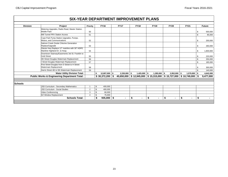|                 |                                                                                                              |                |    |                  | <b>SIX-YEAR DEPARTMENT IMPROVEMENT PLANS</b>            |             |             |                |                      |      |                  |                 |
|-----------------|--------------------------------------------------------------------------------------------------------------|----------------|----|------------------|---------------------------------------------------------|-------------|-------------|----------------|----------------------|------|------------------|-----------------|
| <b>Division</b> | Project                                                                                                      | Priority       |    | <b>FY16</b>      | <b>FY17</b>                                             | <b>FY18</b> | <b>FY19</b> |                | <b>FY20</b>          |      | <b>FY21</b>      | <b>Future</b>   |
|                 | Metering Upgrades, Radio Read, Master Station,<br><b>Mobile Pack</b>                                         | 50             |    |                  |                                                         |             |             |                |                      |      |                  | \$<br>500,000   |
|                 | Mill Tunnel PRV Station Access                                                                               | 51             |    |                  |                                                         |             |             |                |                      |      |                  | \$<br>85,000    |
|                 | Cope Park Pump Station Upgrades, Pumps,<br>Motors, and Communications                                        | 52             |    |                  |                                                         |             |             |                |                      |      |                  | \$<br>200,000   |
|                 | Salmon Creek Onsite Chlorine Generation<br>Replace/Upgrade<br>Glacier Hwy Replace 12" mainline with 30" HDPE | 53             |    |                  |                                                         |             |             |                |                      |      |                  | \$<br>260,000   |
|                 | Mainline Highland Dr. to Hosp.                                                                               | 54             |    |                  |                                                         |             |             |                |                      |      |                  | \$<br>1,800,000 |
|                 | Downtown Stairway/Easements 3rd St. Franklin to<br><b>Gold Street</b>                                        | 55             |    |                  |                                                         |             |             |                |                      |      |                  | \$<br>220,000   |
|                 | 4th Street Douglas Watermain Replacement                                                                     | 56             |    |                  |                                                         |             |             |                |                      |      |                  | \$<br>250,000   |
|                 | Street Douglas Watermain Replacement                                                                         | 57             |    |                  |                                                         |             |             |                |                      |      |                  | \$<br>185,000   |
|                 | First Street Douglas from D Street to H Street<br>Watermain Replacement                                      | 58             |    |                  |                                                         |             |             |                |                      |      |                  | \$<br>300,000   |
|                 | Harris Street 4th to 5th Watermain Replacement                                                               | 59             |    |                  |                                                         |             |             |                |                      |      |                  | \$<br>140,000   |
|                 | <b>Water Utility Division Total:</b>                                                                         |                | Ŝ. | $12,807,000$ \$  | $2,330,000$ \$                                          | 1,425,000   | \$          | $1,285,000$ \$ | 2,952,000            | l \$ | $1,579,000$ \$   | 4,642,000       |
|                 | <b>Public Works &amp; Engineering Department Total:</b>                                                      |                |    | $$30,372,200$ \$ | 40,650,000   \$12,945,000   \$15,315,000   \$15,727,000 |             |             |                |                      |      | $$10,749,000$ \$ | 9,477,000       |
|                 |                                                                                                              |                |    |                  |                                                         |             |             |                |                      |      |                  |                 |
| <b>Schools</b>  |                                                                                                              |                |    |                  |                                                         |             |             |                |                      |      |                  |                 |
|                 | JSD Curriculum - Secondary Mathematics                                                                       |                | \$ | 400,000          |                                                         |             |             |                |                      |      |                  |                 |
|                 | <b>JSD Curriculum - Social Studies</b>                                                                       | $\overline{2}$ | \$ | 400,000          |                                                         |             |             |                |                      |      |                  |                 |
|                 | Video Conferencing                                                                                           | 3              | \$ | 60,000           |                                                         |             |             |                |                      |      |                  |                 |
|                 | DZ Window Replacement                                                                                        | $\overline{4}$ | \$ | 75,000           |                                                         |             |             |                |                      |      |                  |                 |
|                 | <b>Schools Total:</b>                                                                                        |                | \$ | $935,000$ \$     | $\blacksquare$                                          | \$<br>٠     | \$          | $\blacksquare$ | \$<br>$\blacksquare$ | \$   | ۰.               | \$              |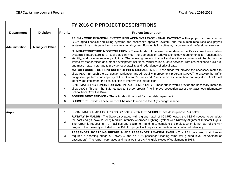|                       |                         |                 | FY 2016 CIP PROJECT DESCRIPTIONS                                                                                                                                                                                                                                                                                                                                                                                                                                                                                                                                         |
|-----------------------|-------------------------|-----------------|--------------------------------------------------------------------------------------------------------------------------------------------------------------------------------------------------------------------------------------------------------------------------------------------------------------------------------------------------------------------------------------------------------------------------------------------------------------------------------------------------------------------------------------------------------------------------|
| <b>Department</b>     | <b>Division</b>         | <b>Priority</b> | <b>Project Description</b>                                                                                                                                                                                                                                                                                                                                                                                                                                                                                                                                               |
| <b>Administration</b> | <b>Manager's Office</b> | $\mathbf{1}$    | <b>PRISM - CORE FINANCIAL SYSTEM REPLACEMENT LEASE - FINAL PAYMENT</b> – This project is to replace the<br>CBJ's aged financial and billing systems, the assessor's appraisal system, and the human resources and payroll<br>systems with an integrated and more functional system. Funding is for software, hardware, and professional services.                                                                                                                                                                                                                        |
|                       |                         | 2               | IT INFRASTRUCTURE MODERNIZATION - These funds will be used to modernize the City's current information<br>system's infrastructure to a level that can meet the demands of today's technology requirements for functionality,<br>stability, and disaster recovery solutions. The following projects that will address these concerns will be, but not be<br>limited to: standardized document development solutions, virtualization of core services, wireless backbone build out,<br>and mass network storage to provide recoverability and redundancy of critical data. |
|                       |                         | 3               | MATCH FUNDS - DOT RIVERSIDE/STEPHEN RICHARD INT. - These funds will provide the necessary match to<br>allow ADOT (through the Congestion Mitigation and Air Quality improvement program (CMAQ)) to analyze the traffic<br>congestion, patterns and capacity of the Steven Richards and Riverside Drive intersection four way stop. ADOT will<br>identify and implement the best solution to improve the intersection.                                                                                                                                                    |
|                       |                         | 4               | <b>SRTS MATCHING FUNDS FOR GASTINEAU ELEMENTARY</b> - These funds would provide the necessary match to<br>allow ADOT (through the Safe Routes to School program) to improve pedestrian access to Gastineau Elementary<br>School from Crow Hill Drive.                                                                                                                                                                                                                                                                                                                    |
|                       |                         | 5               | <b>BONDED DEBT SERVICE - These funds will be used for bond debt repayment.</b>                                                                                                                                                                                                                                                                                                                                                                                                                                                                                           |
|                       |                         | 6               | <b>BUDGET RESERVE</b> - These funds will be used to increase the City's budget reserve.                                                                                                                                                                                                                                                                                                                                                                                                                                                                                  |
|                       |                         |                 |                                                                                                                                                                                                                                                                                                                                                                                                                                                                                                                                                                          |
| <b>Airport</b>        |                         | $\mathbf{1}$    | LOCAL MATCH - ADA BOARDING BRIDGE & NEW FIRE VEHICLE - see descriptions 3 & 4 below.                                                                                                                                                                                                                                                                                                                                                                                                                                                                                     |
|                       |                         | 2               | <b>RUNWAY 26 MALSR -</b> The State participated with a grant match of \$93,750 toward the \$3.5M needed to complete<br>the east end (Runway 26 end) Medium Intensity Approach Lighting System with Runway Alignment Indicator Lights.<br>The Airport is requesting FAA Facilities and Equipment funding to complete the project which is not part of the AIP<br>program. If not already included in the 'Bill', this project will require coordination and continued advocacy.                                                                                           |
|                       |                         | 3               | <b>PASSENGER BOARDING BRDIGE &amp; ADA PASSENGER LOADING RAMP - The FAA concurred that Juneau</b><br>required a boarding bridge at Jetway 5 and an ADA passenger loading ramp (for ground level load/offload of<br>passengers). The Airport purchased and installed these AIP eligible pieces of equipment in 2014.                                                                                                                                                                                                                                                      |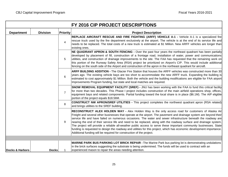|                            | FY 2016 CIP PROJECT DESCRIPTIONS |                 |                                                                                                                                                                                                                                                                                                                                                                                                                                                                                                                                                                                                                                                                                                                                                                                         |  |  |  |  |  |
|----------------------------|----------------------------------|-----------------|-----------------------------------------------------------------------------------------------------------------------------------------------------------------------------------------------------------------------------------------------------------------------------------------------------------------------------------------------------------------------------------------------------------------------------------------------------------------------------------------------------------------------------------------------------------------------------------------------------------------------------------------------------------------------------------------------------------------------------------------------------------------------------------------|--|--|--|--|--|
| <b>Department</b>          | <b>Division</b>                  | <b>Priority</b> | <b>Project Description</b>                                                                                                                                                                                                                                                                                                                                                                                                                                                                                                                                                                                                                                                                                                                                                              |  |  |  |  |  |
|                            |                                  | 4               | REPLACE AIRCRAFT RESCUE AND FIRE FIGHTING (ARFF) VEHICLE A-1 - Vehicle A-1 is a specialized fire<br>rescue truck used by the fire department exclusively at the airport. The vehicle is at the end of its service life and<br>needs to be replaced. The total costs of a new truck is estimated at \$1 Million. New ARFF vehicles are longer than<br>existing ones.                                                                                                                                                                                                                                                                                                                                                                                                                     |  |  |  |  |  |
|                            |                                  | 5               | NE QUADRANT APRON & SOUTH FENCING - Over the past four years the northeast quadrant has been partially<br>developed by placement of fill, construction of a frontage road, installation of water, power and communications<br>utilities, and construction of drainage improvements to the site. The FAA has requested that the remaining work on<br>this portion of the Runway Safety Area (RSA) project be prioritized on Airport's CIP. This would include additional<br>fencing on the south side of the Airport and construction of the apron in the northeast quadrant for aircraft.                                                                                                                                                                                               |  |  |  |  |  |
|                            |                                  | 6               | ARFF BUILDING ADDITION - The Glacier Fire Station that houses the ARFF vehicles was constructed more than 30<br>years ago. The existing vehicle bays are too short to accommodate the new ARFF truck. Expanding the building is<br>estimated to cost approximately \$1 Million. Both the vehicle and the building modifications are eligible for FAA airport<br>Improvements Program funding, but state and local matches are required.                                                                                                                                                                                                                                                                                                                                                 |  |  |  |  |  |
|                            |                                  | $\overline{7}$  | <b>SNOW REMOVAL EQUIPMENT FACILITY (SREF)</b> - JNU has been working with the FAA to fund this critical facility<br>for more than two decades. This Phase I project includes construction of the main airfield operations shop, offices,<br>equipment bays and related components. Partial funding toward the local share is in place (\$6.1M). The AIP eligible<br>portion of the project equals \$18.56M.                                                                                                                                                                                                                                                                                                                                                                             |  |  |  |  |  |
|                            |                                  | 8               | <b>CONSTRUCT NW APRON/SREF UTILITIES</b> - This project completes the northwest quadrant apron (RSA related)<br>and brings utilities to the SREF building.                                                                                                                                                                                                                                                                                                                                                                                                                                                                                                                                                                                                                              |  |  |  |  |  |
|                            |                                  | 9               | RECONSTRUCT ALEX HOLDEN WAY - Alex Holden Way is the only access road for customers of Alaska Air<br>Freight and several other businesses that operate at the airport. The pavement and drainage system are beyond their<br>service life and have failed on numerous occasions. The water and sewer infrastructure beneath the roadway are<br>nearing the end of their service life and need to be replaced, along with the roadway surface and drainage system.<br>The project will provide a reliable all-weather public access to serve these important community businesses. State<br>funding is requested to design the roadway and utilities for this project, which has economic development importance.<br>Additional funding will be required for construction of the project. |  |  |  |  |  |
|                            |                                  |                 |                                                                                                                                                                                                                                                                                                                                                                                                                                                                                                                                                                                                                                                                                                                                                                                         |  |  |  |  |  |
| <b>Docks &amp; Harbors</b> | <b>Docks</b>                     |                 | <b>MARINE PARK BUS PARKING LOT BRICK REPAIR - The Marine Park bus parking lot is demonstrating undulations</b><br>in the brick surfaces suggesting the substrate is being undermined. The funds will be used to contract with an<br>experienced mason to repair the areas needing attention.                                                                                                                                                                                                                                                                                                                                                                                                                                                                                            |  |  |  |  |  |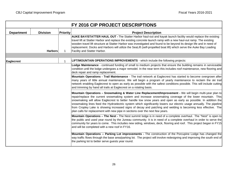|                   |                 |                 | FY 2016 CIP PROJECT DESCRIPTIONS                                                                                                                                                                                                                                                                                                                                                                                                                                                                                                                                                                                                                                   |
|-------------------|-----------------|-----------------|--------------------------------------------------------------------------------------------------------------------------------------------------------------------------------------------------------------------------------------------------------------------------------------------------------------------------------------------------------------------------------------------------------------------------------------------------------------------------------------------------------------------------------------------------------------------------------------------------------------------------------------------------------------------|
| <b>Department</b> | <b>Division</b> | <b>Priority</b> | <b>Project Description</b>                                                                                                                                                                                                                                                                                                                                                                                                                                                                                                                                                                                                                                         |
| <b>Harbors</b>    |                 |                 | AUKE BAY/STATTER HAUL OUT - The Statter Harbor haul-out and kayak launch facility would replace the existing<br>travel lift at Statter Harbor and replace the existing concrete launch ramp with a new haul-out ramp. The existing<br>wooden travel lift structure at Statter Harbor was investigated and found to be beyond its design life and in need of<br>replacement. Docks and Harbors will utilize the SeaLift (self-propelled boat lift) which serve the Auke Bay Loading<br>Facility and Statter Harbor.                                                                                                                                                 |
|                   |                 |                 |                                                                                                                                                                                                                                                                                                                                                                                                                                                                                                                                                                                                                                                                    |
| <b>Eaglecrest</b> |                 | -1              | <b>LIFT/MOUNTAIN OPERATIONS IMPROVEMENTS</b> - which include the following projects:                                                                                                                                                                                                                                                                                                                                                                                                                                                                                                                                                                               |
|                   |                 |                 | Lodge Maintenance - continued funding of small to medium projects that ensure the building remains in serviceable<br>condition until the lodge undergoes a major remodel. In the near term this includes roof maintenance, new flooring and<br>deck repair and ramp replacement.                                                                                                                                                                                                                                                                                                                                                                                   |
|                   |                 |                 | Mountain Operations - Trail Maintenance - The trail network at Eaglecrest has started to become overgrown after<br>many years of little annual maintenance. We will begin a program of yearly maintenance to reclaim the ski trail<br>network enabling Eaglecrest to open as early as possible with the safest conditions possible. This will include cutting<br>and trimming by hand all trails at Eaglecrest on a rotating basis.                                                                                                                                                                                                                                |
|                   |                 |                 | Mountain Operations - Snowmaking & Water Line Replacement/Improvement - We will begin multi-year plan to<br>repair/replace the current snowmaking system and increase snowmaking coverage of the lower mountain. This<br>snowmaking will allow Eaglecrest to better handle low snow years and open as early as possible. In addition the<br>snowmaking lines feed the Hydroelectric system which significantly lowers our electric usage annually. The pipeline<br>from Cropley Lake is showing increased signs of decay and patching and welding is becoming less effective. The<br>plan calls for replacement with new pipe in sections over the next few years. |
|                   |                 |                 | Mountain Operations - The Nest - The Nest summit lodge is in need of a complete overhaul. The "Nest" is open to<br>the public and used year round by the Juneau community. It is in need of a complete overhaul in order to serve the<br>community for years to come. This includes new siding, windows, deck, flooring and roof. This project began in FY15<br>and will be completed with a new roof in FY16.                                                                                                                                                                                                                                                     |
|                   |                 |                 | Mountain Operations -- Parking Lot improvements - The construction of the Porcupine Lodge has changed the<br>way traffic flows through the base area/parking lot. The project will involve redesigning and improving the south end of<br>the parking lot to better serve guests year round.                                                                                                                                                                                                                                                                                                                                                                        |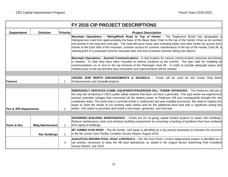|                                                                                                                                                                                                                                                                                                                                                                                                                                           | FY 2016 CIP PROJECT DESCRIPTIONS |                 |                                                                                                                                                                                                                                                                                                                                                                                                                                                                                                                                                                                                                                                                                        |  |  |  |  |  |
|-------------------------------------------------------------------------------------------------------------------------------------------------------------------------------------------------------------------------------------------------------------------------------------------------------------------------------------------------------------------------------------------------------------------------------------------|----------------------------------|-----------------|----------------------------------------------------------------------------------------------------------------------------------------------------------------------------------------------------------------------------------------------------------------------------------------------------------------------------------------------------------------------------------------------------------------------------------------------------------------------------------------------------------------------------------------------------------------------------------------------------------------------------------------------------------------------------------------|--|--|--|--|--|
| <b>Department</b>                                                                                                                                                                                                                                                                                                                                                                                                                         | <b>Division</b>                  | <b>Priority</b> | <b>Project Description</b>                                                                                                                                                                                                                                                                                                                                                                                                                                                                                                                                                                                                                                                             |  |  |  |  |  |
|                                                                                                                                                                                                                                                                                                                                                                                                                                           |                                  |                 | Mountain Operations - Hiking/Work Road to Top of Hooter - The Eaglecrest Board has designated a<br>hiking/service road from approximately the base of the Black Bear Chair to the top of the Hooter Chair as its number<br>one priority in the long term trail plan. The road will serve many uses including better and safer winter ski access from<br>Hooter to the East Side of the mountain, summer access for summer maintenance of the top of the Hooter Chair lift, a<br>starting point of a proposed summer mountain bike trail and increased summer hiking trail options.                                                                                                     |  |  |  |  |  |
| Mountain Operations - Summit Communications - A new location for various communication antennas and dishes<br>is needed. To date they have been mounted at various locations at the summit. The plan calls for installing all<br>communications on or next to the top terminal of the Ptarmigan chair lift. In order to provide adequate space and<br>infrastructure to the top terminal area renovation and improvements will be needed. |                                  |                 |                                                                                                                                                                                                                                                                                                                                                                                                                                                                                                                                                                                                                                                                                        |  |  |  |  |  |
|                                                                                                                                                                                                                                                                                                                                                                                                                                           |                                  |                 |                                                                                                                                                                                                                                                                                                                                                                                                                                                                                                                                                                                                                                                                                        |  |  |  |  |  |
| Finance<br>$\mathbf 1$                                                                                                                                                                                                                                                                                                                                                                                                                    |                                  |                 | <b>CRUISE SHIP BERTH ENHANCEMENTS &amp; SEAWALK - Funds will be used for the Cruise Ship Berth</b><br>Enhancements and Seawalk projects.                                                                                                                                                                                                                                                                                                                                                                                                                                                                                                                                               |  |  |  |  |  |
|                                                                                                                                                                                                                                                                                                                                                                                                                                           |                                  |                 |                                                                                                                                                                                                                                                                                                                                                                                                                                                                                                                                                                                                                                                                                        |  |  |  |  |  |
| <b>Fire &amp; JPD Departments</b>                                                                                                                                                                                                                                                                                                                                                                                                         |                                  |                 | <b>EMERGENCY SERVICES COMM. EQUIPMENT/PEDERSON HILL TOWER UPGRADES - The Pederson Hill site is</b><br>the only site remaining in CBJ's public safety network that does not have a generator. This past winter we experienced<br>several extended outages that consumed all the battery power at Pederson Hill and consequently brought the site<br>completely down. The tower that is currently onsite is undersized and was installed incorrectly. We need to replace the<br>tower to meet the needs of our existing radio dishes and for the additional wind load that is significant during the<br>winter. CBJ seeks to purchase and install a new tower, generator, and fuel tank. |  |  |  |  |  |
|                                                                                                                                                                                                                                                                                                                                                                                                                                           |                                  |                 |                                                                                                                                                                                                                                                                                                                                                                                                                                                                                                                                                                                                                                                                                        |  |  |  |  |  |
| <b>Parks &amp; Rec</b><br><b>Bldg Maintenance</b>                                                                                                                                                                                                                                                                                                                                                                                         |                                  | $\mathbf{1}$    | <b>DEFERRED BUILDING MAINTENANCE -</b> Funds are for on-going capital funded projects to repair CBJ buildings.<br>Reduce maintenance costs and enhance building components by correcting a backlog of problems that have surfaced<br>from aging of buildings.                                                                                                                                                                                                                                                                                                                                                                                                                          |  |  |  |  |  |
|                                                                                                                                                                                                                                                                                                                                                                                                                                           | <b>Rec Buildings</b>             | $\mathbf{1}$    | MT JUMBO GYM ROOF - The Mt Jumbo roof repair is identified as a top priority necessary to maintain the structure<br>in the Mt Jumbo Gym Facility Condition Survey Report, August 2014.                                                                                                                                                                                                                                                                                                                                                                                                                                                                                                 |  |  |  |  |  |
|                                                                                                                                                                                                                                                                                                                                                                                                                                           |                                  | 2               | AUGUSTUS BROWN POOL HVAC CONTROLS - The AB Pool HVAC Control replacement project is identified as a<br>top priority, necessary to keep the AB pool operational, as stated in the August Brown Swimming Pool Condition<br>Survey Report, July 2014.                                                                                                                                                                                                                                                                                                                                                                                                                                     |  |  |  |  |  |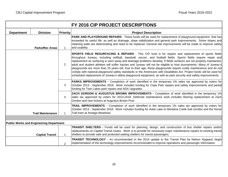|                                                | FY 2016 CIP PROJECT DESCRIPTIONS |                 |                                                                                                                                                                                                                                                                                                                                                                                                                                                                                                                                                                                                                                                                                                                                                                                                                                           |  |  |  |  |  |
|------------------------------------------------|----------------------------------|-----------------|-------------------------------------------------------------------------------------------------------------------------------------------------------------------------------------------------------------------------------------------------------------------------------------------------------------------------------------------------------------------------------------------------------------------------------------------------------------------------------------------------------------------------------------------------------------------------------------------------------------------------------------------------------------------------------------------------------------------------------------------------------------------------------------------------------------------------------------------|--|--|--|--|--|
| <b>Department</b>                              | <b>Division</b>                  | <b>Priority</b> | <b>Project Description</b>                                                                                                                                                                                                                                                                                                                                                                                                                                                                                                                                                                                                                                                                                                                                                                                                                |  |  |  |  |  |
|                                                | <b>Parks/Rec Areas</b>           | $\mathbf 1$     | <b>PARK AND PLAYGROUND REPAIRS</b> - These funds will be used for replacement of playground equipment that has<br>exceeded its useful life, as well as drainage, slope stabilization and general park improvements. Some slopes and<br>retaining walls are deteriorating and need to be replaced. General site improvements will be made to improve safety<br>and usability.                                                                                                                                                                                                                                                                                                                                                                                                                                                              |  |  |  |  |  |
|                                                |                                  | 2               | SPORTS FIELD RESURFACING & REPAIRS - This CIP fund is for repairs and replacement of sports fields<br>throughout Juneau, including softball, baseball, soccer, and football fields. Sports fields require repair and<br>replacement as surfacing is worn away and drainage problems develop. If fields surfaces are not properly maintained,<br>adult and student athletes will suffer injuries and Juneau will not be eligible to host tournaments. Many of Juneau's<br>playgrounds are more than 25 years old. Due to their age, these playgrounds require costly maintenance and do not<br>comply with national playground safety standards or the Americans with Disabilities Act. Project funds will be used for<br>scheduled replacement of Juneau's oldest playground equipment, as well as park security and safety improvements. |  |  |  |  |  |
|                                                |                                  | 3               | <b>PARKS IMPROVEMENTS</b> - Completion of work identified in the temporary 1% sales tax approved by voters for<br>October 2013 - September 2018. Work includes funding for Cope Park repairs and safety improvements and partial<br>funding for Twin Lakes park repairs and ADA Upgrades.                                                                                                                                                                                                                                                                                                                                                                                                                                                                                                                                                 |  |  |  |  |  |
|                                                |                                  | 4               | ZACH GORDON & AUGUSTUS BROWN IMPROVEMENTS - Completion of work identified in the temporary 1%<br>sales tax approved by voters for 2013-2018. Deferred maintenance work includes flooring replacement at Zach<br>Gordon and new lockers at Augustus Brown Pool.                                                                                                                                                                                                                                                                                                                                                                                                                                                                                                                                                                            |  |  |  |  |  |
| <b>Trail Maintenance</b>                       |                                  | 1               | TRAIL IMPROVEMENTS - Completion of work identified in the temporary 1% sales tax approved by voters for<br>October 2013 - September 2018. Work includes funding for Auke Lake to Montana Creek trail corridor and the Horse<br>Trail tram at Amalga Meadows.                                                                                                                                                                                                                                                                                                                                                                                                                                                                                                                                                                              |  |  |  |  |  |
|                                                |                                  |                 |                                                                                                                                                                                                                                                                                                                                                                                                                                                                                                                                                                                                                                                                                                                                                                                                                                           |  |  |  |  |  |
| <b>Public Works and Engineering Department</b> |                                  |                 |                                                                                                                                                                                                                                                                                                                                                                                                                                                                                                                                                                                                                                                                                                                                                                                                                                           |  |  |  |  |  |
|                                                | <b>Capital Transit</b>           | $\mathbf 1$     | TRANSIT SHELTERS - Funds will be used for planning, design, and construction of bus shelter repairs and/or<br>replacements on Capital Transit routes. Work is to provide for necessary major maintenance repairs to existing transit<br>shelters to provide safe and protected waiting shelters for transit passengers.                                                                                                                                                                                                                                                                                                                                                                                                                                                                                                                   |  |  |  |  |  |
|                                                |                                  | 2               | <b>TRANSIT TECHNOLOGY</b> - As recommended in the 2014 update to the Transit Plan by Nelson Nygaard, begin<br>implementation of the technology improvements recommended to improve operations and passenger information.                                                                                                                                                                                                                                                                                                                                                                                                                                                                                                                                                                                                                  |  |  |  |  |  |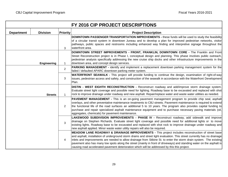|                   | FY 2016 CIP PROJECT DESCRIPTIONS |                 |                                                                                                                                                                                                                                                                                                                                                                                                                                                                                                                                                                                |  |  |  |  |  |
|-------------------|----------------------------------|-----------------|--------------------------------------------------------------------------------------------------------------------------------------------------------------------------------------------------------------------------------------------------------------------------------------------------------------------------------------------------------------------------------------------------------------------------------------------------------------------------------------------------------------------------------------------------------------------------------|--|--|--|--|--|
| <b>Department</b> | <b>Division</b>                  | <b>Priority</b> | <b>Project Description</b>                                                                                                                                                                                                                                                                                                                                                                                                                                                                                                                                                     |  |  |  |  |  |
|                   |                                  | 3               | <b>DOWNTOWN PASSENGER TRANSPORTATION IMPROVEMENTS - these funds will be used to study the feasibility</b><br>of a circular transit system in downtown Juneau and to develop a plan for improved pedestrian networks, visitor<br>pathways, public spaces and restrooms including enhanced way finding and interpretive signage throughout the<br>waterfront area.                                                                                                                                                                                                               |  |  |  |  |  |
|                   | Engineering                      | $\mathbf{1}$    | DOWNTOWN STREET IMPROVEMENTS - FRONT, FRANKLIN, DOWNTOWN CORE - The Franklin and Front<br>Street Reconstruction project is in Phase I, conceptual design and planning. This phase involves public outreach,<br>pedestrian analysis specifically addressing the new cruise ship docks and other infrastructure improvements in the<br>downtown area, and concept design services.                                                                                                                                                                                               |  |  |  |  |  |
|                   |                                  | 2               | PARKING MANAGEMENT - identify and implement a replacement downtown parking management system for the<br>failed / defaulted APARC downtown parking meter system.                                                                                                                                                                                                                                                                                                                                                                                                                |  |  |  |  |  |
|                   |                                  | 3               | WATERFRONT SEAWALK - This project will provide funding to continue the design, examination of right-of-way<br>issues, pedestrian access and safety, and construction of the seawalk in accordance with the Waterfront Development<br>Plan.                                                                                                                                                                                                                                                                                                                                     |  |  |  |  |  |
| <b>Streets</b>    |                                  | $\mathbf{1}$    | DISTIN - WEST EIGHTH RECONSTRUCTION - Reconstruct roadway and add/improve storm drainage system.<br>Evaluate street light coverage and possible need for lighting. Roadway base to be excavated and replaced with shot<br>rock to improve drainage under roadway and new asphalt. Repair/replace water and waste water utilities as needed.                                                                                                                                                                                                                                    |  |  |  |  |  |
|                   |                                  | 2               | <b>PAVEMENT MANAGEMENT -</b> This is an on-going pavement management program to provide chip seal, asphalt<br>overlays, and other preventative maintenance treatments to CBJ streets. Pavement maintenance is required to extend<br>the functional life of the road surfaces an additional 5 to 10 years. The program also provides capital funding to<br>purchase and repair specialized asphalt maintenance equipment and to purchase necessary paving materials (oil,<br>aggregates, chemicals) for pavement maintenance.                                                   |  |  |  |  |  |
|                   |                                  | 3               | LAKEWOOD SUBDIVISION IMPROVEMENTS - PHASE IV - Reconstruct roadway, add sidewalk and improve<br>drainage on Stephen Richards. Evaluate street light coverage and possible need for additional lights or to move<br>existing lights. Roadway base to be excavated and replaced with shot rock to improve drainage under roadway and<br>new asphalt applied. Minor waste water utility repairs will also be required.                                                                                                                                                            |  |  |  |  |  |
|                   |                                  | 4               | MEADOW LANE ROADWAY & DRAINAGE IMPROVEMENTS - This project includes reconstruction of street base<br>and asphalt, installation of underground storm drains and street light evaluation. This street currently has no drainage<br>inlets and improvements are needed to allow drainage from Stikine St. to enter the storm drain system. The existing<br>pavement also has many low spots along the street (mainly in front of driveways) and standing water on the asphalt is<br>causing road accelerated pavement deterioration which will be addressed by this this project. |  |  |  |  |  |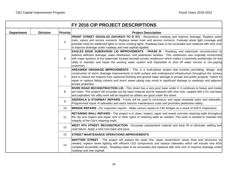| FY 2016 CIP PROJECT DESCRIPTIONS |                 |                 |                                                                                                                                                                                                                                                                                                                                                                                                                                                                                                |  |  |  |  |
|----------------------------------|-----------------|-----------------|------------------------------------------------------------------------------------------------------------------------------------------------------------------------------------------------------------------------------------------------------------------------------------------------------------------------------------------------------------------------------------------------------------------------------------------------------------------------------------------------|--|--|--|--|
| <b>Department</b>                | <b>Division</b> | <b>Priority</b> | <b>Project Description</b>                                                                                                                                                                                                                                                                                                                                                                                                                                                                     |  |  |  |  |
|                                  |                 | 5               | FRONT STREET DOUGLAS (SAVIKKO TO D ST) - Reconstruct roadway and improve drainage. Replace water<br>main, valves and service connects. Replace sewer main and service connects. Evaluate street light coverage and<br>possible need for additional lights or move existing lights. Roadway base to be excavated and replaced with shot rock<br>to improve drainage under roadway and new asphalt applied.                                                                                      |  |  |  |  |
|                                  |                 | 6               | <b>EAGLES EDGE SUBDIVISON LID IMPROVEMENTS - PHASE III - Roadway and watermain reconstruction to</b><br>address deficient drainage, water distribution, and pedestrian facilities. This subdivision was originally constructed<br>with major portions of the watermain located beneath private residences which makes it extremely problematic for the<br>utility to maintain and repair the existing water system and impossible to shut off water service to non-paying<br>customers.        |  |  |  |  |
|                                  |                 | $\overline{7}$  | AREAWIDE DRAINAGE IMPROVEMENTS - This is a multi-phase project that involves permitting, design, and<br>construction of storm drainage improvements to both surface and underground infrastructure throughout the Juneau<br>area to reduce the impacts from seasonal flooding and ground water damage to private and public property. Failure to<br>repair or replace failing culverts and storm sewer piping may result in significant damage to roadways and adjacent<br>private properties. |  |  |  |  |
|                                  |                 | 8               | RIVER ROAD RECONSTRUCTION LID - This street has a very poor base under it. It continues to heave and create<br>pot holes. This project will excavate out the base material and be replaced with shot rock, capped with a D1 sub-base<br>and asphalted. No utility work will be required as utilities are good under this street.                                                                                                                                                               |  |  |  |  |
|                                  |                 | 9               | SIDEWALK & STAIRWAY REPAIRS - Funds will be used to reconstruct and repair areawide stairs and sidewalks.<br>Programmed repair of sidewalks and stairs reduces maintenance costs and promotes pedestrian safety.                                                                                                                                                                                                                                                                               |  |  |  |  |
|                                  |                 | 10 <sup>°</sup> | <b>BRIDGE REPAIRS</b> - Per inspection reports - Make various repairs to CBJ bridges as a result of ADOT inspections.                                                                                                                                                                                                                                                                                                                                                                          |  |  |  |  |
|                                  |                 | 11              | <b>RETAINING WALL REPAIRS -</b> This project is to clean, inspect, repair and reseal concrete retaining walls throughout<br>the city and inspect and repair rock or other types of retaining walls as needed. This work is needed to maintain the<br>integrity of the City's retaining walls.                                                                                                                                                                                                  |  |  |  |  |
|                                  |                 | 12              | WEST 8TH STREET RECONSTRUCTION - Excavate substandard material and back fill to eliminate settling and<br>road failure. Apply a shot rock base and pave.                                                                                                                                                                                                                                                                                                                                       |  |  |  |  |
|                                  |                 | 13              | <b>STREET MAINTENANCE OPERATIONS IMPROVEMENTS</b>                                                                                                                                                                                                                                                                                                                                                                                                                                              |  |  |  |  |
|                                  |                 | 14              | WHITTIER STREET - The project will replace the water line, repair sewer/storm sewer lines and structures as<br>needed, replace street lighting with efficient LED components and replace sidewalks which will include new ADA<br>compliant accessible ramps. Roadway base to be excavated and replaced with shot rock to improve drainage under<br>roadway and new asphalt.                                                                                                                    |  |  |  |  |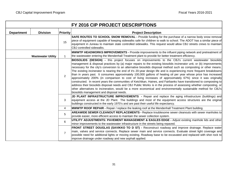| FY 2016 CIP PROJECT DESCRIPTIONS |                           |                 |                                                                                                                                                                                                                                                                                                                                                                                                                                                                                                                                                                                                                                                                                                                                                                                                                                                                                                                                                                                                                                                                                                                        |  |  |  |  |  |
|----------------------------------|---------------------------|-----------------|------------------------------------------------------------------------------------------------------------------------------------------------------------------------------------------------------------------------------------------------------------------------------------------------------------------------------------------------------------------------------------------------------------------------------------------------------------------------------------------------------------------------------------------------------------------------------------------------------------------------------------------------------------------------------------------------------------------------------------------------------------------------------------------------------------------------------------------------------------------------------------------------------------------------------------------------------------------------------------------------------------------------------------------------------------------------------------------------------------------------|--|--|--|--|--|
| <b>Department</b>                | <b>Division</b>           | <b>Priority</b> | <b>Project Description</b>                                                                                                                                                                                                                                                                                                                                                                                                                                                                                                                                                                                                                                                                                                                                                                                                                                                                                                                                                                                                                                                                                             |  |  |  |  |  |
|                                  |                           | 15              | SAFE ROUTES TO SCHOOL SNOW REMOVAL - Provide funding for the purchase of a narrow body snow removal<br>piece of equipment capable of keeping sidewalks safe for children to walk to school. The ADOT has a similar piece of<br>equipment in Juneau to maintain state controlled sidewalks. This request would allow CBJ streets crews to maintain<br>CBJ controlled sidewalks.                                                                                                                                                                                                                                                                                                                                                                                                                                                                                                                                                                                                                                                                                                                                         |  |  |  |  |  |
|                                  | <b>Wastewater Utility</b> | 1               | <b>MWWTP HEADWORKS IMPROVEMENTS -</b> Provide improvements to the influent piping network and pretreatment of<br>the wastewater entering the Mendenhall Treatment plant to provide for better treatment efficiency.                                                                                                                                                                                                                                                                                                                                                                                                                                                                                                                                                                                                                                                                                                                                                                                                                                                                                                    |  |  |  |  |  |
|                                  |                           | $\overline{2}$  | BIOSOLIDS (DESIGN) - this project focuses on improvements to the CBJ's current wastewater biosolids<br>management & disposal practices by (a) major repairs to the existing biosolids incinerator unit, or (b) improvements<br>necessary for the city's conversion to an alternative biosolids disposal method such as composting or other means.<br>The existing incinerator is nearing the end of it's 20-year design life and is experiencing more frequent breakdowns<br>than in years past. It consumes approximately 100,000 gallons of heating oil per year whose price has increased<br>approximately 200% (in comparison to cost of living increases of approximately 67%) since it was originally<br>constructed. In recent years the communities of Ketchikan, Haines, and Fairbanks have transitioned to composting to<br>address their biosolids disposal needs and CBJ Public Works is in the process of assessing whether composting, or<br>other alternatives to incineration, would be a more economical and environmentally sustainable method for CBJ's<br>biosolids management and disposal needs. |  |  |  |  |  |
|                                  |                           | 3               | JD PLANT INFRASTRUCTURE IMPROVEMENTS - Repair and replace the aging infrastructure (buildings) and<br>equipment access at the JD Plant. The buildings and most of the equipment access structures are the original<br>buildings constructed in the early 1970's and are past their useful life expectancy.                                                                                                                                                                                                                                                                                                                                                                                                                                                                                                                                                                                                                                                                                                                                                                                                             |  |  |  |  |  |
|                                  |                           | 4               | <b>MWWTP ROOF REPAIR -</b> Repair / replace the leaking roof at the Mendenhall Treatment Plant building.                                                                                                                                                                                                                                                                                                                                                                                                                                                                                                                                                                                                                                                                                                                                                                                                                                                                                                                                                                                                               |  |  |  |  |  |
| 5                                |                           |                 | AREAWIDE SEWER CLEANOUT REPLACEMENTS - Replace troublesome sewer cleanouts with sewer manholes to<br>provide easier, more efficient access to maintain the sewer collection system.                                                                                                                                                                                                                                                                                                                                                                                                                                                                                                                                                                                                                                                                                                                                                                                                                                                                                                                                    |  |  |  |  |  |
|                                  |                           | 6               | UTILITY ADJUSTMENTS: PAVEMENT MANAGEMENT & EAGLES EDGE - Adjust existing manhole lids and other<br>minor improvements to the wastewater infrastructure in the streets being repaved.                                                                                                                                                                                                                                                                                                                                                                                                                                                                                                                                                                                                                                                                                                                                                                                                                                                                                                                                   |  |  |  |  |  |
|                                  |                           | $\overline{7}$  | FRONT STREET DOUGLAS (SAVIKKO TO D ST) - Reconstruct roadway and improve drainage. Replace water<br>main, valves and service connects. Replace sewer main and service connects. Evaluate street light coverage and<br>possible need for additional lights or moving existing. Roadway base to be excavated and replaced with shot rock to<br>improve drainage under roadway and new asphalt applied.                                                                                                                                                                                                                                                                                                                                                                                                                                                                                                                                                                                                                                                                                                                   |  |  |  |  |  |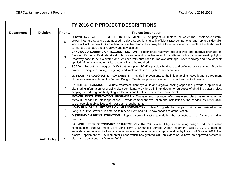|                   |                      |                 | FY 2016 CIP PROJECT DESCRIPTIONS                                                                                                                                                                                                                                                                                                                                                                                                                                                                   |
|-------------------|----------------------|-----------------|----------------------------------------------------------------------------------------------------------------------------------------------------------------------------------------------------------------------------------------------------------------------------------------------------------------------------------------------------------------------------------------------------------------------------------------------------------------------------------------------------|
| <b>Department</b> | <b>Division</b>      | <b>Priority</b> | <b>Project Description</b>                                                                                                                                                                                                                                                                                                                                                                                                                                                                         |
|                   |                      | 8               | DOWNTOWN, WHITTIER STREET IMPROVEMENTS - The project will replace the water line, repair sewer/storm<br>sewer lines and structures as needed, replace street lighting with efficient LED components and replace sidewalks<br>which will include new ADA compliant accessible ramps. Roadway base to be excavated and replaced with shot rock<br>to improve drainage under roadway and new asphalt.                                                                                                 |
|                   |                      | 9               | LAKEWOOD SUBDIVISION RECONSTRUCTION - Reconstruct roadway, add sidewalk and improve drainage on<br>Stephen Richards. Evaluate street light coverage and possible need for additional lights or move existing lights.<br>Roadway base to be excavated and replaced with shot rock to improve drainage under roadway and new asphalt<br>applied. Minor waste water utility repairs will also be required.                                                                                            |
| 10                |                      |                 | SCADA - Evaluate and upgrade WW treatment plant SCADA physical hardware and software programming. Provide<br>project scoping, scheduling, budgeting, and implementation of system improvements.                                                                                                                                                                                                                                                                                                    |
| 11                |                      |                 | JD PLANT HEADWORKS IMPROVEMENTS - Provide improvements to the influent piping network and pretreatment<br>of the wastewater entering the Juneau Douglas Treatment plant to provide for better treatment efficiency.                                                                                                                                                                                                                                                                                |
|                   |                      | 12              | FACILITIES PLANNING - Evaluate treatment plant hydraulic and organic loading capacities, provide supplemental<br>plant rating information for ongoing plant permitting. Provide preliminary design for purposes of obtaining better project<br>scoping, scheduling and budgeting collections and treatment systems improvements.                                                                                                                                                                   |
|                   |                      | 13              | <b>MWWTP INSTRUMENTATION UPGRADES -</b> Evaluate and upgrade WW treatment plant instrumentation at<br>MWWTP needed for plant operations. Provide component evaluation and installation of the needed instrumentation<br>to achieve plant objectives and meet permit requirements.                                                                                                                                                                                                                  |
|                   |                      | 14              | LONG RUN DRIVE LIFT STATION IMPROVEMENTS - Update / upgrade the pumps, controls and wetwell at the<br>Long Run Drive sewer pump station to meet current and future flow capacities at the station.                                                                                                                                                                                                                                                                                                 |
|                   |                      | 15              | DISTIN/INDIAN RECONSTRUCTION - Replace sewer infrastructure during the reconstruction of Distin and Indian<br>Streets.                                                                                                                                                                                                                                                                                                                                                                             |
|                   | <b>Water Utility</b> |                 | SALMON CREEK SECONDARY DISINFECTION - The CBJ Water Utility is completing design work for a water<br>filtration plant that will meet EIP's Long Term 2 Enhanced Surface Water Treatment Rule (LT2). LT2 required<br>secondary disinfection of all surface water sources to protect against cryptosporidium by the end of October 2013. The<br>Alaska Department of Environmental Conservation has granted CBJ an extension to have an approved system in<br>place and operational by October 2015. |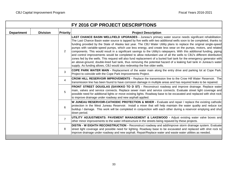| FY 2016 CIP PROJECT DESCRIPTIONS |                 |                 |                                                                                                                                                                                                                                                                                                                                                                                                                                                                                                                                                                                                                                                                                                                                                                                                                                                                                                                                                                                                                                                           |  |  |  |  |  |
|----------------------------------|-----------------|-----------------|-----------------------------------------------------------------------------------------------------------------------------------------------------------------------------------------------------------------------------------------------------------------------------------------------------------------------------------------------------------------------------------------------------------------------------------------------------------------------------------------------------------------------------------------------------------------------------------------------------------------------------------------------------------------------------------------------------------------------------------------------------------------------------------------------------------------------------------------------------------------------------------------------------------------------------------------------------------------------------------------------------------------------------------------------------------|--|--|--|--|--|
| <b>Department</b>                | <b>Division</b> | <b>Priority</b> | <b>Project Description</b>                                                                                                                                                                                                                                                                                                                                                                                                                                                                                                                                                                                                                                                                                                                                                                                                                                                                                                                                                                                                                                |  |  |  |  |  |
|                                  |                 | 2               | LAST CHANCE BASIN WELLFIELD UPGRADES - Juneau's primary water source needs significant rehabilitation.<br>The Last Chance Basin water source is tapped by five wells with two additional wells soon to be completed, thanks to<br>funding provided by the State of Alaska last year. The CBJ Water Utility plans to replace the original single-speed<br>pumps with variable-speed pumps, which use less energy, and create less wear on the pumps, motors, and related<br>components. This would result in a significant savings to the Utility's ratepayers. With this additional funding, piping<br>and control improvements would be completed to allow redundant use of all the wells to CBJ's different distribution<br>zones fed by the wells. This request will also fund replacement of a buried fuel tank for the emergency generator with<br>an above-ground, double-lined fuel tank, thus removing the potential hazard of a leaking fuel tank in Juneau's water<br>supply. As funding allows, CBJ would also redevelop the five older wells. |  |  |  |  |  |
|                                  |                 | 3               | <b>COPE PARK WATER MAIN -</b> Replacement of the water main along the entry drive and parking lot at Cope Park.<br>Project to coincide with the Cope Park Improvements Project.                                                                                                                                                                                                                                                                                                                                                                                                                                                                                                                                                                                                                                                                                                                                                                                                                                                                           |  |  |  |  |  |
|                                  |                 | 4               | <b>CROW HILL RESERVOIR IMPROVEMENTS -</b> Replace the transmission line to the Crow Hill Water Reservoir. The<br>transmission line has been found to have corrosion damage in multiple areas and has required leaks to be repaired.                                                                                                                                                                                                                                                                                                                                                                                                                                                                                                                                                                                                                                                                                                                                                                                                                       |  |  |  |  |  |
|                                  |                 | 5               | FRONT STREET DOUGLAS (SAVIKKO TO D ST) - Reconstruct roadway and improve drainage. Replace water<br>main, valves and service connects. Replace sewer main and service connects. Evaluate street light coverage and<br>possible need for additional lights or move existing lights. Roadway base to be excavated and replaced with shot rock<br>to improve drainage under roadway and new asphalt applied.                                                                                                                                                                                                                                                                                                                                                                                                                                                                                                                                                                                                                                                 |  |  |  |  |  |
|                                  |                 | $6\phantom{1}$  | W JUNEAU RESERVOIR-CATHODIC PROTECTION & MIXER - Evaluate and repair / replace the existing cathodic<br>protection in the West Juneau Reservoir. Install a mixer that will help maintain the water quality and reduce ice<br>buildup / damage. This work will be completed in conjunction with each other during a reservoir emptying and shut<br>down period.                                                                                                                                                                                                                                                                                                                                                                                                                                                                                                                                                                                                                                                                                            |  |  |  |  |  |
|                                  |                 | $\overline{7}$  | UTILITY ADJUSTMENTS: PAVEMENT MANAGEMENT & LAKEWOOD - Adjust existing water valve boxes and<br>other minor improvements to the water infrastructure in the streets being repaved by these projects.                                                                                                                                                                                                                                                                                                                                                                                                                                                                                                                                                                                                                                                                                                                                                                                                                                                       |  |  |  |  |  |
|                                  |                 | 8               | DISTIN - W EIGHTH RECONSTRUCTION - Reconstruct roadway and add/improve storm drainage system. Evaluate<br>street light coverage and possible need for lighting. Roadway base to be excavated and replaced with shot rock to<br>improve drainage under roadway and new asphalt. Repair/Replace water and waste water utilities as needed.                                                                                                                                                                                                                                                                                                                                                                                                                                                                                                                                                                                                                                                                                                                  |  |  |  |  |  |
|                                  |                 |                 |                                                                                                                                                                                                                                                                                                                                                                                                                                                                                                                                                                                                                                                                                                                                                                                                                                                                                                                                                                                                                                                           |  |  |  |  |  |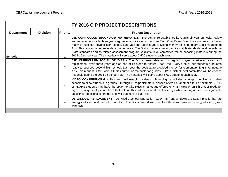|                   |                 |                 | FY 2016 CIP PROJECT DESCRIPTIONS                                                                                                                                                                                                                                                                                                                                                                                                                                                                                                                                                                                                                                                  |
|-------------------|-----------------|-----------------|-----------------------------------------------------------------------------------------------------------------------------------------------------------------------------------------------------------------------------------------------------------------------------------------------------------------------------------------------------------------------------------------------------------------------------------------------------------------------------------------------------------------------------------------------------------------------------------------------------------------------------------------------------------------------------------|
| <b>Department</b> | <b>Division</b> | <b>Priority</b> | <b>Project Description</b>                                                                                                                                                                                                                                                                                                                                                                                                                                                                                                                                                                                                                                                        |
| <b>Schools</b>    |                 | $\overline{1}$  | JSD CURRICULUM/SECONDARY MATHEMATICS - The District re-established its regular six-year curricular review<br>and replacement cycle three years ago as one of its steps to ensure Each One, Every One of our students graduates<br>ready to succeed beyond high school. Last year the Legislature provided money for elementary English/Language<br>Arts. This request is for secondary mathematics. The District recently revamped its match standards to align with the<br>State standards and its related assessment program. A district level committee will be choosing materials during the<br>2014-15 school year. The materials will serve about 2,500 students each year. |
|                   |                 | 2               | <b>JSD CURRICULUM/SOCIAL STUDIES -</b> The District re-established its regular six-year curricular review and<br>replacement cycle three years ago as one of its steps to ensure Each One, Every One of our students graduates<br>ready to succeed beyond high school. Last year the Legislature provided money for elementary English/Language<br>Arts. this request is for Social Studies curricular materials for grades K-12. A district level committee will be choose<br>materials during the 2014-15 school year. The materials will serve about 5,000 students each year.                                                                                                 |
|                   |                 | 3               | <b>VIDEO CONFERENCING -</b> This item will establish video conferencing capabilities amongst the five secondary<br>schools to allow students in grades 6 through 12 to participate in classes offered at another site. For example, JDHS<br>or YDAHS students may have the option to take Russian language offered only at TMHS or an 8th grader ready for<br>high school geometry could have that option. This will increase student offerings while freeing up teach assignments<br>as district reductions contribute to fewer teachers at each site.                                                                                                                           |
|                   |                 | 4               | DZ WINDOW REPLACEMENT - DZ Middle School was built in 1994. Its front windows are Lexan plastic that are<br>energy inefficient and prone to vandalism. The District would like to replace those windows with energy efficient, glass<br>windows.                                                                                                                                                                                                                                                                                                                                                                                                                                  |
|                   |                 |                 |                                                                                                                                                                                                                                                                                                                                                                                                                                                                                                                                                                                                                                                                                   |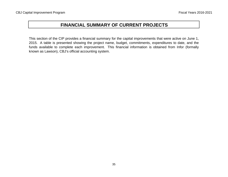## **FINANCIAL SUMMARY OF CURRENT PROJECTS**

This section of the CIP provides <sup>a</sup> financial summary for the capital improvements that were active on June 1, 2015. A table is presented showing the project name, budget, commitments, expenditures to date, and the funds available to complete each improvement. This financial information is obtained from Infor (formally known as Lawson), CBJ's official accounting system.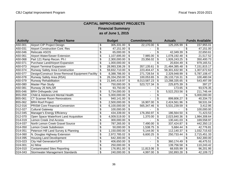## **CAPITAL IMPROVEMENT PROJECTS Financial Summary as of June 1, 2015**

| <b>Activity</b>      | <b>Project Name</b>                              |                       | <b>Budget</b> | <b>Commitments</b> |                           | <b>Actuals</b>   | <b>Funds Available</b> |
|----------------------|--------------------------------------------------|-----------------------|---------------|--------------------|---------------------------|------------------|------------------------|
| A50-001              | Airport CIP Project Design                       | \$                    | 305,331.00    | \$<br>22,170.00    | \$                        | 125,205.99       | \$<br>157,955.01       |
| A50-031              | <b>Airport Construction Cont. Res</b>            | \$                    | 47,151.00     | \$                 | \$                        |                  | \$<br>47,151.00        |
| A50-046              | Relocate ASOS                                    | \$                    | 65,000.00     | \$                 | \$                        | 42,349.39        | \$<br>22,650.61        |
| A50-061              | Airport Water/Sewer Extension                    | \$                    | 1,107,695.00  | \$<br>7,985.00     | \$                        | 1,078,192.48     | \$<br>21,517.52        |
| A50-068              | Part 121 Ramp Recon. Ph I                        | \$                    | 2,300,000.00  | \$<br>23,356.02    | \$                        | 1,926,243.25     | \$<br>350,400.73       |
| A50-071              | Purchase Land/Airport Expansion                  | \$                    | 1,000,000.00  | \$                 | \$                        | 20,834.49        | \$<br>979,165.51       |
| A50-073              | <b>Airport Terminal Expansion</b>                | \$                    | 28,993,336.26 | \$<br>357,135.61   | \$                        | 21,484,385.48    | \$<br>7, 151, 815. 17  |
| A50-074              | Runway Safety Area Construction                  | \$                    | 59,832,710.00 | \$<br>223,404.47   | \$                        | 58,301,632.90    | \$<br>1,307,672.63     |
| A50-077              | Design/Construct Snow Removal Equipment Facility | $\boldsymbol{\theta}$ | 8,388,786.00  | \$<br>271,728.54   | \$                        | 2,329,948.99     | \$<br>5,787,108.47     |
| A50-078              | Runway Safety Area (RSA)                         | \$                    | 26,334,250.00 | \$<br>100,053.65   | \$                        | 26, 133, 716. 31 | \$<br>100,480.04       |
| A50-079              | <b>Runway Rehabilitation</b>                     | \$                    | 21,845,419.97 | \$<br>8,013,587.23 | \$                        | 13,288,335.65    | \$<br>543,497.09       |
| A50-080              | Master Plan Study                                | \$                    | 750,000.00    | \$<br>523,727.34   | \$                        | 225,875.39       | \$<br>397.27           |
| A50-081              | Runway 26 MALSR                                  | \$                    | 93,750.00     | \$                 | \$                        | 173.65           | \$<br>93,576.35        |
| B55-046              | <b>BRH Orthopedic Unit</b>                       | \$                    | 5,734,000.00  | \$                 | \$                        | 5,522,253.56     | \$<br>211,746.44       |
| B55-059              | Child & Adolescent Mental Health                 | \$                    | 5,000,000.00  | \$                 | \$                        |                  | \$<br>5,000,000.00     |
| B55-061              | <b>CT Scanner Room Renovations</b>               | \$                    | 940,141.00    | \$                 | \$                        | 899,806.27       | \$<br>40,334.73        |
| B55-062              | <b>BRH Roof Project</b>                          | \$                    | 2,500,000.00  | \$<br>16,907.00    | \$                        | 2,424,561.96     | \$<br>58,531.04        |
| D <sub>12</sub> -016 | <b>PRISM Core Financial Conversion</b>           | \$                    | 6,100,000.00  | \$<br>565,347.46   | \$                        | 5,531,239.59     | \$<br>3,412.95         |
| D12-027              | <b>Cultural Gateway</b>                          | \$                    | 100,000.00    | \$                 | \$                        |                  | \$<br>100,000.00       |
| D12-045              | Manager's Energy Efficiency                      | \$                    | 434,339.00    | \$<br>176,350.97   | \$                        | 186,564.50       | \$<br>71,423.53        |
| D <sub>12</sub> -070 | Open Space Waterfront Land Acquisition           | \$                    | 4,009,519.00  | \$<br>1,370.00     | \$                        | 2,023,840.36     | \$<br>1,984,308.64     |
| D14-019              | Lemon Creek 2nd Access                           | \$                    | 300,000.00    | \$                 | \$                        | 130,441.03       | \$<br>169,558.97       |
| D14-037              | North Lemon Creek Gravel Source                  | \$                    | 787,265.00    | \$<br>7,490.00     | \$                        | 337,424.87       | \$<br>442,350.13       |
| D14-050              | Lemon Creek Subdivision                          | \$                    | 50,000.00     | \$<br>1,538.75     | \$                        | 5,684.44         | \$<br>42,776.81        |
| $D14 - 051$          | Peterson Hill Land Survey & Planning             | \$                    | 1,150,000.00  | \$<br>5,144.00     | \$                        | 112,140.37       | \$<br>1,032,715.63     |
| D14-060              | N. Douglas Highway Extension                     | \$                    | 2,972,785.02  | \$<br>6,600.25     | \$                        | 250,733.44       | \$<br>2,715,451.33     |
| D14-095              | <b>Housing Land Development</b>                  | \$                    | 642,300.00    | \$                 | \$                        |                  | \$<br>642,300.00       |
| D <sub>15</sub> -023 | City Hall Generator/UPS                          | \$                    | 406,650.00    | \$                 | \$                        | 360,174.49       | \$<br>46,475.51        |
| D24-001              | AJ Mine                                          | \$                    | 250,000.00    | \$                 | \$                        | 139,756.58       | \$<br>110,243.42       |
| D24-010              | <b>Contaminated Sites Reporting</b>              | \$                    | 176,951.00    | \$<br>11,813.06    | \$                        | 68,935.99        | \$<br>96,201.95        |
| D24-043              | Stormwater Management Standards                  | \$                    | 240,000.00    | \$<br>4,997.00     | $\boldsymbol{\mathsf{S}}$ | 192,893.28       | \$<br>42,109.72        |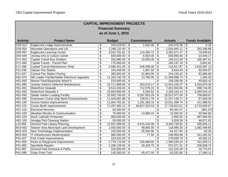П

|                      | <b>CAPITAL IMPROVEMENT PROJECTS</b>            |                          |               |                          |                    |                                      |                |                           |                        |  |  |
|----------------------|------------------------------------------------|--------------------------|---------------|--------------------------|--------------------|--------------------------------------|----------------|---------------------------|------------------------|--|--|
|                      | <b>Financial Summary</b>                       |                          |               |                          |                    |                                      |                |                           |                        |  |  |
| as of June 1, 2015   |                                                |                          |               |                          |                    |                                      |                |                           |                        |  |  |
|                      |                                                |                          |               |                          |                    |                                      |                |                           |                        |  |  |
| <b>Activity</b>      | <b>Project Name</b>                            |                          | <b>Budget</b> |                          | <b>Commitments</b> |                                      | <b>Actuals</b> |                           | <b>Funds Available</b> |  |  |
| D <sub>28</sub> -013 | Eaglecrest Lodge Improvements                  | \$                       | 244,019.00    | \$                       | 1,542.46           | \$                                   | 242,476.36     | \$                        | 0.18                   |  |  |
| D28-054              | Mountain Operations and Lift                   | $\overline{\mathbf{S}}$  | 1,288,132.00  | \$                       |                    | $\overline{\mathbf{e}}$              | 1,034,845.12   | \$                        | 253,286.88             |  |  |
| D28-097              | <b>Eaglecrest Learning Center</b>              | \$                       | 3,542,781.81  | \$                       | 110,460.72         | $\overline{\mathbf{e}}$              | 3,355,371.47   | \$                        | 76,949.62              |  |  |
| D44-049              | Juneau Arts & Culture Center                   | \$                       | 600,000.00    | $\overline{\mathcal{S}}$ | 6,563.00           | \$                                   | 569,990.83     | \$                        | 23,446.17              |  |  |
| D71-053              | <b>Capital Transit Bus Shelters</b>            | \$                       | 332,980.00    | \$                       | 10,000.00          | \$                                   | 156,512.49     | \$                        | 166,467.51             |  |  |
| D71-084              | Capital Transit - Transit Plan                 | $\overline{\mathcal{S}}$ | 175,000.00    | \$                       |                    | $\overline{\mathbf{e}}$              | 169,197.19     | $\boldsymbol{\theta}$     | 5,802.81               |  |  |
| D71-085              | Capital Transit Maintenance Shop               | $\overline{\mathbf{S}}$  | 3,588,301.00  | $\overline{\mathcal{S}}$ | 546,596.00         | $\overline{\mathbf{e}}$              | 116,617.87     | \$                        | 2,925,087.13           |  |  |
| F21-036              | <b>Glacier Fire Station</b>                    | \$                       | 104,448.00    | \$                       | 1,697.50           | \$                                   | 9,816.43       | \$                        | 92,934.07              |  |  |
| F21-037              | <b>Central Fire Station Paving</b>             | $\overline{\$}$          | 350,000.00    | \$                       | 22,963.90          | $\overline{\mathbf{e}}$              | 244,155.42     | $\boldsymbol{\mathsf{S}}$ | 82,880.68              |  |  |
| H51-074              | AB Loader Facility/Statter Electrical Upgrades | $\overline{\mathcal{S}}$ | 11,324,740.76 | \$                       | 13,760.00          | \$                                   | 11,309,696.73  | \$                        | 1,284.03               |  |  |
| H51-083              | Marine Park/Steamship Wharf II                 | $\overline{\mathbf{S}}$  | 210,000.00    | $\overline{\mathcal{S}}$ |                    | \$                                   | 159,336.58     | \$                        | 50,663.42              |  |  |
| H51-085              | Juneau Harbors Deferred Maintenance            | $\overline{\mathbf{S}}$  | 15,711,999.60 | \$                       | 353,015.17         | \$                                   | 12,024,105.07  | \$                        | 3,334,879.36           |  |  |
| H51-091              | <b>Waterfront Seawalk</b>                      | \$                       | 8,514,256.00  | \$                       | 712,579.34         | \$                                   | 7,401,932.66   | \$                        | 399,744.00             |  |  |
| H51-092              | <b>Waterfront Seawalk II</b>                   | \$                       | 10,600,000.00 | \$                       | 6,292.62           | \$                                   | 4,328,164.14   | \$                        | 6,265,543.24           |  |  |
| H51-093              | <b>Statter Harbor Loading Facility</b>         | \$                       | 25,603,700.00 | \$                       | 8,307,953.29       | \$                                   | 16,537,077.04  | \$                        | 758,669.67             |  |  |
| H51-095              | Downtown Cruise Ship Berth Enhancements        | \$                       | 11,443,081.88 | \$                       | 128,011.78         | \$                                   | 11,247,139.71  | \$                        | 67,930.39              |  |  |
| H51-100              | Aurora Harbor Improvements                     | \$                       | 11,604,781.81 | \$                       | 1,161,383.16       | \$                                   | 10,031,399.74  | \$                        | 411,998.91             |  |  |
| H51-101              | <b>Cruise Berth Improvements</b>               | \$                       | 71,257,482.12 | \$                       | 48,827,023.54      | \$                                   | 17,719,813.51  | \$                        | 4,710,645.07           |  |  |
| H51-102              | <b>Electrical Winches</b>                      | \$                       | 60,000.00     | \$                       |                    | \$                                   | 60,481.07      | \$                        | (481.07)               |  |  |
| H51-103              | <b>Weather Monitor &amp; Communication</b>     | \$                       | 75,000.00     | \$                       | 14,669.24          | \$                                   | 10,265.92      | \$                        | 50,064.84              |  |  |
| H51-104              | <b>Dock Cathodic Protection</b>                | \$                       | 500,000.00    | \$                       |                    | \$                                   | 2,005.50       | \$                        | 497,994.50             |  |  |
| H51-105              | Amalga Fish Cleaning Station                   | $\overline{\mathbf{S}}$  | 50,000.00     | \$                       |                    | $\overline{\boldsymbol{\mathsf{s}}}$ | 3,028.39       | $\boldsymbol{\mathsf{S}}$ | 46,971.61              |  |  |
| L23-058              | Dimond Park Library Planning                   | \$                       | 13,551,999.00 | \$                       | 4,515,426.96       | \$                                   | 8,440,726.92   | $\boldsymbol{\theta}$     | 595,845.12             |  |  |
| M14-062              | Switzer Area Municipal Land Development        | \$                       | 1,550,000.00  | \$                       | 48,805.00          | \$                                   | 118,695.35     | $\boldsymbol{\mathsf{S}}$ | 1,382,499.65           |  |  |
| M15-001              | New Technology Implementation                  | \$                       | 100,000.00    | \$                       | 35,500.00          | \$                                   | 64,417.65      | \$                        | 82.35                  |  |  |
| M15-002              | IT Infrastructure Modernization                | \$                       | 580,300.00    | \$                       | 77.50              | \$                                   | 238,959.98     | \$                        | 341,262.52             |  |  |
| P41-027              | <b>Fish Creek Improvements</b>                 | \$                       | 319,432.00    | \$                       |                    | \$                                   | 278,939.79     | \$                        | 40,492.21              |  |  |
| P41-059              | Parks & Playground Improvement                 | \$                       | 1,778,716.00  | \$                       | 226,666.65         | \$                                   | 1,390,540.24   | \$                        | 161,509.11             |  |  |
| P41-085              | <b>Sportfield Repairs</b>                      | $\overline{\mathbf{S}}$  | 1,208,139.00  | \$                       | 29,428.75          | \$                                   | 972,071.51     | \$                        | 206,638.74             |  |  |
| P41-087              | Dimond Park Entrance & Paths                   | \$                       | 150,000.00    | \$                       |                    | \$                                   | 131,225.49     | \$                        | 18,774.51              |  |  |
| P41-088              | <b>Outer Point Trail</b>                       | $\overline{\mathbf{S}}$  | 145,000.00    | \$                       | 45,477.00          | \$                                   | 82,032.86      | \$                        | 17,490.14              |  |  |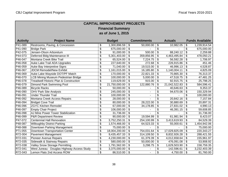## **CAPITAL IMPROVEMENT PROJECTS Financial Summary as of June 1, 2015**

| <b>Activity</b> | <b>Project Name</b>                               | <b>Budget</b>       | <b>Commitments</b> | <b>Actuals</b>      | <b>Funds Available</b> |
|-----------------|---------------------------------------------------|---------------------|--------------------|---------------------|------------------------|
| P41-089         | Restrooms, Paving, & Concession                   | \$<br>1,300,896.59  | \$<br>50,000.00    | \$<br>10,982.05     | \$<br>1,239,914.54     |
| P41-090         | <b>Bridge Park</b>                                | \$<br>675,000.00    | \$                 | \$                  | \$<br>675,000.00       |
| P42-075         | Jensen-Olson Arboretum                            | \$<br>91,000.00     | \$<br>500.00       | \$<br>88,240.12     | \$<br>2,259.88         |
| P44-073         | Deferred Bldg Maintenance III                     | \$<br>5,301,403.00  | \$<br>359,856.95   | \$<br>4,463,495.84  | \$<br>478,050.21       |
| P46-047         | Montana Creek Bike Trail                          | \$<br>65,524.00     | \$<br>7,224.75     | \$<br>56,592.28     | \$<br>1,706.97         |
| P46-058         | Auke Lake Trail ADA Upgrades                      | \$<br>227,640.00    | \$<br>272.68       | \$<br>226,915.86    | \$<br>451.46           |
| P46-059         | Auke Bay Interpretive Signs                       | \$<br>71,040.00     | \$<br>19,515.00    | \$<br>46,996.13     | \$<br>4,528.87         |
| P46-067         | <b>JDCM Remodel/New Exhibit</b>                   | \$<br>1,161,015.00  | \$<br>16,185.80    | \$<br>1,140,004.11  | \$<br>4,825.09         |
| P46-069         | Auke Lake Wayside DOT/PF Match                    | \$<br>170,000.00    | \$<br>22,821.33    | \$<br>70,865.30     | \$<br>76,313.37        |
| P46-070         | <b>LCB Mining Museum Pedestrian Bridge</b>        | \$<br>100,000.00    | \$<br>5,000.00     | \$<br>47,518.75     | \$<br>47,481.25        |
| P46-078         | <b>Treadwell Historic Plan &amp; Construction</b> | \$<br>119,629.00    | \$<br>915.00       | \$<br>92,915.75     | \$<br>25,798.25        |
| P46-079         | Dimond Park Swimming Pool                         | \$<br>21,750,000.00 | \$<br>122,880.76   | \$<br>21,042,522.83 | \$<br>584,596.41       |
| P46-089         | <b>Bicycle Racks</b>                              | \$<br>50,000.00     | \$                 | \$<br>40,646.63     | \$<br>9,353.37         |
| P46-090         | <b>OHV Park Site Analysis</b>                     | \$<br>245,000.00    | \$                 | \$<br>94,670.06     | \$<br>150,329.94       |
| P46-091         | <b>Under Thunder Trail</b>                        | \$<br>100,000.00    | \$                 | \$                  | \$<br>100,000.00       |
| P46-092         | Montana Creek Access Repairs                      | \$<br>28,000.00     | \$                 | \$<br>20,842.16     | \$<br>7,157.84         |
| P46-094         | <b>Bridget Cove Trail</b>                         | \$<br>80,000.00     | \$<br>28,222.00    | \$<br>30,880.69     | \$<br>20,897.31        |
| P46-096         | <b>ZGYC Kitchen Remodel</b>                       | \$<br>67,000.00     | \$<br>34,178.85    | \$<br>27,831.02     | \$<br>4,990.13         |
| P46-097         | <b>Empty Chair Project</b>                        | \$<br>106,000.00    | \$                 | \$<br>46,391.15     | \$<br>59,608.85        |
| P46-098         | AJ Mine Power Tower Stabilization                 | \$<br>31,736.00     | \$                 | \$                  | \$<br>31,736.00        |
| P46-099         | P&R Department Review                             | \$<br>90,000.00     | \$<br>19,594.99    | \$<br>61,981.94     | \$<br>8,423.07         |
| P47-072         | <b>Centennial Hall Renovation</b>                 | \$<br>3,752,250.31  | \$<br>254,100.99   | \$<br>3,413,619.93  | \$<br>84,529.39        |
| P48-087         | <b>Willoughby District Parking</b>                | \$<br>1,574,466.00  | \$<br>64,523.33    | \$<br>55,000.61     | \$<br>1,454,942.06     |
| P48-088         | Downtown Parking Management                       | \$<br>75,000.00     | \$                 | \$                  | 75,000.00              |
| P71-055         | Downtown Transportation Center                    | \$<br>18,004,200.00 | \$<br>754,031.64   | \$<br>17,029,825.09 | \$<br>220,343.27       |
| R72-004         | <b>Pavement Management</b>                        | \$<br>9,435,457.33  | \$<br>314,109.50   | \$<br>8,832,926.28  | \$<br>288,421.55       |
| R72-031         | <b>Pioneer Avenue Repairs</b>                     | \$<br>4,230,000.00  | \$<br>61,379.39    | \$<br>4,012,658.64  | \$<br>155,961.97       |
| R72-035         | Sidewalk & Stairway Repairs                       | \$<br>580,000.00    | \$<br>50,000.00    | \$<br>476,091.08    | \$<br>53,908.92        |
| R72-038         | <b>Valley Snow Storage Permitting</b>             | \$<br>1,791,562.00  | \$<br>3,298.75     | \$<br>1,629,503.90  | \$<br>158,759.35       |
| R72-041         | West Juneau - Douglas Highway Access Study        | \$<br>3,375,000.00  | \$                 | \$<br>142,596.61    | \$<br>3,232,403.39     |
| R72-043         | Lemon Flats 2nd Access ROW                        | \$<br>86,510.00     | \$                 | \$<br>4,750.00      | \$<br>81,760.00        |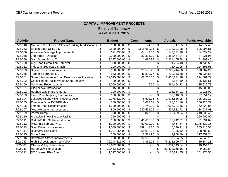## **CAPITAL IMPROVEMENT PROJECTS Financial Summary as of June 1, 2015**

| <b>Activity</b> | <b>Project Name</b>                              | <b>Budget</b>       | <b>Commitments</b> | <b>Actuals</b>      | <b>Funds Available</b> |
|-----------------|--------------------------------------------------|---------------------|--------------------|---------------------|------------------------|
| R72-048         | Montana Creek Road Closure/Parking Modifications | \$<br>100,000.00    | \$<br>74.87        | \$<br>85,047.65     | \$<br>14,877.48        |
| R72-053         | Eagles Edge Utility LID                          | \$<br>2,800,000.00  | \$<br>1,115,682.11 | \$<br>1,178,021.08  | \$<br>506,296.81       |
| R72-056         | Areawide Drainage Improvements                   | \$<br>691,736.00    | \$<br>64,142.50    | \$<br>543,571.28    | \$<br>84,022.22        |
| R72-058         | 2nd Street - Douglas                             | \$<br>2,000,000.00  | \$<br>32,324.00    | \$<br>1,883,454.04  | 84,221.96              |
| R72-059         | Main Street 2nd to 7th                           | \$<br>3,287,605.00  | \$<br>1,695.97     | \$<br>3,234,105.58  | \$<br>51,803.45        |
| R72-060         | <b>City Shop Demolition/Removal</b>              | \$<br>300,000.00    | \$                 | \$<br>191,264.48    | \$<br>108,735.52       |
| R72-061         | <b>Industrial Boulevard Match</b>                | \$<br>200,000.00    | \$                 | \$<br>75,401.05     | \$<br>124,598.95       |
| R72-063         | <b>Bayview Roads Improvement</b>                 | \$<br>2,150,000.00  | \$<br>28,588.45    | \$<br>1,722,444.26  | \$<br>398,967.29       |
| R72-065         | <b>Tanner's Terrance LID</b>                     | \$<br>853,000.00    | \$<br>46,820.77    | \$<br>728,143.58    | \$<br>78,035.65        |
| R72-081         | Street Maintenance Shop Design - New Location    | \$<br>12,615,000.00 | \$<br>62,267.00    | \$<br>12,438,671.28 | \$<br>114,061.72       |
| R72-082         | <b>Consolidated Public Works Shop Security</b>   | \$<br>30,000.00     | \$                 | \$<br>3,864.49      | \$<br>26,135.51        |
| R72-100         | Northland Reconstruction                         | \$<br>1,000,000.00  | \$<br>5.00         | \$<br>864,464.22    | \$<br>135,530.78       |
| R72-101         | <b>Glacier Ave Intersection</b>                  | \$<br>15,000.00     | \$                 | \$                  | \$<br>15,000.00        |
| R72-102         | Hughes Way Improvements                          | \$<br>200,000.00    | \$                 | \$<br>198,984.91    | \$<br>1,015.09         |
| R72-103         | Flood Plain Mapping Tech Assist                  | \$<br>150,000.00    | \$                 | \$<br>52,648.83     | \$<br>97,351.17        |
| R72-104         | Lakewood Subdivision Reconstruction              | \$<br>2,778,322.00  | \$<br>76,502.95    | \$<br>1,975,836.95  | \$<br>725,982.10       |
| R72-105         | Riverside Drive DOT/PF Match                     | \$<br>300,000.00    | \$<br>5,023.12     | \$<br>188,051.16    | \$<br>106,925.72       |
| R72-106         | Lemon Road Reconstruction                        | \$<br>1,200,000.00  | \$<br>1,745.00     | \$<br>1,025,731.16  | \$<br>172,523.84       |
| R72-107         | <b>Meadow Lane Improvements</b>                  | \$<br>800,000.00    | \$<br>230,531.25   | \$<br>434,531.72    | \$<br>134,937.03       |
| R72-109         | Vactor Dump                                      | \$<br>300,000.00    | \$<br>8,877.98     | \$<br>72,489.54     | \$<br>218,632.48       |
| R72-110         | Areawide Snow Storage Facility                   | \$<br>250,000.00    | \$                 | \$                  | \$<br>250,000.00       |
| R72-111         | Distin/W. 8th St. Reconstruction                 | \$<br>150,000.00    | \$<br>41,665.80    | \$<br>36,942.51     | \$<br>71,391.69        |
| R72-112         | McGinnis Sub LID Ph 1                            | \$<br>1,200,000.00  | \$<br>50,000.00    | \$<br>4,467.84      | \$<br>1,145,532.16     |
| R72-113         | <b>Scott Drive Improvements</b>                  | \$<br>1,000,000.00  | \$<br>389,143.26   | \$<br>5,146.21      | \$<br>605,710.53       |
| R72-114         | <b>Blueberry Hills Road</b>                      | \$<br>1,294,954.00  | \$<br>808,018.25   | \$<br>98,155.12     | \$<br>388,780.63       |
| $R72-115$       | Dunn Street                                      | \$<br>250,000.00    | \$<br>8,581.90     | \$<br>43,958.76     | \$<br>197,459.34       |
| R72-116         | Downtown Street Improvements                     | \$<br>100,000.00    | \$<br>37,503.00    | \$<br>37,854.85     | \$<br>24,642.15        |
| S02-083         | <b>High School/Mendenhall Valley</b>             | \$<br>76,248,825.00 | \$<br>7,331.25     | \$<br>76,211,609.47 | \$<br>29,884.28        |
| S02-088         | <b>Glacier Valley Renovation</b>                 | \$<br>17,692,304.00 | \$                 | \$<br>17,681,849.84 | \$<br>10,454.16        |
| S02-089         | Harborview Renovation                            | \$<br>22,433,116.00 | \$                 | \$<br>22,424,065.16 | \$<br>9,050.84         |
| S02-091         | DZ Covered Play Area                             | \$<br>1,327,000.00  | \$                 | \$<br>1,165,821.45  | \$<br>161,178.55       |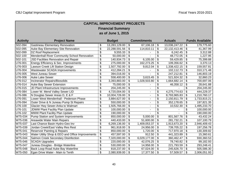| <b>CAPITAL IMPROVEMENT PROJECTS</b> |                                                  |                          |                    |               |                    |    |                |    |                        |
|-------------------------------------|--------------------------------------------------|--------------------------|--------------------|---------------|--------------------|----|----------------|----|------------------------|
| <b>Financial Summary</b>            |                                                  |                          |                    |               |                    |    |                |    |                        |
|                                     |                                                  |                          | as of June 1, 2015 |               |                    |    |                |    |                        |
|                                     |                                                  |                          |                    |               |                    |    |                |    |                        |
| <b>Activity</b>                     | <b>Project Name</b>                              |                          | <b>Budget</b>      |               | <b>Commitments</b> |    | <b>Actuals</b> |    | <b>Funds Available</b> |
| S02-094                             | <b>Gastineau Elementary Renovation</b>           | \$                       | 13,283,129.00      | \$            | 67,106.18          | \$ | 13,036,247.22  | \$ | 179,775.60             |
| S02-095                             | Auke Bay Elementary Site Renovation              | \$                       | 22,288,591.56      | \$            | 114,810.11         | \$ | 22,132,413.46  | \$ | 41,367.99              |
| S02-099                             | DZ Roof Replacement                              | \$                       | 9,555.33           | \$            |                    | \$ | 6,242.45       | \$ | 3,312.88               |
| S02-100                             | Mendenhall River Community School Renovation     | \$                       | 50,000.00          | \$            |                    | \$ | 48,772.05      | \$ | 1,227.95               |
| S02-101                             | <b>JSD Facilities Renovation and Repair</b>      | \$                       | 140,934.73         | \$            | 6,105.00           | \$ | 59,429.85      | \$ | 75,399.88              |
| U76-001                             | Energy Efficiency & Sec. Improvements            | \$                       | 275,000.00         | \$            | 162,273.25         | \$ | 109,356.62     | \$ | 3,370.13               |
| U76-003                             | Lawson Creek Lift Station Design                 | \$                       | 1,507,792.00       | \$            | 9,812.04           | \$ | 1,338,422.15   | \$ | 159,557.81             |
| U76-004                             | Wastewater SCADA Improvements                    | \$                       | 412,284.21         | \$            |                    | \$ | 102,112.73     | \$ | 310,171.48             |
| U76-005                             | West Juneau Sewer                                | \$                       | 394,016.00         | \$            |                    | \$ | 247,212.81     | \$ | 146,803.19             |
| U76-006                             | <b>Auke Lake Sewer</b>                           | \$                       | 558,400.00         | \$            | 3,615.45           | \$ | 521,924.32     | \$ | 32,860.23              |
| U76-012                             | Incinerator Repairs/Biosolids                    | \$                       | 3,393,883.00       | \$            | 1,028,503.80       | \$ | 1,664,682.14   | \$ | 700,697.06             |
| U76-014                             | Auke Bay Sewer Extension                         | \$                       | 75,000.00          | $\frac{1}{2}$ |                    | \$ | 46,358.12      | \$ | 28,641.88              |
| U76-015                             | JD Plant Infrastructure Improvements             | \$                       | 204,245.00         | \$            | $\blacksquare$     | \$ |                | \$ | 204,245.00             |
| U76-084                             | Lower W. Mend Valley Sewer LID                   | \$                       | 4,720,004.00       | \$            | $\blacksquare$     | \$ | 4,275,774.63   | \$ | 444,229.37             |
| U76-086                             | N Douglas Sewer Areas D, E & F                   | \$                       | 10,004,726.00      | \$            | $\blacksquare$     | \$ | 8,793,965.83   | \$ | 1,210,760.17           |
| U76-091                             | Lower West Mendenhall - Pederson Phase           | \$                       | 3,884,627.00       | \$            | $\blacksquare$     | \$ | 2,150,811.79   | \$ | 1,733,815.21           |
| U76-094                             | Outer Drive & N Juneau Pump St Repairs           | \$                       | 550,000.00         | \$            |                    | \$ | 352,178.65     | \$ | 197,821.35             |
| U76-100                             | Glacier Hwy Sewer-Anka to Walmart                | \$                       | 1,505,766.00       | \$            | $\blacksquare$     | \$ | 10,532.30      | \$ | 1,495,233.70           |
| U76-101                             | JDWW Plant Facility Plan Update                  | \$                       | 100,000.00         | \$            |                    | \$ |                | \$ | 100,000.00             |
| U76-102                             | MWW Plant Facility Plan Update                   | \$                       | 190,000.00         | \$            |                    | \$ |                | \$ | 190,000.00             |
| W75-034                             | Pump Station and System Improvements             | \$                       | 850,000.00         | \$            | 5,000.00           | \$ | 801,567.76     | \$ | 43,432.24              |
| W75-036                             | Areawide Water Main Repairs                      | \$                       | 440,433.00         | \$            | 51,600.00          | \$ | 281,732.21     | \$ | 107,100.79             |
| W75-037                             | Last Chance Basin Hydro-Geo Inv                  | \$                       | 6,269,136.00       | \$            | 1,409,053.37       | \$ | 1,913,673.20   | \$ | 2,946,409.43           |
| W75-039                             | Jordan Creek/East Valley Res Rest                | \$                       | 961,918.00         | \$            | 24,956.00          | \$ | 739,705.22     | \$ | 197,256.78             |
| W75-041                             | <b>Reservoir Painting &amp; Repairs</b>          | \$                       | 850,000.00         | \$            | 1,720.00           | \$ | 717,970.18     | \$ | 130,309.82             |
| W75-043                             | Water Utility Shop & EEO and Office Improvements | \$                       | 457,597.00         | \$            | 912.50             | \$ | 441,323.89     | \$ | 15,360.61              |
| W75-044                             | Salmon Creek Secondary Disinfection              | \$                       | 7,320,000.00       | \$            | 6,029,177.00       | \$ | 360,462.47     | \$ | 930,360.53             |
| W75-046                             | <b>SCADA Upgrades</b>                            | \$                       | 220,000.00         | \$            | 42,076.25          | \$ | 78,740.82      | \$ | 99,182.93              |
| W75-047                             | Juneau Douglas - Bridge Waterline                | \$                       | 530,000.00         | \$            | 14,958.00          | \$ | 221,793.59     | \$ | 293,248.41             |
| W75-048                             | Back Loop Road Auke Bay Waterline                | $\overline{\mathcal{G}}$ | 818,237.00         | \$            | 67,024.00          | \$ | 245,626.70     | \$ | 505,586.30             |
| W75-050                             | Egan Drive Water - Main to Tenth                 | $\overline{\mathcal{S}}$ | 2,080,939.00       | \$            | 17,377.50          | \$ | 57,509.57      | \$ | 2,006,051.93           |